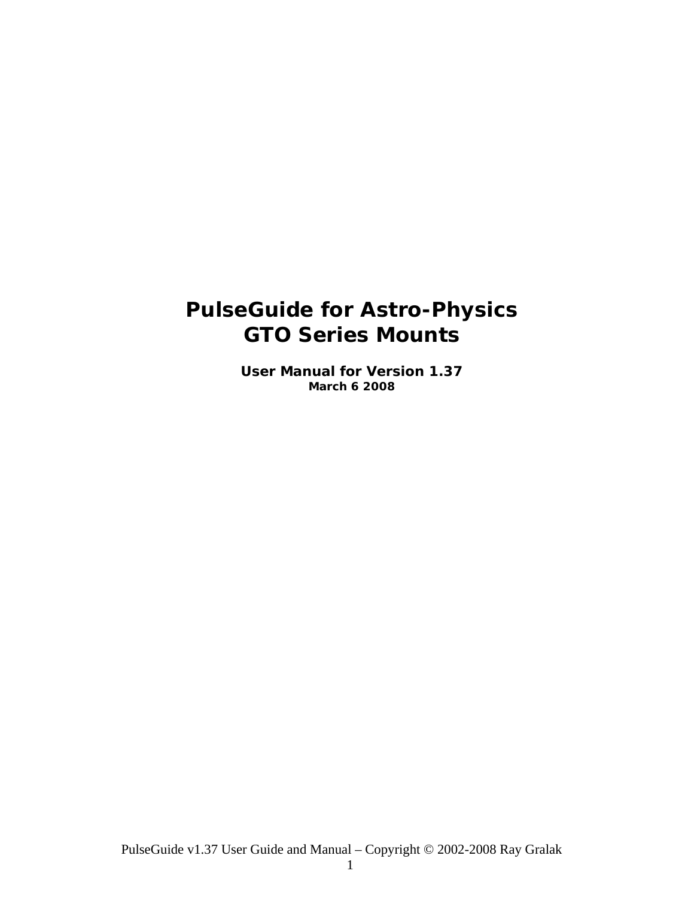# <span id="page-0-0"></span>**PulseGuide for Astro-Physics GTO Series Mounts**

**User Manual for Version 1.37 March 6 2008**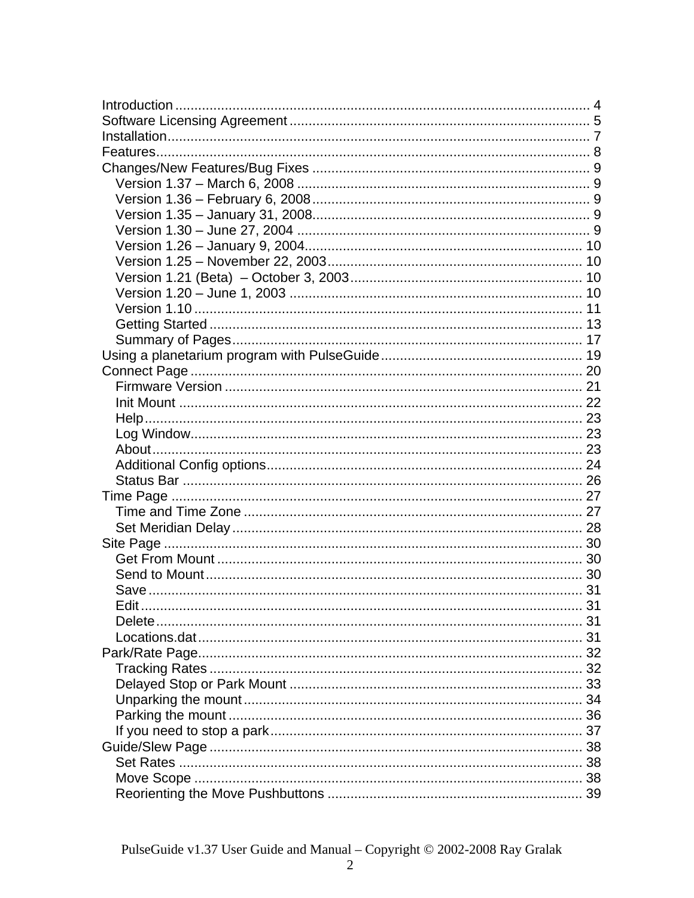| Edit |  |
|------|--|
|      |  |
|      |  |
|      |  |
|      |  |
|      |  |
|      |  |
|      |  |
|      |  |
|      |  |
|      |  |
|      |  |
|      |  |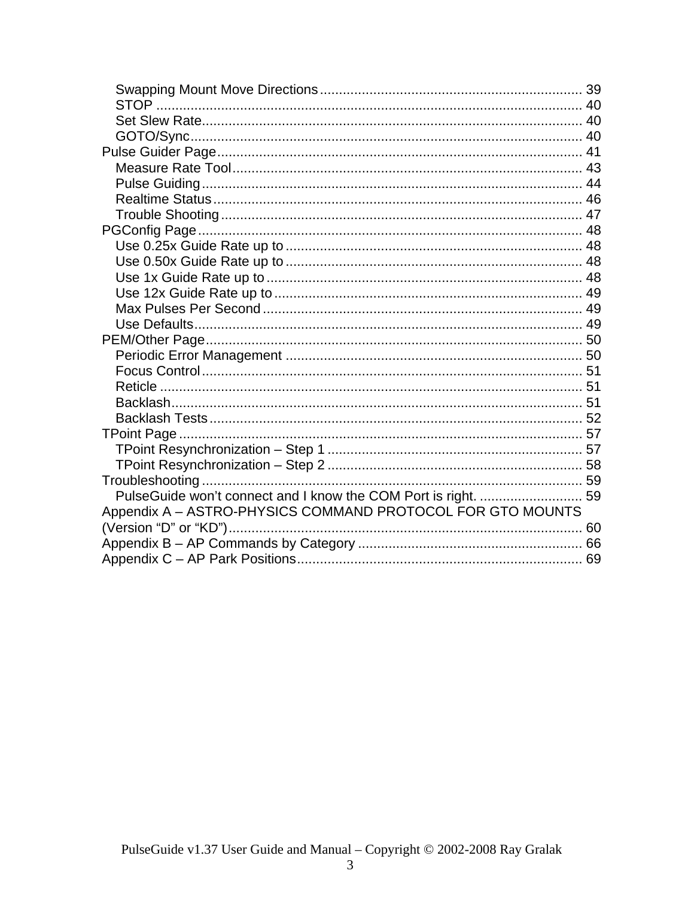| PulseGuide won't connect and I know the COM Port is right.  59 |  |
|----------------------------------------------------------------|--|
| Appendix A - ASTRO-PHYSICS COMMAND PROTOCOL FOR GTO MOUNTS     |  |
|                                                                |  |
|                                                                |  |
|                                                                |  |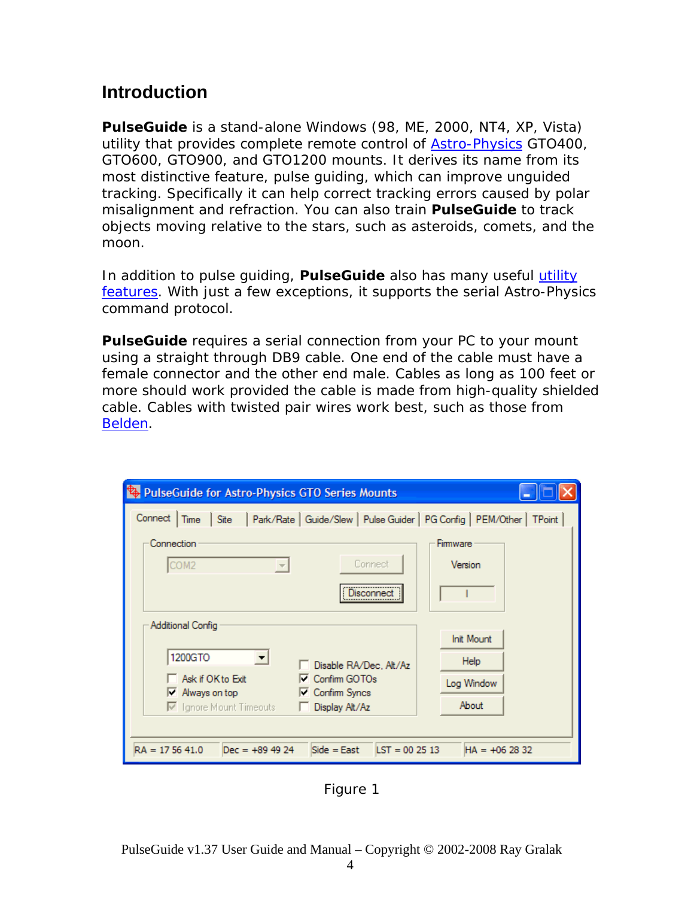# **Introduction**

*PulseGuide* is a stand-alone Windows (98, ME, 2000, NT4, XP, Vista) utility that provides complete remote control of **Astro-Physics** GTO400, GTO600, GTO900, and GTO1200 mounts. It derives its name from its most distinctive feature, *pulse guiding*, which can improve unguided tracking. Specifically it can help correct tracking errors caused by polar misalignment and refraction. You can also train *PulseGuide* to track objects moving relative to the stars, such as asteroids, comets, and the moon.

In addition to pulse guiding, *PulseGuide* also has many useful [utility](#page-0-0)  [features](#page-0-0). With just a few exceptions, it supports the serial Astro-Physics command protocol.

**PulseGuide** requires a serial connection from your PC to your mount using a straight through DB9 cable. One end of the cable must have a female connector and the other end male. Cables as long as 100 feet or more should work provided the cable is made from high-quality shielded cable. Cables with twisted pair wires work best, such as those from [Belden.](http://www.belden.com/)

| PulseGuide for Astro-Physics GTO Series Mounts                                                            |                   |
|-----------------------------------------------------------------------------------------------------------|-------------------|
| Site   Park/Rate   Guide/Slew   Pulse Guider   PG Config   PEM/Other   TPoint  <br>Connect<br><b>Time</b> |                   |
| Connection                                                                                                | Firmware          |
| Connect<br>COM <sub>2</sub><br>$\overline{\phantom{m}}$                                                   | Version           |
| Disconnec                                                                                                 |                   |
| Additional Config                                                                                         |                   |
|                                                                                                           | <b>Init Mount</b> |
| 1200GTO<br>Disable RA/Dec, Alt/Az                                                                         | Help              |
| Ask if OK to Exit<br>□ Confirm GOTOs<br><b>□ Confirm Syncs</b><br>Mways on top                            | Log Window        |
| □ Ignore Mount Timeouts<br>Display Alt/Az                                                                 | About             |
|                                                                                                           |                   |
| $RA = 175641.0$<br>$Side = East$<br>$\text{LST} = 002513$<br>$Dec = +894924$                              | $HA = +062832$    |

Figure 1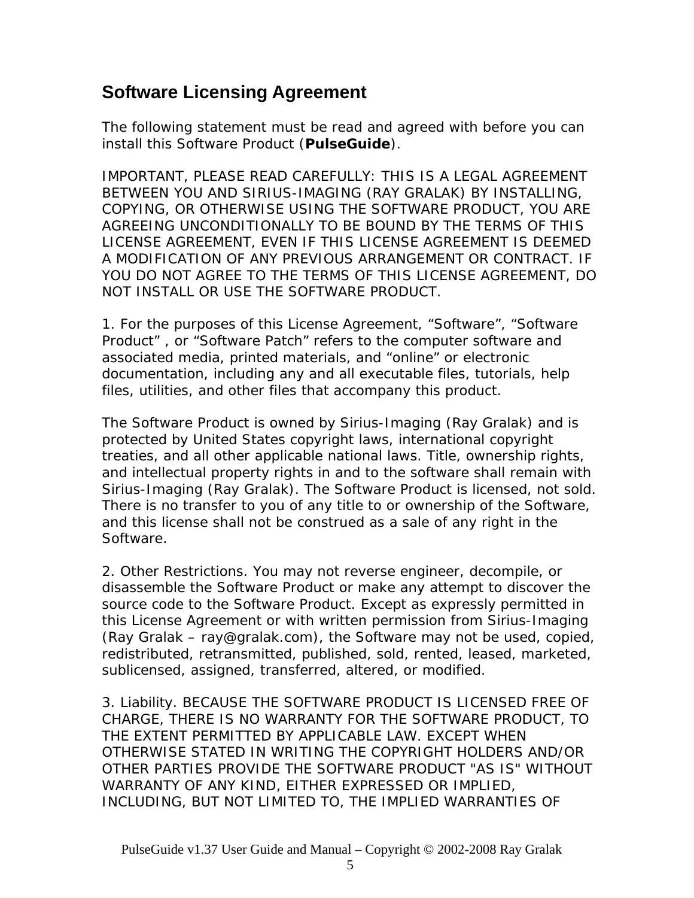# **Software Licensing Agreement**

The following statement must be read and agreed with before you can install this Software Product (*PulseGuide*).

IMPORTANT, PLEASE READ CAREFULLY: THIS IS A LEGAL AGREEMENT BETWEEN YOU AND SIRIUS-IMAGING (RAY GRALAK) BY INSTALLING, COPYING, OR OTHERWISE USING THE SOFTWARE PRODUCT, YOU ARE AGREEING UNCONDITIONALLY TO BE BOUND BY THE TERMS OF THIS LICENSE AGREEMENT, EVEN IF THIS LICENSE AGREEMENT IS DEEMED A MODIFICATION OF ANY PREVIOUS ARRANGEMENT OR CONTRACT. IF YOU DO NOT AGREE TO THE TERMS OF THIS LICENSE AGREEMENT, DO NOT INSTALL OR USE THE SOFTWARE PRODUCT.

1. For the purposes of this License Agreement, "Software", "Software Product" , or "Software Patch" refers to the computer software and associated media, printed materials, and "online" or electronic documentation, including any and all executable files, tutorials, help files, utilities, and other files that accompany this product.

The Software Product is owned by Sirius-Imaging (Ray Gralak) and is protected by United States copyright laws, international copyright treaties, and all other applicable national laws. Title, ownership rights, and intellectual property rights in and to the software shall remain with Sirius-Imaging (Ray Gralak). The Software Product is licensed, not sold. There is no transfer to you of any title to or ownership of the Software, and this license shall not be construed as a sale of any right in the Software.

2. Other Restrictions. You may not reverse engineer, decompile, or disassemble the Software Product or make any attempt to discover the source code to the Software Product. Except as expressly permitted in this License Agreement or with written permission from Sirius-Imaging (Ray Gralak – ray@gralak.com), the Software may not be used, copied, redistributed, retransmitted, published, sold, rented, leased, marketed, sublicensed, assigned, transferred, altered, or modified.

3. Liability. BECAUSE THE SOFTWARE PRODUCT IS LICENSED FREE OF CHARGE, THERE IS NO WARRANTY FOR THE SOFTWARE PRODUCT, TO THE EXTENT PERMITTED BY APPLICABLE LAW. EXCEPT WHEN OTHERWISE STATED IN WRITING THE COPYRIGHT HOLDERS AND/OR OTHER PARTIES PROVIDE THE SOFTWARE PRODUCT "AS IS" WITHOUT WARRANTY OF ANY KIND, EITHER EXPRESSED OR IMPLIED, INCLUDING, BUT NOT LIMITED TO, THE IMPLIED WARRANTIES OF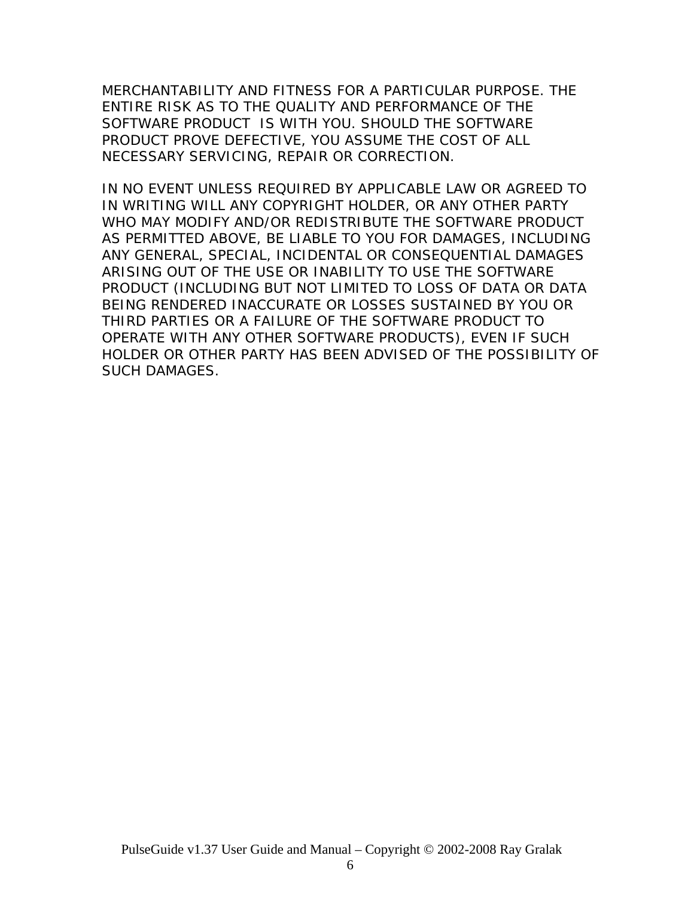MERCHANTABILITY AND FITNESS FOR A PARTICULAR PURPOSE. THE ENTIRE RISK AS TO THE QUALITY AND PERFORMANCE OF THE SOFTWARE PRODUCT IS WITH YOU. SHOULD THE SOFTWARE PRODUCT PROVE DEFECTIVE, YOU ASSUME THE COST OF ALL NECESSARY SERVICING, REPAIR OR CORRECTION.

IN NO EVENT UNLESS REQUIRED BY APPLICABLE LAW OR AGREED TO IN WRITING WILL ANY COPYRIGHT HOLDER, OR ANY OTHER PARTY WHO MAY MODIFY AND/OR REDISTRIBUTE THE SOFTWARE PRODUCT AS PERMITTED ABOVE, BE LIABLE TO YOU FOR DAMAGES, INCLUDING ANY GENERAL, SPECIAL, INCIDENTAL OR CONSEQUENTIAL DAMAGES ARISING OUT OF THE USE OR INABILITY TO USE THE SOFTWARE PRODUCT (INCLUDING BUT NOT LIMITED TO LOSS OF DATA OR DATA BEING RENDERED INACCURATE OR LOSSES SUSTAINED BY YOU OR THIRD PARTIES OR A FAILURE OF THE SOFTWARE PRODUCT TO OPERATE WITH ANY OTHER SOFTWARE PRODUCTS), EVEN IF SUCH HOLDER OR OTHER PARTY HAS BEEN ADVISED OF THE POSSIBILITY OF SUCH DAMAGES.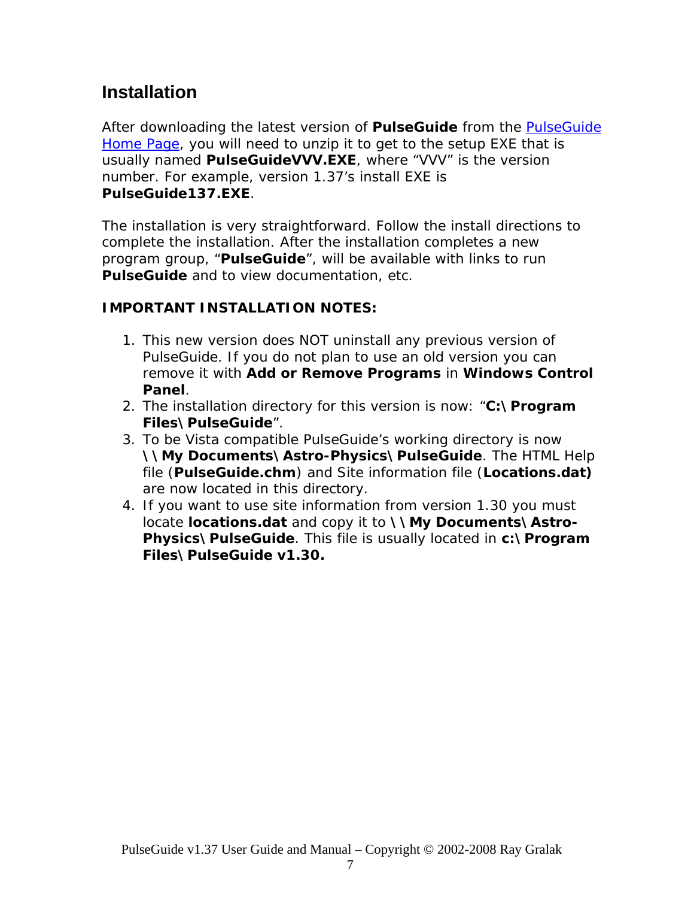# **Installation**

After downloading the latest version of *PulseGuide* from the [PulseGuide](http://www.pulseguide.com/)  [Home Page](http://www.pulseguide.com/), you will need to unzip it to get to the setup EXE that is usually named **PulseGuideVVV.EXE**, where "VVV" is the version number. For example, version 1.37's install EXE is **PulseGuide137.EXE**.

The installation is very straightforward. Follow the install directions to complete the installation. After the installation completes a new program group, "*PulseGuide*", will be available with links to run *PulseGuide* and to view documentation, etc.

#### **IMPORTANT INSTALLATION NOTES:**

- 1. This new version does NOT uninstall any previous version of PulseGuide. If you do not plan to use an old version you can remove it with *Add or Remove Programs* in *Windows Control Panel*.
- 2. The installation directory for this version is now: "*C:\Program Files\PulseGuide*".
- 3. To be Vista compatible PulseGuide's working directory is now **\\My Documents\Astro-Physics\PulseGuide**. The HTML Help file (**PulseGuide.chm**) and Site information file (**Locations.dat)**  are now located in this directory.
- 4. If you want to use site information from version 1.30 you must locate **locations.dat** and copy it to **\\My Documents\Astro-Physics\PulseGuide**. This file is usually located in *c:\Program Files\PulseGuide v1.30.*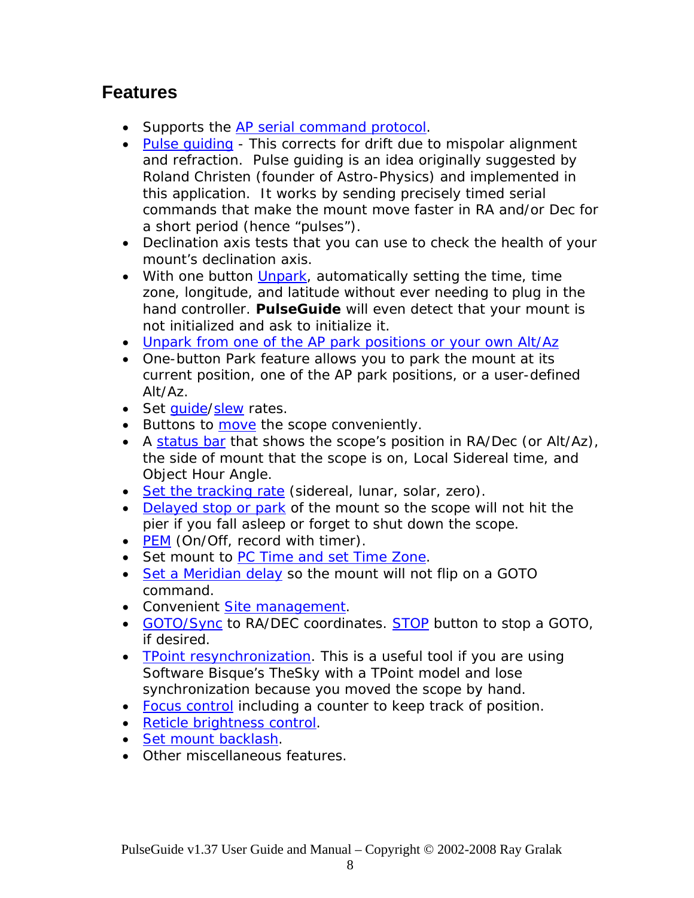# **Features**

- Supports the [AP serial command protocol](#page-0-0).
- Pulse quiding This corrects for drift due to mispolar alignment and refraction. Pulse guiding is an idea originally suggested by Roland Christen (founder of Astro-Physics) and implemented in this application. It works by sending precisely timed serial commands that make the mount move faster in RA and/or Dec for a short period (hence "pulses").
- Declination axis tests that you can use to check the health of your mount's declination axis.
- With one button [Unpark,](#page-0-0) automatically setting the time, time zone, longitude, and latitude without ever needing to plug in the hand controller. *PulseGuide* will even detect that your mount is not initialized and ask to initialize it.
- [Unpark from one of the AP park positions or your own Alt/Az](#page-0-0)
- One-button Park feature allows you to park the mount at its current position, one of the AP park positions, or a user-defined Alt/Az.
- Set quide/[slew](#page-0-0) rates.
- Buttons to [move](#page-0-0) the scope conveniently.
- A [status bar](#page-0-0) that shows the scope's position in RA/Dec (or Alt/Az), the side of mount that the scope is on, Local Sidereal time, and Object Hour Angle.
- [Set the tracking rate](#page-0-0) (sidereal, lunar, solar, zero).
- [Delayed stop or park](#page-0-0) of the mount so the scope will not hit the pier if you fall asleep or forget to shut down the scope.
- [PEM](#page-0-0) (On/Off, record with timer).
- Set mount to [PC Time and set Time Zone.](#page-0-0)
- [Set a Meridian delay](#page-0-0) so the mount will not flip on a GOTO command.
- Convenient [Site management](#page-0-0).
- [GOTO/Sync](#page-0-0) to RA/DEC coordinates. [STOP](#page-0-0) button to stop a GOTO, if desired.
- [TPoint resynchronization](#page-0-0). This is a useful tool if you are using Software Bisque's TheSky with a TPoint model and lose synchronization because you moved the scope by hand.
- [Focus control](#page-0-0) including a counter to keep track of position.
- [Reticle brightness control](#page-0-0).
- [Set mount backlash.](#page-0-0)
- Other miscellaneous features.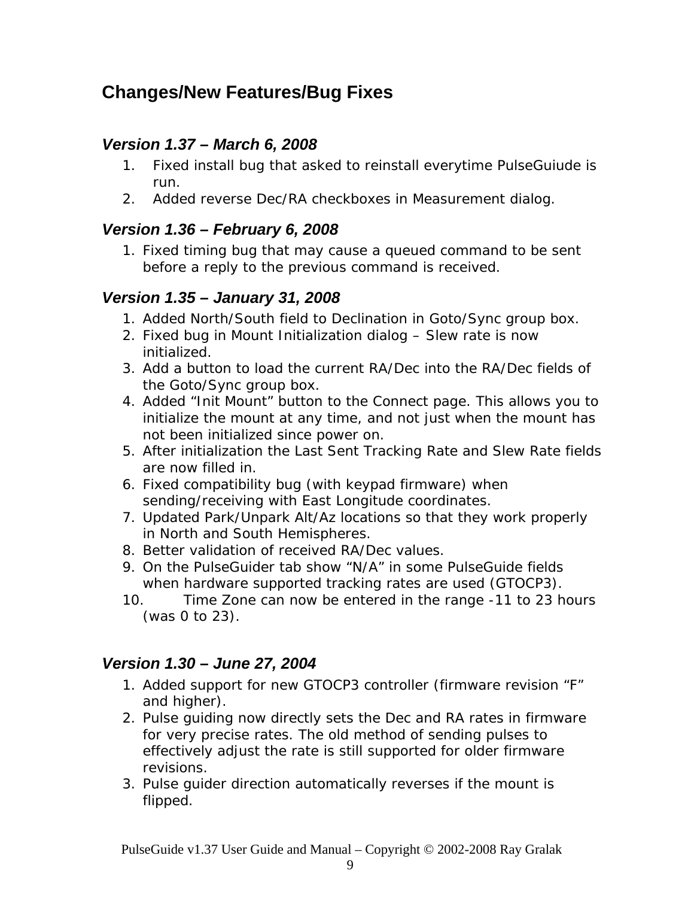# **Changes/New Features/Bug Fixes**

## *Version 1.37 – March 6, 2008*

- 1. Fixed install bug that asked to reinstall everytime PulseGuiude is run.
- 2. Added reverse Dec/RA checkboxes in Measurement dialog.

## *Version 1.36 – February 6, 2008*

1. Fixed timing bug that may cause a queued command to be sent before a reply to the previous command is received.

## *Version 1.35 – January 31, 2008*

- 1. Added North/South field to Declination in Goto/Sync group box.
- 2. Fixed bug in Mount Initialization dialog Slew rate is now initialized.
- 3. Add a button to load the current RA/Dec into the RA/Dec fields of the Goto/Sync group box.
- 4. Added "Init Mount" button to the Connect page. This allows you to initialize the mount at any time, and not just when the mount has not been initialized since power on.
- 5. After initialization the Last Sent Tracking Rate and Slew Rate fields are now filled in.
- 6. Fixed compatibility bug (with keypad firmware) when sending/receiving with East Longitude coordinates.
- 7. Updated Park/Unpark Alt/Az locations so that they work properly in North and South Hemispheres.
- 8. Better validation of received RA/Dec values.
- 9. On the PulseGuider tab show "N/A" in some PulseGuide fields when hardware supported tracking rates are used (GTOCP3).
- 10. Time Zone can now be entered in the range -11 to 23 hours (was 0 to 23).

## *Version 1.30 – June 27, 2004*

- 1. Added support for new GTOCP3 controller (firmware revision "F" and higher).
- 2. Pulse guiding now directly sets the Dec and RA rates in firmware for very precise rates. The old method of sending pulses to effectively adjust the rate is still supported for older firmware revisions.
- 3. Pulse guider direction automatically reverses if the mount is flipped.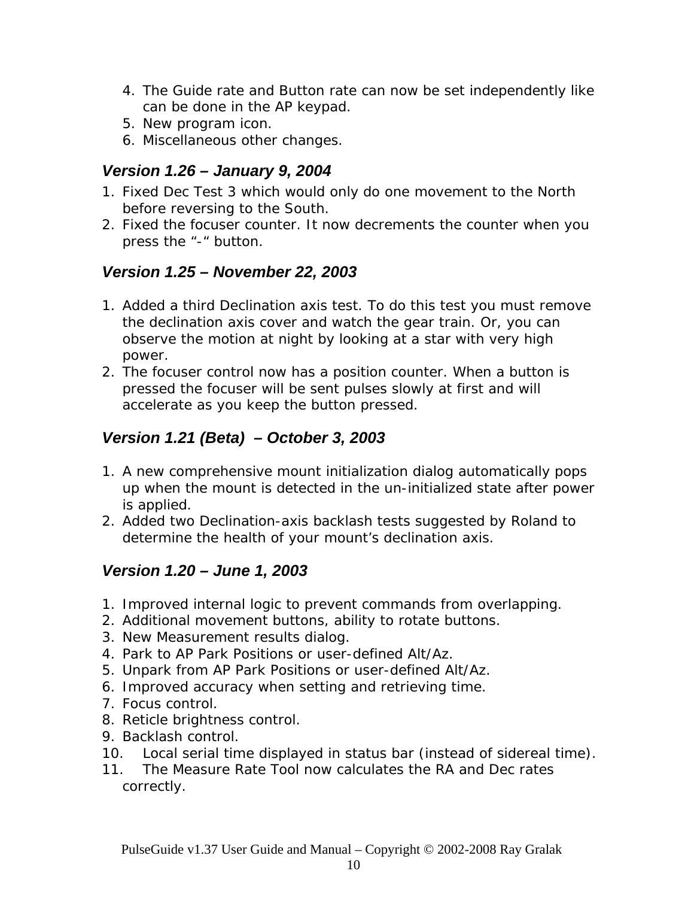- 4. The Guide rate and Button rate can now be set independently like can be done in the AP keypad.
- 5. New program icon.
- 6. Miscellaneous other changes.

### *Version 1.26 – January 9, 2004*

- 1. Fixed Dec Test 3 which would only do one movement to the North before reversing to the South.
- 2. Fixed the focuser counter. It now decrements the counter when you press the "-" button.

### *Version 1.25 – November 22, 2003*

- 1. Added a third Declination axis test. To do this test you must remove the declination axis cover and watch the gear train. Or, you can observe the motion at night by looking at a star with very high power.
- 2. The focuser control now has a position counter. When a button is pressed the focuser will be sent pulses slowly at first and will accelerate as you keep the button pressed.

## *Version 1.21 (Beta) – October 3, 2003*

- 1. A new comprehensive mount initialization dialog automatically pops up when the mount is detected in the un-initialized state after power is applied.
- 2. Added two Declination-axis backlash tests suggested by Roland to determine the health of your mount's declination axis.

## *Version 1.20 – June 1, 2003*

- 1. Improved internal logic to prevent commands from overlapping.
- 2. Additional movement buttons, ability to rotate buttons.
- 3. New Measurement results dialog.
- 4. Park to AP Park Positions or user-defined Alt/Az.
- 5. Unpark from AP Park Positions or user-defined Alt/Az.
- 6. Improved accuracy when setting and retrieving time.
- 7. Focus control.
- 8. Reticle brightness control.
- 9. Backlash control.
- 10. Local serial time displayed in status bar (instead of sidereal time).
- 11. The Measure Rate Tool now calculates the RA and Dec rates correctly.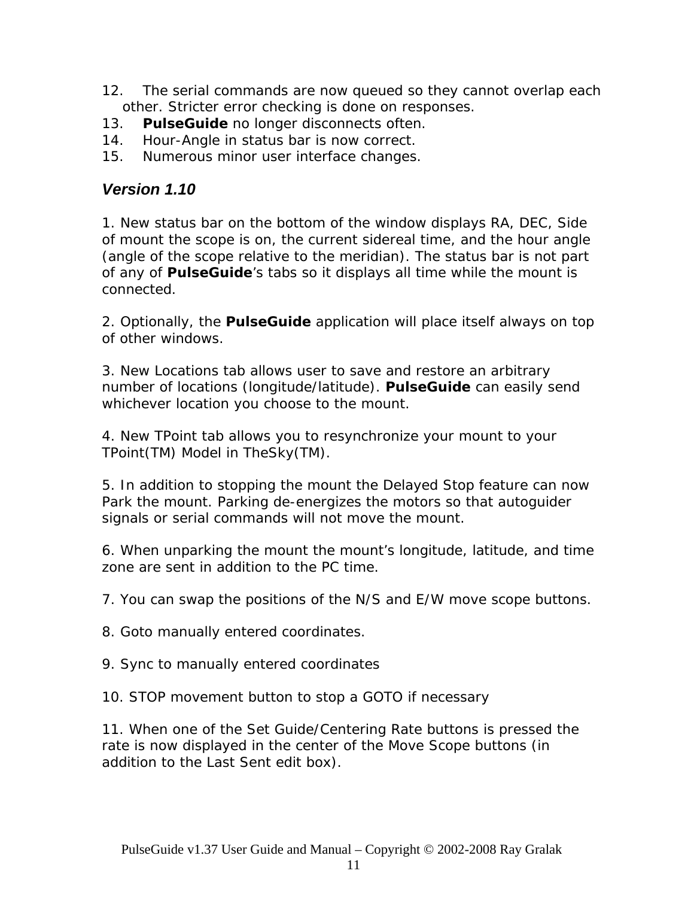- 12. The serial commands are now queued so they cannot overlap each other. Stricter error checking is done on responses.
- 13. *PulseGuide* no longer disconnects often.
- 14. Hour-Angle in status bar is now correct.
- 15. Numerous minor user interface changes.

### *Version 1.10*

1. New status bar on the bottom of the window displays RA, DEC, Side of mount the scope is on, the current sidereal time, and the hour angle (angle of the scope relative to the meridian). The status bar is not part of any of *PulseGuide*'s tabs so it displays all time while the mount is connected.

2. Optionally, the *PulseGuide* application will place itself always on top of other windows.

3. New Locations tab allows user to save and restore an arbitrary number of locations (longitude/latitude). *PulseGuide* can easily send whichever location you choose to the mount.

4. New TPoint tab allows you to resynchronize your mount to your TPoint(TM) Model in TheSky(TM).

5. In addition to stopping the mount the Delayed Stop feature can now Park the mount. Parking de-energizes the motors so that autoguider signals or serial commands will not move the mount.

6. When unparking the mount the mount's longitude, latitude, and time zone are sent in addition to the PC time.

7. You can swap the positions of the N/S and E/W move scope buttons.

8. Goto manually entered coordinates.

9. Sync to manually entered coordinates

10. STOP movement button to stop a GOTO if necessary

11. When one of the Set Guide/Centering Rate buttons is pressed the rate is now displayed in the center of the Move Scope buttons (in addition to the Last Sent edit box).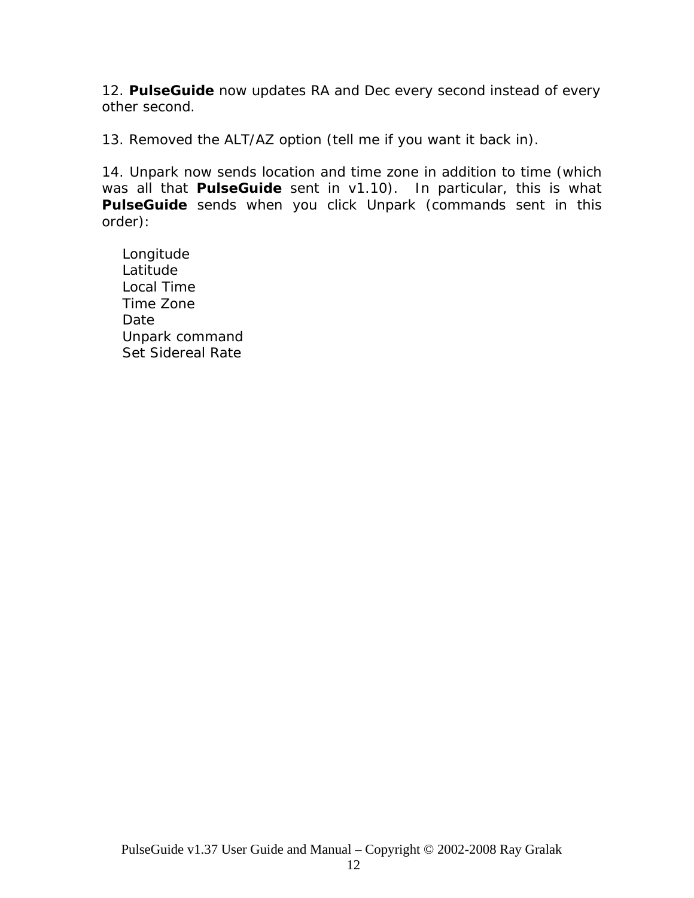12. *PulseGuide* now updates RA and Dec every second instead of every other second.

13. Removed the ALT/AZ option (tell me if you want it back in).

14. Unpark now sends location and time zone in addition to time (which was all that *PulseGuide* sent in v1.10). In particular, this is what *PulseGuide* sends when you click Unpark (commands sent in this order):

Longitude Latitude Local Time Time Zone Date Unpark command Set Sidereal Rate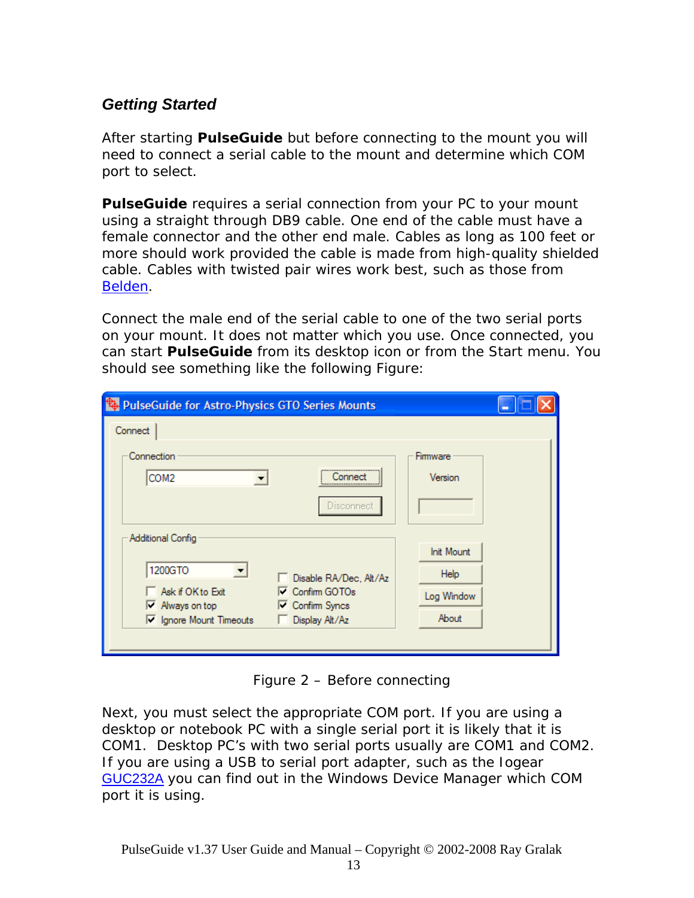## *Getting Started*

After starting *PulseGuide* but before connecting to the mount you will need to connect a serial cable to the mount and determine which COM port to select.

*PulseGuide* requires a serial connection from your PC to your mount using a straight through DB9 cable. One end of the cable must have a female connector and the other end male. Cables as long as 100 feet or more should work provided the cable is made from high-quality shielded cable. Cables with twisted pair wires work best, such as those from [Belden.](http://www.belden.com/)

Connect the male end of the serial cable to one of the two serial ports on your mount. It does not matter which you use. Once connected, you can start *PulseGuide* from its desktop icon or from the Start menu. You should see something like the following Figure:

| PulseGuide for Astro-Physics GTO Series Mounts                                                                                                               | ╾ |
|--------------------------------------------------------------------------------------------------------------------------------------------------------------|---|
| Connect                                                                                                                                                      |   |
| Connection<br>Firmware<br><br>COM <sub>2</sub><br>Version<br>.onnect<br>Disconnect                                                                           |   |
| Additional Config<br><b>Init Mount</b><br>1200GTO<br>≖<br><b>Help</b><br>Disable RA/Dec, Alt/Az<br>Ask if OK to Exit<br>$\nabla$ Confirm GOTOs<br>Log Window |   |
| $\overline{\phantom{a}}$ Always on top<br><b>□</b> Confirm Syncs<br>About<br>Iv Ignore Mount Timeouts<br>Display Alt/Az                                      |   |

Figure 2 – Before connecting

Next, you must select the appropriate COM port. If you are using a desktop or notebook PC with a single serial port it is likely that it is COM1. Desktop PC's with two serial ports usually are COM1 and COM2. If you are using a USB to serial port adapter, such as the Iogear [GUC232A](http://www.iogear.com/products/product.php?Item=GUC232A) you can find out in the Windows Device Manager which COM port it is using.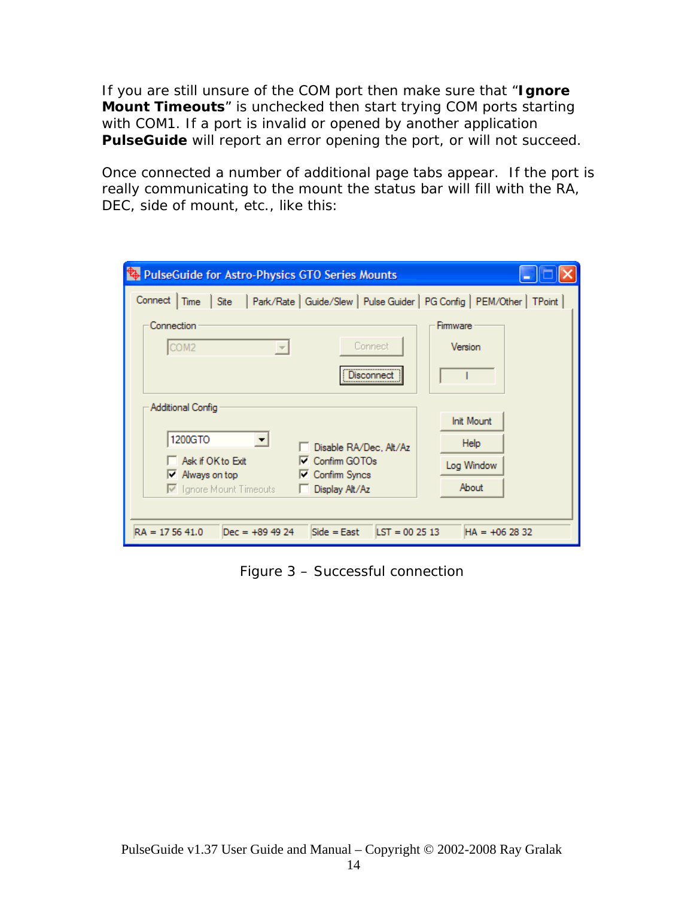If you are still unsure of the COM port then make sure that "**Ignore Mount Timeouts**" is unchecked then start trying COM ports starting with COM1. If a port is invalid or opened by another application *PulseGuide* will report an error opening the port, or will not succeed.

Once connected a number of additional page tabs appear. If the port is really communicating to the mount the status bar will fill with the RA, DEC, side of mount, etc., like this:

| <b>&amp; PulseGuide for Astro-Physics GTO Series Mounts</b>                                        |                     |
|----------------------------------------------------------------------------------------------------|---------------------|
| Site   Park/Rate   Guide/Slew   Pulse Guider   PG Config   PEM/Other   TPoint  <br>Connect<br>Time |                     |
| Connection<br>Connect<br>COM2                                                                      | Firmware<br>Version |
| Disconnec                                                                                          |                     |
| Additional Config                                                                                  | <b>Init Mount</b>   |
| 1200GTO<br>□ Disable RA/Dec, Alt/Az                                                                | Help                |
| Ask if OK to Exit<br>□ Confirm GOTOs<br>$\nabla$ Always on top<br>$\nabla$ Confirm Syncs           | Log Window          |
| □ Ignore Mount Timeouts<br>□ Display Alt/Az                                                        | About               |
|                                                                                                    |                     |
| $RA = 175641.0$<br>$\text{LST} = 002513$<br>$Dec = +89.49.24$<br>$Side = East$                     | $HA = +062832$      |

Figure 3 – Successful connection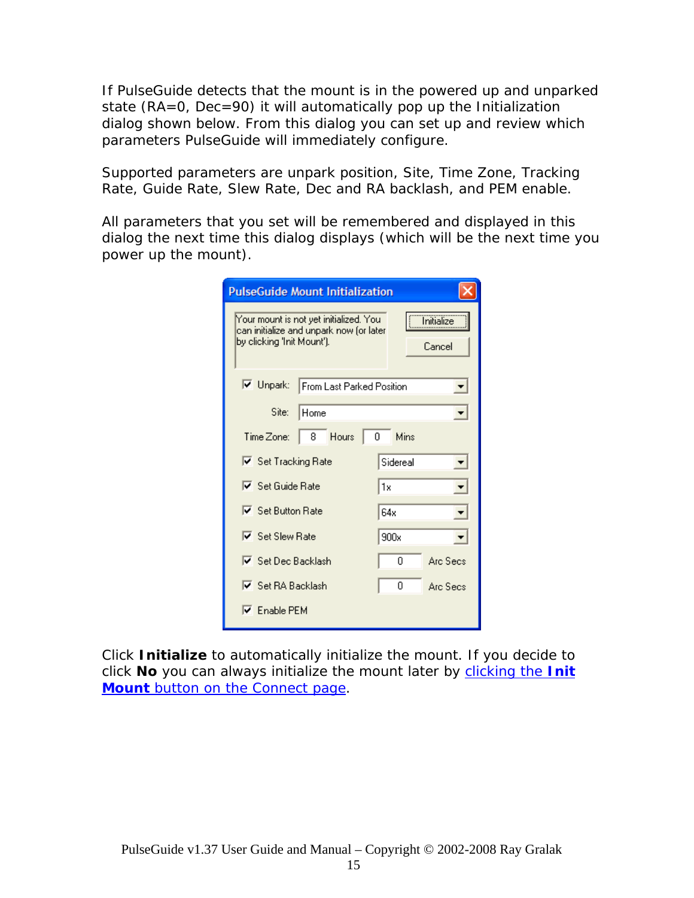If PulseGuide detects that the mount is in the powered up and unparked state (RA=0, Dec=90) it will automatically pop up the Initialization dialog shown below. From this dialog you can set up and review which parameters PulseGuide will immediately configure.

Supported parameters are unpark position, Site, Time Zone, Tracking Rate, Guide Rate, Slew Rate, Dec and RA backlash, and PEM enable.

All parameters that you set will be remembered and displayed in this dialog the next time this dialog displays (which will be the next time you power up the mount).

| <b>PulseGuide Mount Initialization</b>                                                                          |                              |
|-----------------------------------------------------------------------------------------------------------------|------------------------------|
| Your mount is not yet initialized. You<br>can initialize and unpark now (or later<br>by clicking 'Init Mount'). | <u>Initialize</u><br>Cancel  |
| $\nabla$ Unpark:<br>From Last Parked Position                                                                   | $\blacktriangledown$         |
| Site:<br>Home                                                                                                   | ▾                            |
| 8 Hours<br>Time Zone:                                                                                           | 0<br>Mins                    |
| Ⅳ Set Tracking Rate                                                                                             | Sidereal<br>▼                |
| $\nabla$ Set Guide Rate                                                                                         | l1x<br>$\vert \cdot \vert$   |
| $\overline{\triangledown}$ Set Button Rate                                                                      | 64x                          |
| $\overline{\triangledown}$ Set Slew Rate                                                                        | 900x<br>$\blacktriangledown$ |
| ☑ Set Dec Backlash                                                                                              | n<br>Arc Secs                |
| <b>▽</b> Set RA Backlash                                                                                        | 0<br>Arc Secs                |
| $\nabla$ Enable PEM                                                                                             |                              |

Click **Initialize** to automatically initialize the mount. If you decide to click **No** you can always initialize the mount later by [clicking the](#page-0-0) **Init Mount** [button on the Connect page](#page-0-0).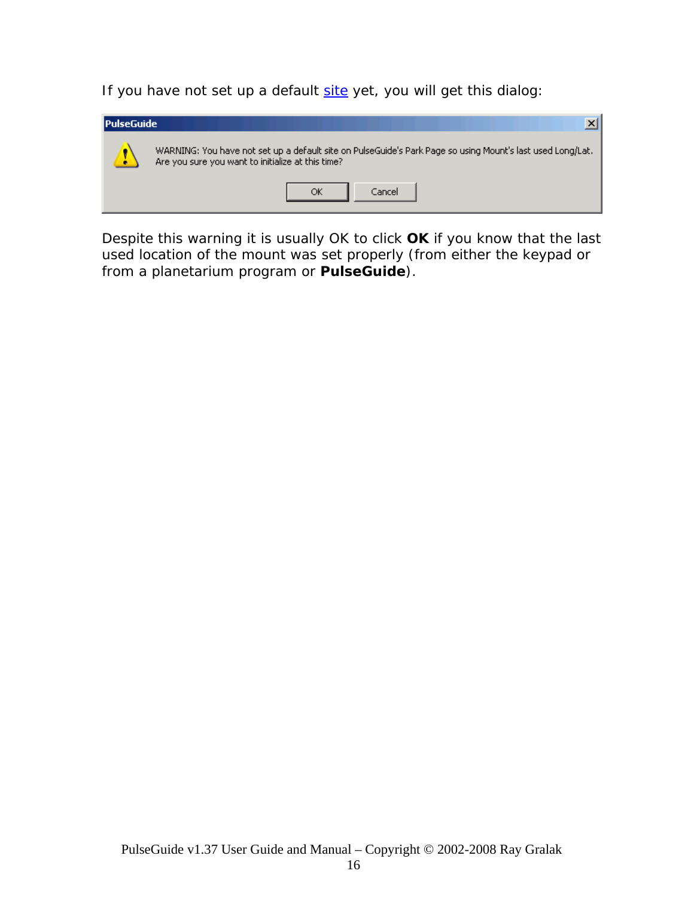If you have not set up a default [site](#page-0-0) yet, you will get this dialog:



Despite this warning it is usually OK to click **OK** if you know that the last used location of the mount was set properly (from either the keypad or from a planetarium program or *PulseGuide*).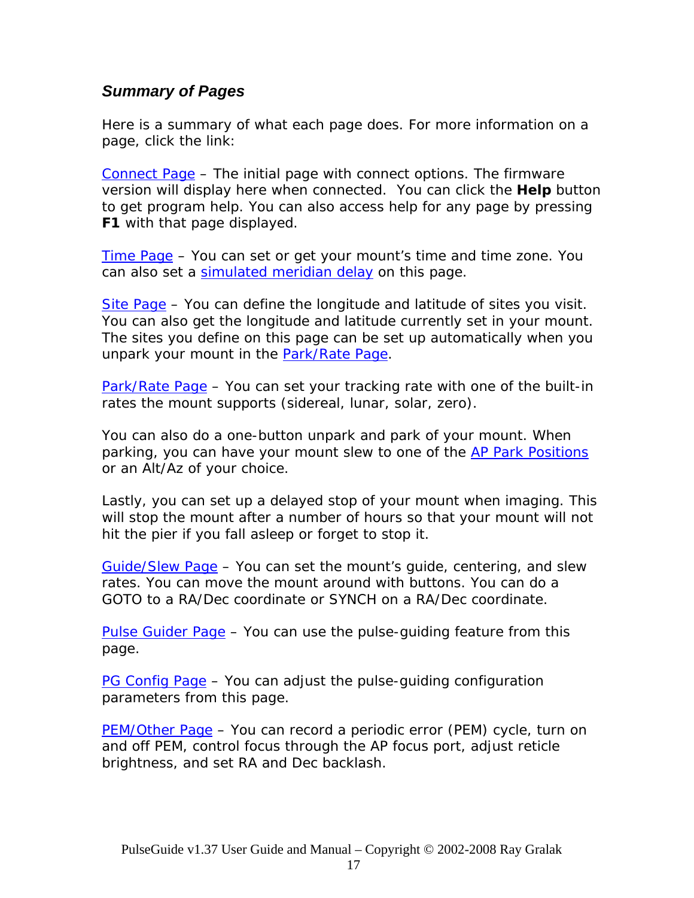### *Summary of Pages*

Here is a summary of what each page does. For more information on a page, click the link:

[Connect Page](#page-0-0) – The initial page with connect options. The firmware version will display here when connected. You can click the **Help** button to get program help. You can also access help for any page by pressing **F1** with that page displayed.

[Time Page](#page-0-0) – You can set or get your mount's time and time zone. You can also set a [simulated meridian delay](#page-0-0) on this page.

[Site Page](#page-0-0) – You can define the longitude and latitude of sites you visit. You can also get the longitude and latitude currently set in your mount. The sites you define on this page can be set up automatically when you unpark your mount in the **[Park/Rate Page](#page-0-0)**.

[Park/Rate Page](#page-0-0) – You can set your tracking rate with one of the built-in rates the mount supports (sidereal, lunar, solar, zero).

You can also do a one-button unpark and park of your mount. When parking, you can have your mount slew to one of the [AP Park Positions](#page-0-0) or an Alt/Az of your choice.

Lastly, you can set up a delayed stop of your mount when imaging. This will stop the mount after a number of hours so that your mount will not hit the pier if you fall asleep or forget to stop it.

[Guide/Slew Page](#page-0-0) – You can set the mount's guide, centering, and slew rates. You can move the mount around with buttons. You can do a GOTO to a RA/Dec coordinate or SYNCH on a RA/Dec coordinate.

[Pulse Guider Page](#page-0-0) – You can use the pulse-guiding feature from this page.

[PG Config Page](#page-0-0) – You can adjust the pulse-guiding configuration parameters from this page.

[PEM/Other Page](#page-0-0) – You can record a periodic error (PEM) cycle, turn on and off PEM, control focus through the AP focus port, adjust reticle brightness, and set RA and Dec backlash.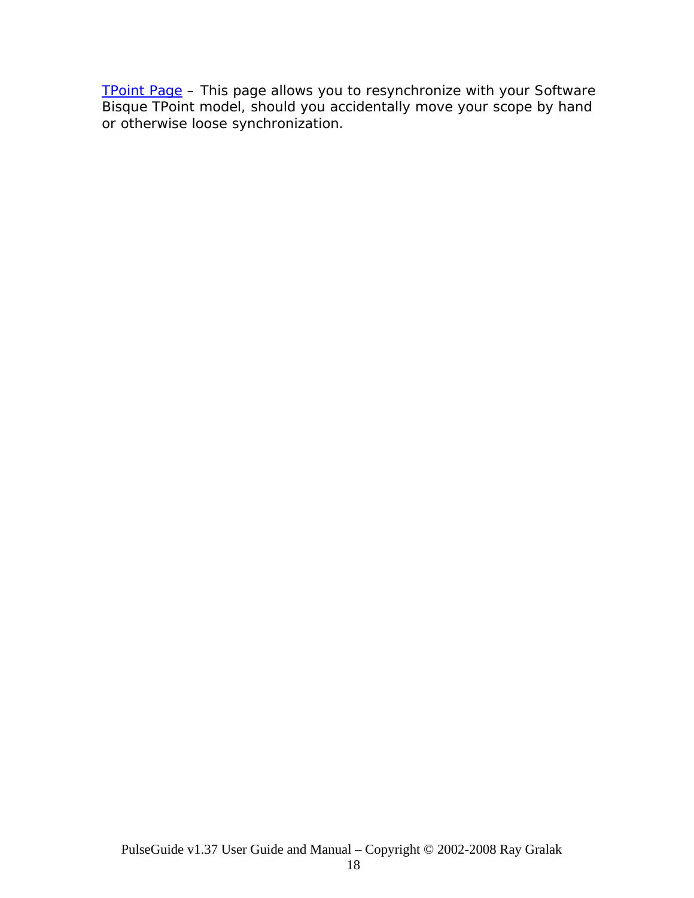[TPoint Page](#page-0-0) – This page allows you to resynchronize with your Software [Bisque](http://www.bisque.com/) [TPoint](http://www.bisque.com/Products/TPoint/TPoint.asp) model, should you accidentally move your scope by hand or otherwise loose synchronization.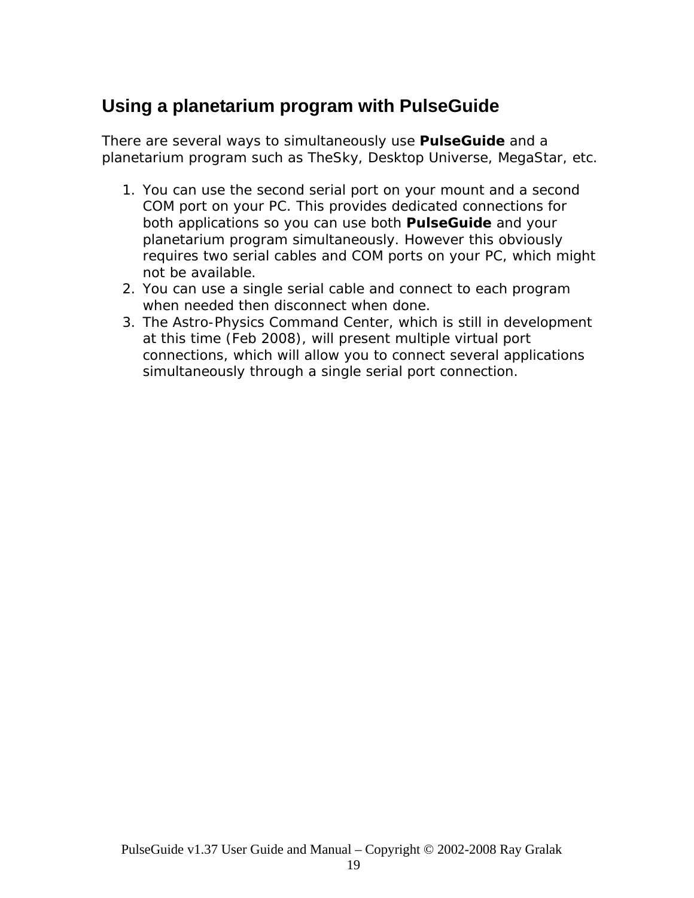# **Using a planetarium program with PulseGuide**

There are several ways to simultaneously use *PulseGuide* and a planetarium program such as TheSky, Desktop Universe, MegaStar, etc.

- 1. You can use the second serial port on your mount and a second COM port on your PC. This provides dedicated connections for both applications so you can use both *PulseGuide* and your planetarium program simultaneously. However this obviously requires two serial cables and COM ports on your PC, which might not be available.
- 2. You can use a single serial cable and connect to each program when needed then disconnect when done.
- 3. The Astro-Physics Command Center, which is still in development at this time (Feb 2008), will present multiple virtual port connections, which will allow you to connect several applications simultaneously through a single serial port connection.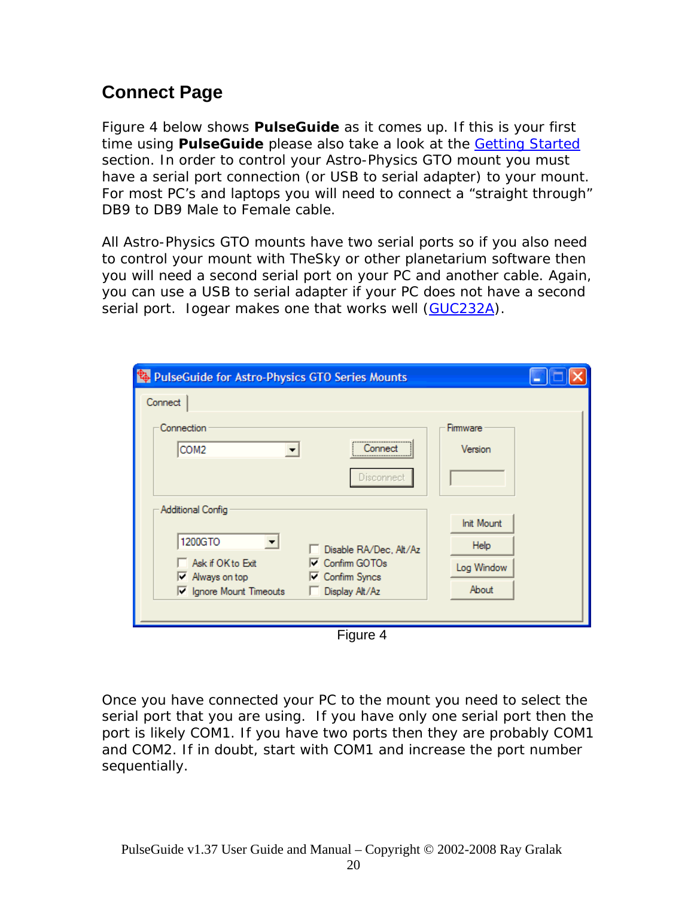# **Connect Page**

Figure 4 below shows *PulseGuide* as it comes up. If this is your first time using *PulseGuide* please also take a look at the [Getting Started](#page-0-0) section. In order to control your Astro-Physics GTO mount you must have a serial port connection (or USB to serial adapter) to your mount. For most PC's and laptops you will need to connect a "straight through" DB9 to DB9 Male to Female cable.

All Astro-Physics GTO mounts have two serial ports so if you also need to control your mount with TheSky or other planetarium software then you will need a second serial port on your PC and another cable. Again, you can use a USB to serial adapter if your PC does not have a second serial port. logear makes one that works well ([GUC232A](http://www.iogear.com/products/product.php?Item=GUC232A)).

| <b>&amp; PulseGuide for Astro-Physics GTO Series Mounts</b>                                                                                   |                           |
|-----------------------------------------------------------------------------------------------------------------------------------------------|---------------------------|
| Connect                                                                                                                                       |                           |
| Connection<br>COM <sub>2</sub><br>Connect<br>▼                                                                                                | Firmware<br>Version       |
| Disconnect                                                                                                                                    |                           |
| Additional Config<br>1200GTO<br>$\vert \bm{\tau} \vert$<br>Disable RA/Dec, Alt/Az                                                             | <b>Init Mount</b><br>Help |
| Ask if OK to Exit<br>$\nabla$ Confirm GOTOs<br>$\nabla$ Always on top<br><b>□ Confirm Syncs</b><br>IV Ignore Mount Timeouts<br>Display Alt/Az | Log Window<br>About       |
|                                                                                                                                               |                           |

Figure 4

Once you have connected your PC to the mount you need to select the serial port that you are using. If you have only one serial port then the port is likely COM1. If you have two ports then they are probably COM1 and COM2. If in doubt, start with COM1 and increase the port number sequentially.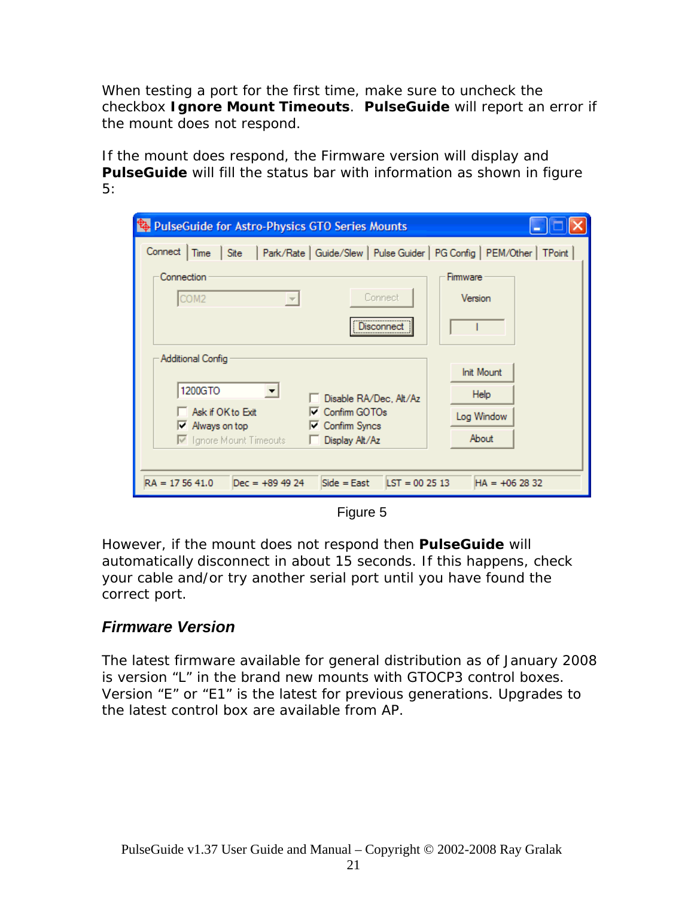When testing a port for the first time, make sure to uncheck the checkbox **Ignore Mount Timeouts**. *PulseGuide* will report an error if the mount does not respond.

If the mount does respond, the Firmware version will display and **PulseGuide** will fill the status bar with information as shown in figure 5:

| PulseGuide for Astro-Physics GTO Series Mounts                                                      |                   |
|-----------------------------------------------------------------------------------------------------|-------------------|
| Park/Rate   Guide/Slew   Pulse Guider   PG Config   PEM/Other   TPoint  <br>Connect<br>Site<br>Time |                   |
| Connection                                                                                          | Firmware          |
| Connect<br>COM <sub>2</sub><br>$\overline{\phantom{m}}$                                             | Version           |
| <b>Jisconnec</b><br>                                                                                |                   |
| Additional Config                                                                                   |                   |
|                                                                                                     | <b>Init Mount</b> |
| 1200GTO<br>▼<br>□ Disable RA/Dec, Alt/Az                                                            | Help              |
| Ask if OK to Exit<br><b>□</b> Confirm GOTOs                                                         | Log Window        |
| Always on top<br><b>□ Confirm Syncs</b><br>☞<br>□ Ignore Mount Timeouts<br>Display Alt/Az           | About             |
|                                                                                                     |                   |
|                                                                                                     |                   |
| $LST = 002513$<br>$Side = East$<br>$RA = 175641.0$<br>$Dec = +89.49.24$                             | $HA = +062832$    |

Figure 5

However, if the mount does not respond then *PulseGuide* will automatically disconnect in about 15 seconds. If this happens, check your cable and/or try another serial port until you have found the correct port.

## *Firmware Version*

The latest firmware available for general distribution as of January 2008 is version "L" in the brand new mounts with GTOCP3 control boxes. Version "E" or "E1" is the latest for previous generations. Upgrades to the latest control box are available from AP.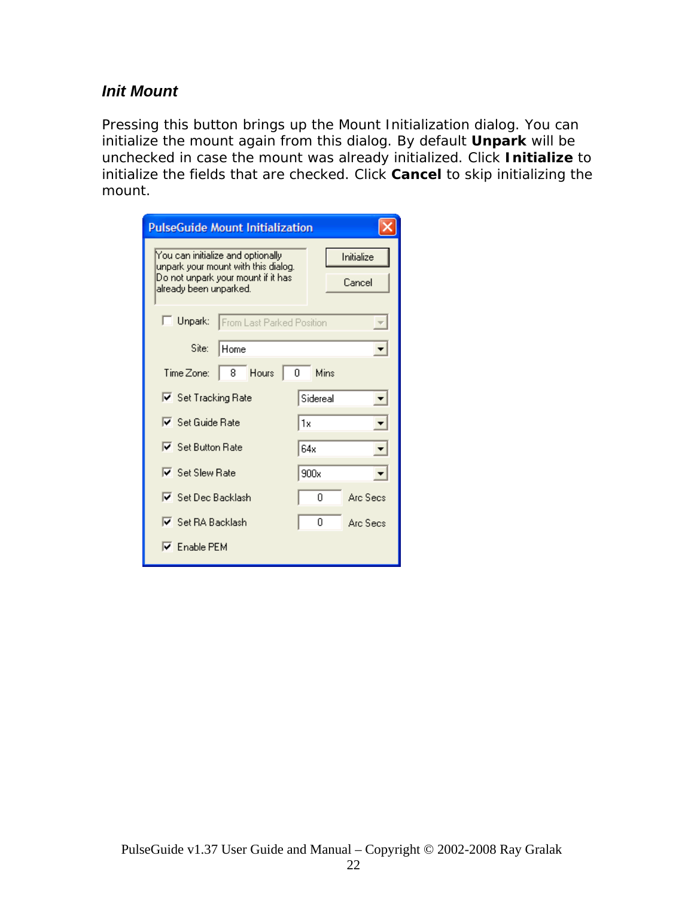### *Init Mount*

Pressing this button brings up the Mount Initialization dialog. You can initialize the mount again from this dialog. By default **Unpark** will be unchecked in case the mount was already initialized. Click **Initialize** to initialize the fields that are checked. Click **Cancel** to skip initializing the mount.

| <b>PulseGuide Mount Initialization</b>                                                                                                   |                          |
|------------------------------------------------------------------------------------------------------------------------------------------|--------------------------|
| You can initialize and optionally<br>unpark your mount with this dialog.<br>Do not unpark your mount if it has<br>already been unparked. | Initialize<br>Cancel     |
| $\Box$ Unpark:<br>From Last Parked Position                                                                                              | $\overline{\mathcal{F}}$ |
| Site:<br>Home                                                                                                                            |                          |
| 8 Hours<br>Time Zone:<br>0                                                                                                               | Mins                     |
| Ⅳ Set Tracking Rate                                                                                                                      | Sidereal<br>▼            |
| $\nabla$ Set Guide Rate                                                                                                                  | l1x                      |
| $\nabla$ Set Button Rate                                                                                                                 | 64x                      |
| $\nabla$ Set Slew Rate                                                                                                                   | 900x                     |
| <b>▽</b> Set Dec Backlash                                                                                                                | Arc Secs<br>Ω            |
| $\nabla$ Set RA Backlash                                                                                                                 | 0<br>Arc Secs            |
| $\nabla$ Enable PEM                                                                                                                      |                          |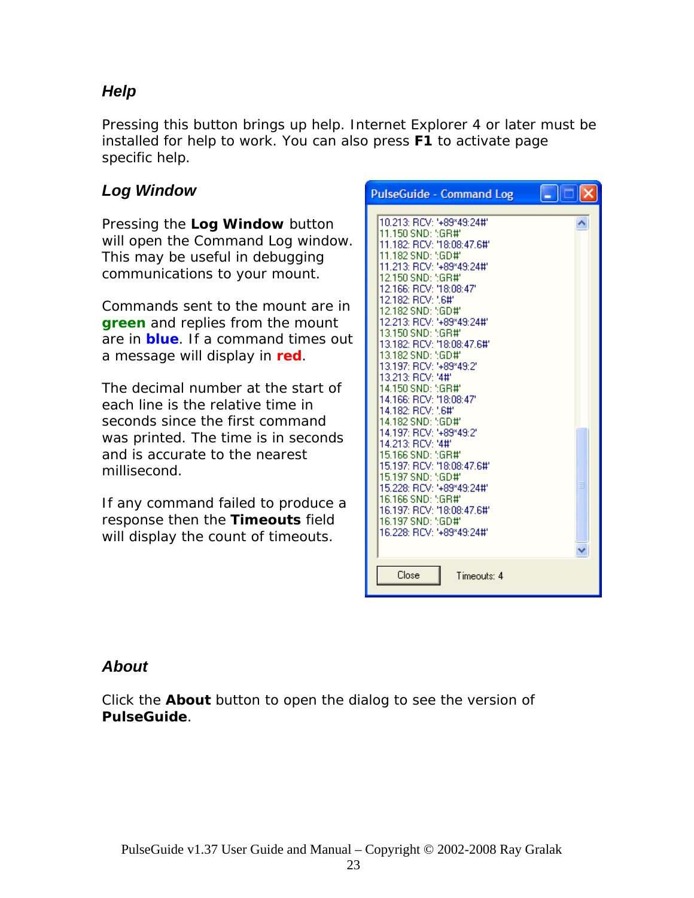## *Help*

Pressing this button brings up help. Internet Explorer 4 or later must be installed for help to work. You can also press **F1** to activate page specific help.

## *Log Window*

Pressing the **Log Window** button will open the Command Log window. This may be useful in debugging communications to your mount.

Commands sent to the mount are in **green** and replies from the mount are in **blue**. If a command times out a message will display in **red**.

The decimal number at the start of each line is the relative time in seconds since the first command was printed. The time is in seconds and is accurate to the nearest millisecond.

If any command failed to produce a response then the **Timeouts** field will display the count of timeouts.

| <b>PulseGuide - Command Log</b>                                                                                                                                                                                                                                                                                                                                                                                                                                                                          |  |
|----------------------------------------------------------------------------------------------------------------------------------------------------------------------------------------------------------------------------------------------------------------------------------------------------------------------------------------------------------------------------------------------------------------------------------------------------------------------------------------------------------|--|
| 10.213: RCV: '+89*49:24#'<br>11.150 SND: 5GR#'<br>11.182: RCV: '18:08:47.6#'<br>11.182 SND: ":GD#"<br>11.213: RCV: '+89*49:24#'<br>12.150 SND: "GR#"<br>12.166: RCV: '18:08:47'<br>12.182: RCV: '.6#'<br>12.182 SND: ":GD#"<br>12.213: RCV: '+89*49:24#'<br>13.150 SND: 5GR#'<br>13.182: RCV: '18:08:47.6#'<br>13.182 SND: ":GD#"<br>13.197: RCV: '+89*49:2'<br>13.213: RCV: '4#'<br>14.150 SND: 5GR#'<br>14.166: RCV: '18:08:47'<br>14.182: RCV: '.6#'<br>14.182 SND: ";GD#"<br>14.197: RCV: '+89*49:2' |  |
| 14.213: RCV: '4#'<br>15.166 SND: 5GR#'<br>15.197: RCV: '18:08:47.6#'<br>15.197 SND: 5GD#'<br>15.228: RCV: '+89*49:24#'<br>16.166 SND: 5GR#'<br>16.197: RCV: '18:08:47.6#'<br>16.197 SND: 5GD#'<br>16.228: RCV: '+89*49:24#'                                                                                                                                                                                                                                                                              |  |
| Close<br>Timeouts: 4                                                                                                                                                                                                                                                                                                                                                                                                                                                                                     |  |

## *About*

Click the **About** button to open the dialog to see the version of *PulseGuide*.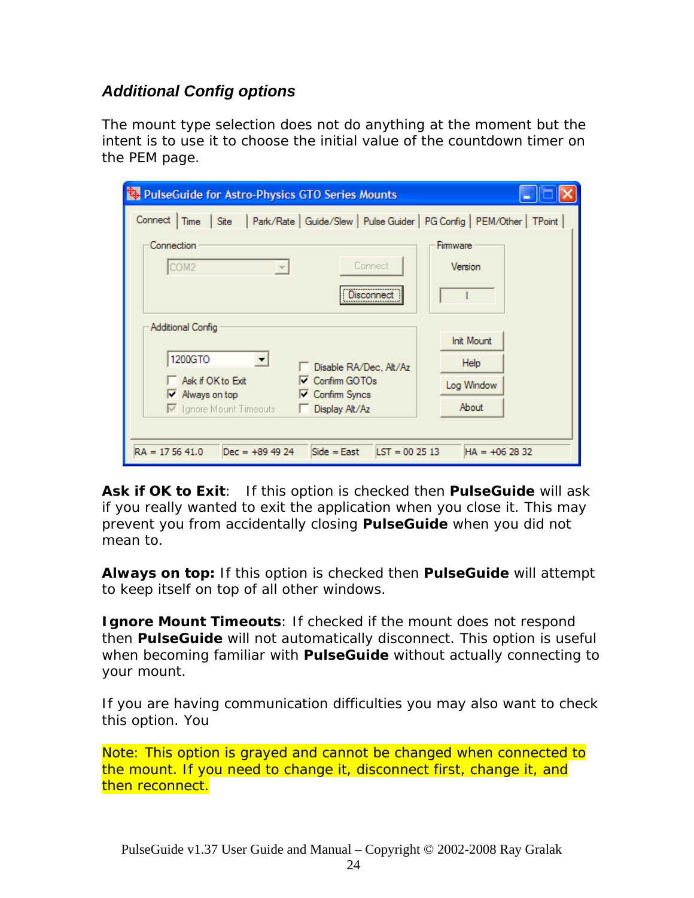### *Additional Config options*

The mount type selection does not do anything at the moment but the intent is to use it to choose the initial value of the countdown timer on the PEM page.

| <b>PulseGuide for Astro-Physics GTO Series Mounts</b>                                              |                   |
|----------------------------------------------------------------------------------------------------|-------------------|
| Site   Park/Rate   Guide/Slew   Pulse Guider   PG Config   PEM/Other   TPoint  <br>Connect<br>Time |                   |
| Connection                                                                                         | Firmware          |
| Connect<br>COM <sub>2</sub><br>$\overline{\mathcal{M}}$                                            | Version           |
| <b>Jisconnect</b>                                                                                  |                   |
| Additional Config                                                                                  |                   |
|                                                                                                    | <b>Init Mount</b> |
| 1200GTO<br>Disable RA/Dec, Alt/Az                                                                  | Help              |
| Ask if OK to Exit<br>Confirm GOTOs<br><b>□ Confirm Syncs</b><br>$\triangleright$ Always on top     | Log Window        |
| □ Ignore Mount Timeouts<br>Display Alt/Az                                                          | About             |
|                                                                                                    |                   |
| $LST = 002513$<br>$RA = 175641.0$<br>$Dec = +89.49.24$<br>$Side = East$                            | $HA = +062832$    |

**Ask if OK to Exit**: If this option is checked then *PulseGuide* will ask if you really wanted to exit the application when you close it. This may prevent you from accidentally closing *PulseGuide* when you did not mean to.

**Always on top:** If this option is checked then *PulseGuide* will attempt to keep itself on top of all other windows.

**Ignore Mount Timeouts**: If checked if the mount does not respond then *PulseGuide* will not automatically disconnect. This option is useful when becoming familiar with *PulseGuide* without actually connecting to your mount.

If you are having communication difficulties you may also want to check this option. You

*Note: This option is grayed and cannot be changed when connected to the mount. If you need to change it, disconnect first, change it, and then reconnect.*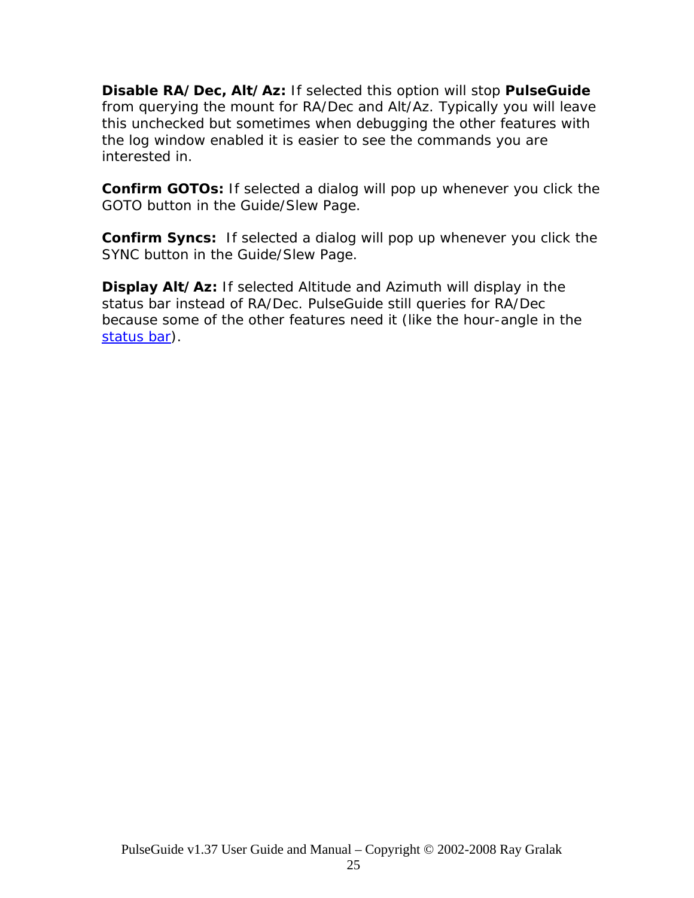**Disable RA/Dec, Alt/Az:** If selected this option will stop *PulseGuide* from querying the mount for RA/Dec and Alt/Az. Typically you will leave this unchecked but sometimes when debugging the other features with the log window enabled it is easier to see the commands you are interested in.

**Confirm GOTOs:** If selected a dialog will pop up whenever you click the GOTO button in the Guide/Slew Page.

**Confirm Syncs:** If selected a dialog will pop up whenever you click the SYNC button in the Guide/Slew Page.

**Display Alt/Az:** If selected Altitude and Azimuth will display in the status bar instead of RA/Dec. PulseGuide still queries for RA/Dec because some of the other features need it (like the hour-angle in the [status bar\)](#page-0-0).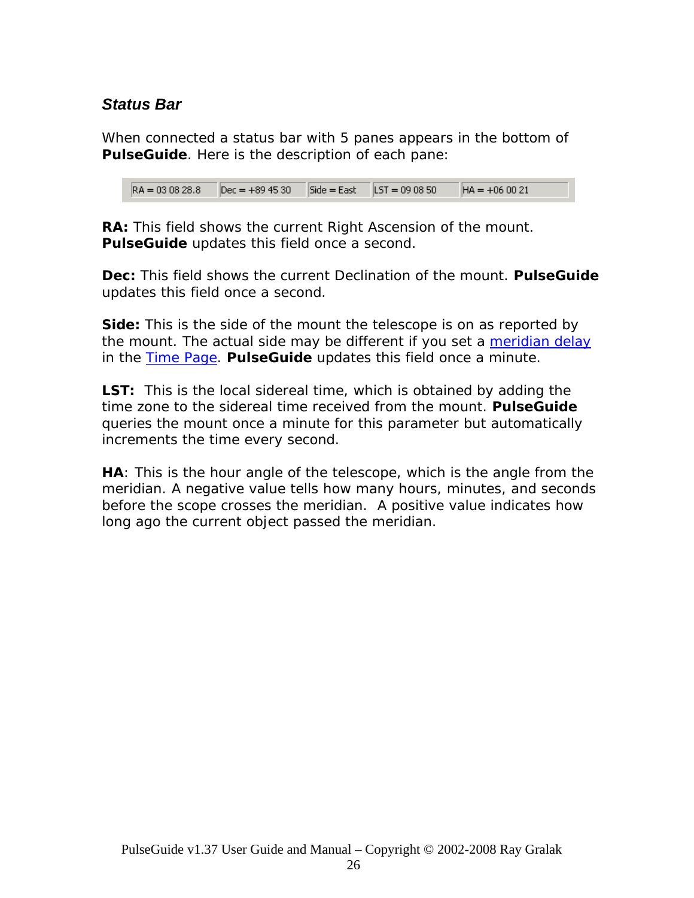### *Status Bar*

When connected a status bar with 5 panes appears in the bottom of *PulseGuide*. Here is the description of each pane:

 $RA = 030828.8$  $Dec = +894530$  $Side = East$   $LST = 090850$  $HA = +060021$ 

**RA:** This field shows the current Right Ascension of the mount. *PulseGuide* updates this field once a second.

**Dec:** This field shows the current Declination of the mount. *PulseGuide* updates this field once a second.

**Side:** This is the side of the mount the telescope is on as reported by the mount. The actual side may be different if you set a [meridian delay](#page-0-0) in the [Time Page.](#page-0-0) *PulseGuide* updates this field once a minute.

**LST:** This is the local sidereal time, which is obtained by adding the time zone to the sidereal time received from the mount. *PulseGuide* queries the mount once a minute for this parameter but automatically increments the time every second.

**HA**: This is the *hour angle* of the telescope, which is the angle from the meridian. A negative value tells how many hours, minutes, and seconds before the scope crosses the meridian. A positive value indicates how long ago the current object passed the meridian.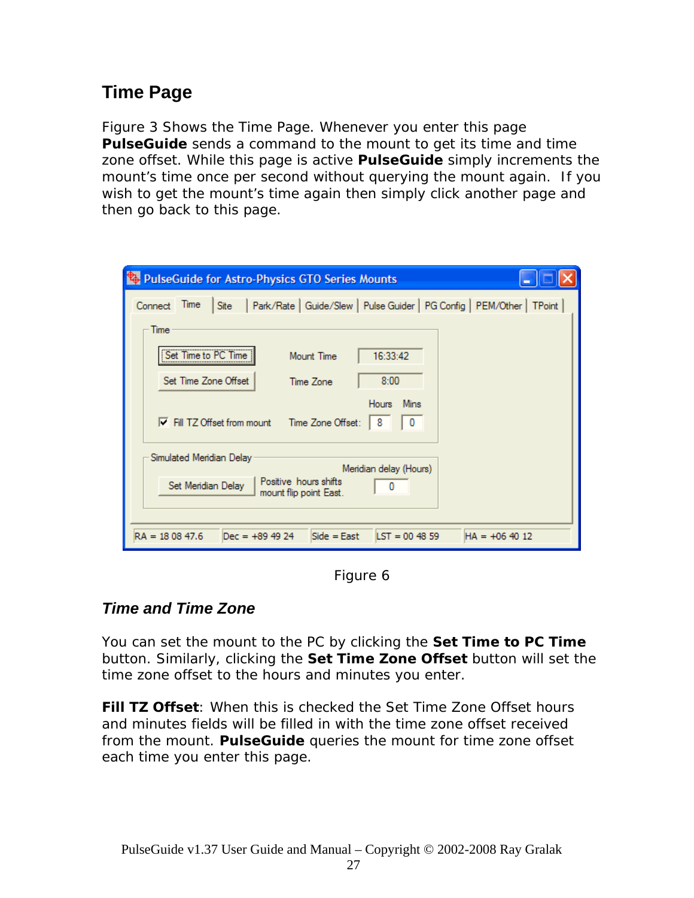# **Time Page**

Figure 3 Shows the Time Page. Whenever you enter this page *PulseGuide* sends a command to the mount to get its time and time zone offset. While this page is active *PulseGuide* simply increments the mount's time once per second without querying the mount again. If you wish to get the mount's time again then simply click another page and then go back to this page.

| <b>Et PulseGuide for Astro-Physics GTO Series Mounts</b>                                           |
|----------------------------------------------------------------------------------------------------|
| Park/Rate   Guide/Slew   Pulse Guider   PG Config   PEM/Other   TPoint<br>Time<br>Connect<br>Site  |
| Time                                                                                               |
| Set Time to PC Time<br>16:33:42<br>Mount Time                                                      |
| Set Time Zone Offset<br>8:00<br>Time Zone                                                          |
| Mins<br><b>Hours</b><br>Time Zone Offset from mount Time Zone Offset:<br>8<br>o                    |
| Simulated Meridian Delay<br>Meridian delay (Hours)                                                 |
| Positive hours shifts<br>Set Meridian Delay<br>mount flip point East.                              |
| $RA = 180847.6$<br>$Dec = +89.49.24$<br>$Side = East$<br>$\text{LST} = 004859$<br>$HA = +06 40 12$ |

Figure 6

## *Time and Time Zone*

You can set the mount to the PC by clicking the **Set Time to PC Time** button. Similarly, clicking the **Set Time Zone Offset** button will set the time zone offset to the hours and minutes you enter.

**Fill TZ Offset**: When this is checked the Set Time Zone Offset hours and minutes fields will be filled in with the time zone offset received from the mount. *PulseGuide* queries the mount for time zone offset each time you enter this page.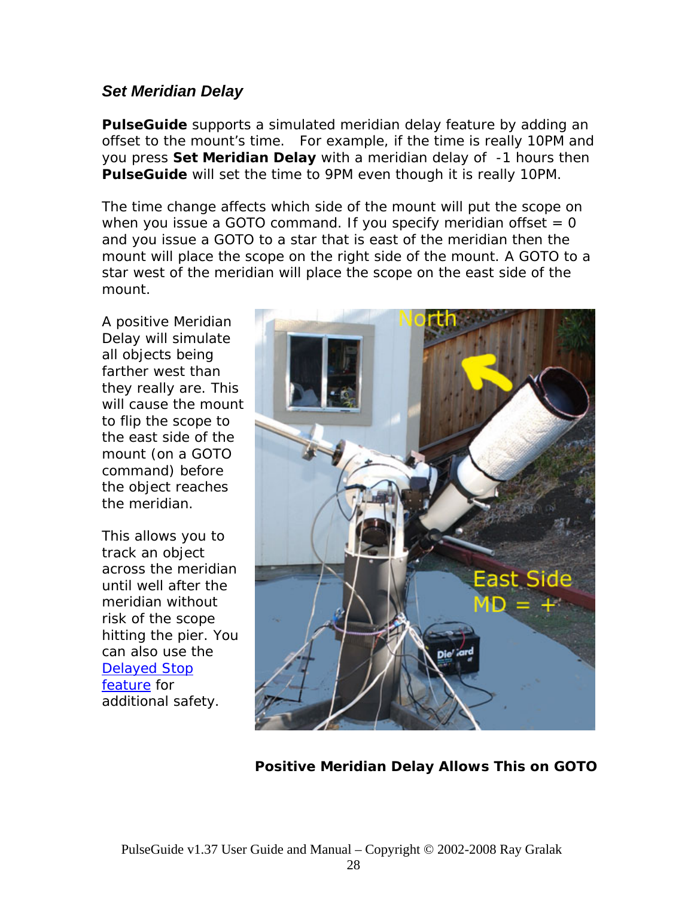### *Set Meridian Delay*

*PulseGuide* supports a simulated meridian delay feature by adding an offset to the mount's time. For example, if the time is really 10PM and you press **Set Meridian Delay** with a meridian delay of -1 hours then *PulseGuide* will set the time to 9PM even though it is really 10PM.

The time change affects which side of the mount will put the scope on when you issue a GOTO command. If you specify meridian offset  $= 0$ and you issue a GOTO to a star that is east of the meridian then the mount will place the scope on the right side of the mount. A GOTO to a star west of the meridian will place the scope on the east side of the mount.

A positive Meridian Delay will simulate all objects being farther west than they really are. This will cause the mount to flip the scope to the east side of the mount (on a GOTO command) before the object reaches the meridian.

This allows you to track an object across the meridian until well after the meridian without risk of the scope hitting the pier. You can also use the [Delayed Stop](#page-0-0)  [feature](#page-0-0) for additional safety.



**Positive Meridian Delay Allows This on GOTO**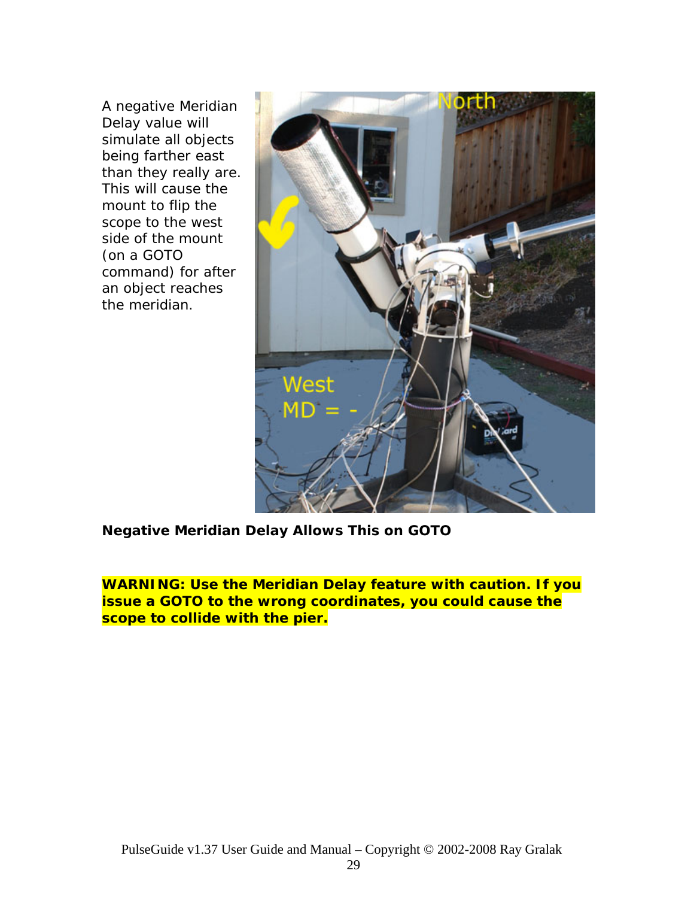A negative Meridian Delay value will simulate all objects being farther east than they really are. This will cause the mount to flip the scope to the west side of the mount (on a GOTO command) for after an object reaches the meridian.



**Negative Meridian Delay Allows This on GOTO** 

**WARNING: Use the Meridian Delay feature with caution. If you issue a GOTO to the wrong coordinates, you could cause the scope to collide with the pier.**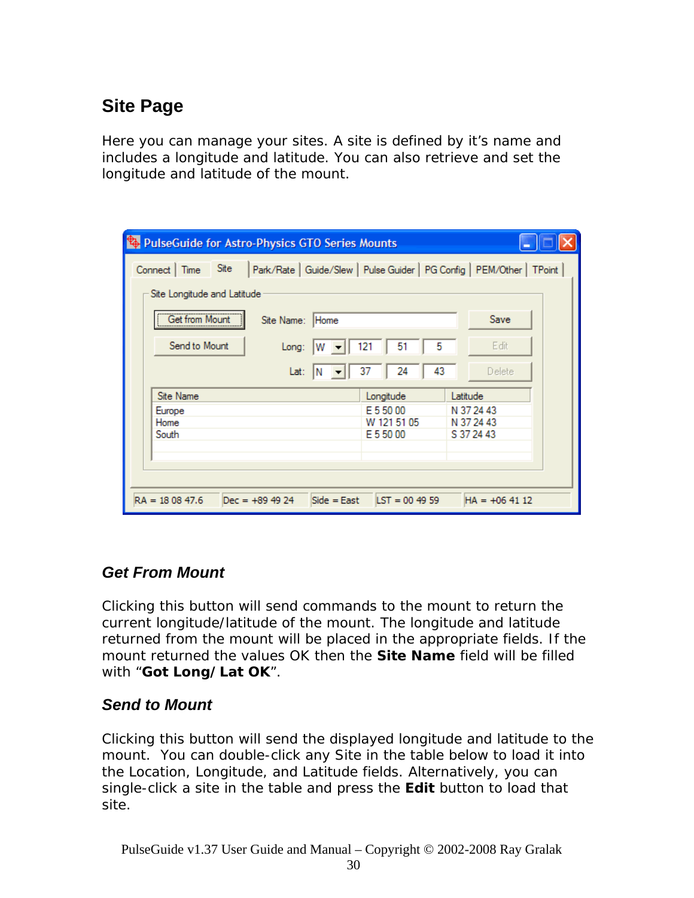# **Site Page**

Here you can manage your sites. A *site* is defined by it's name and includes a longitude and latitude. You can also retrieve and set the longitude and latitude of the mount.

| PulseGuide for Astro-Physics GTO Series Mounts                                                     |            |  |  |  |
|----------------------------------------------------------------------------------------------------|------------|--|--|--|
| Site<br>Park/Rate   Guide/Slew   Pulse Guider   PG Config   PEM/Other   TPoint  <br>Connect   Time |            |  |  |  |
| Site Longitude and Latitude                                                                        |            |  |  |  |
| Get from Mount                                                                                     | Save       |  |  |  |
| Site Name: Home<br>                                                                                |            |  |  |  |
| Send to Mount<br>5<br>51<br>121<br>Long:<br>۱w                                                     | Edit       |  |  |  |
| 43<br>24<br>37<br>Lat:<br>IN                                                                       | Delete     |  |  |  |
| <b>Site Name</b><br>Longitude<br>Latitude                                                          |            |  |  |  |
| E 5 50 00<br>Europe                                                                                | N 37 24 43 |  |  |  |
| Home<br>W 121 51 05                                                                                | N 37 24 43 |  |  |  |
| South<br>E 5 50 00                                                                                 | S 37 24 43 |  |  |  |
|                                                                                                    |            |  |  |  |
|                                                                                                    |            |  |  |  |
|                                                                                                    |            |  |  |  |
| $RA = 180847.6$<br>$Dec = +89.49.24$<br>$Side = East$<br>$\text{LST} = 004959$<br>$HA = +064112$   |            |  |  |  |

## *Get From Mount*

Clicking this button will send commands to the mount to return the current longitude/latitude of the mount. The longitude and latitude returned from the mount will be placed in the appropriate fields. If the mount returned the values OK then the **Site Name** field will be filled with "**Got Long/Lat OK**".

## *Send to Mount*

Clicking this button will send the displayed longitude and latitude to the mount. You can double-click any Site in the table below to load it into the Location, Longitude, and Latitude fields. Alternatively, you can single-click a site in the table and press the **Edit** button to load that site.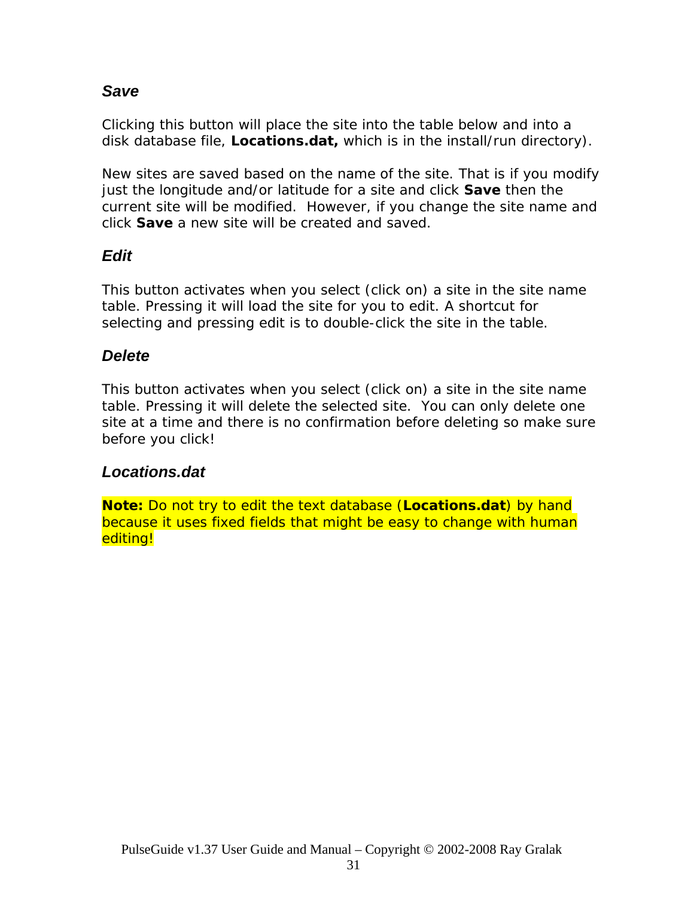### *Save*

Clicking this button will place the site into the table below and into a disk database file, *Locations.dat,* which is in the install/run directory).

New sites are saved based on the name of the site. That is if you modify just the longitude and/or latitude for a site and click **Save** then the current site will be modified. However, if you change the site name and click **Save** a new site will be created and saved.

## *Edit*

This button activates when you select (click on) a site in the site name table. Pressing it will load the site for you to edit. A shortcut for selecting and pressing edit is to double-click the site in the table.

## *Delete*

This button activates when you select (click on) a site in the site name table. Pressing it will delete the selected site. *You can only delete one site at a time and there is no confirmation before deleting so make sure before you click!* 

### *Locations.dat*

**Note:** Do not try to edit the text database (**Locations.dat**) by hand because it uses fixed fields that might be easy to change with human editing!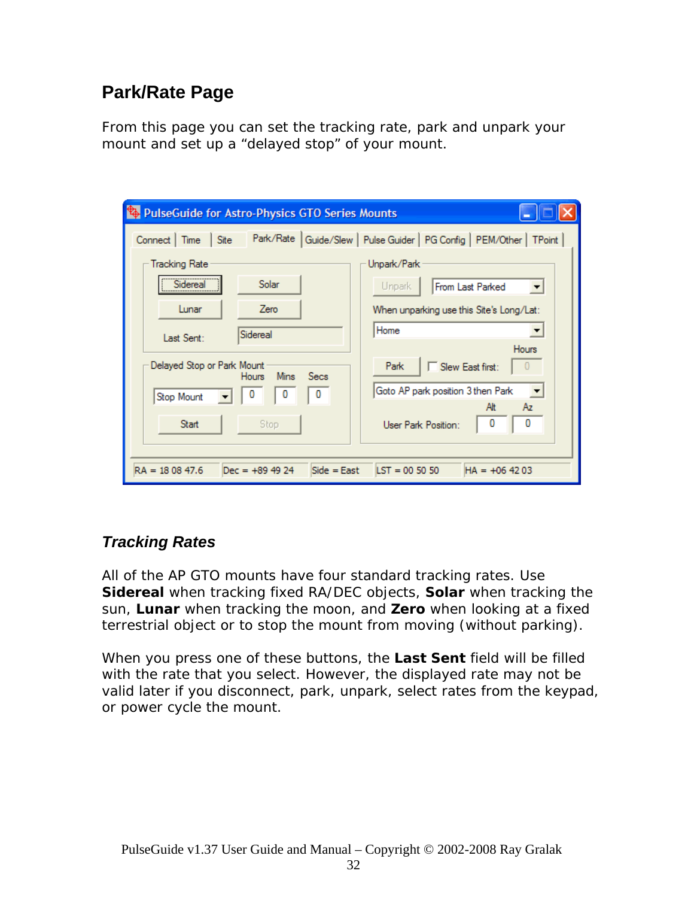# **Park/Rate Page**

From this page you can set the tracking rate, park and unpark your mount and set up a "delayed stop" of your mount.

| <b>PulseGuide for Astro-Physics GTO Series Mounts</b>                    |                                                               |  |  |  |
|--------------------------------------------------------------------------|---------------------------------------------------------------|--|--|--|
| Park/Rate  <br>Connect   Time<br>Site                                    | Guide/Slew   Pulse Guider   PG Config   PEM/Other   TPoint    |  |  |  |
| <b>Tracking Rate</b>                                                     | Unpark/Park                                                   |  |  |  |
| Sidereal<br>Solar                                                        | From Last Parked<br>Unpark                                    |  |  |  |
| Lunar<br>Zero                                                            | When unparking use this Site's Long/Lat:                      |  |  |  |
| Sidereal<br>Last Sent:                                                   | Home                                                          |  |  |  |
| Delayed Stop or Park Mount<br><b>Mins</b><br><b>Secs</b><br><b>Hours</b> | <b>Hours</b><br>Slew East first:<br>Park                      |  |  |  |
| 0<br>0<br>Stop Mount                                                     | Goto AP park position 3 then Park<br>$\overline{\phantom{a}}$ |  |  |  |
| <b>Start</b><br>Stop.                                                    | Alt<br>Αz<br>0<br>User Park Position:                         |  |  |  |
| $RA = 180847.6$<br>$Dec = +89.49.24$<br>$Side = East$                    | $\text{LST} = 005050$<br>$HA = +064203$                       |  |  |  |

## *Tracking Rates*

All of the AP GTO mounts have four standard tracking rates. Use **Sidereal** when tracking fixed RA/DEC objects, **Solar** when tracking the sun, **Lunar** when tracking the moon, and **Zero** when looking at a fixed terrestrial object or to stop the mount from moving (without parking).

When you press one of these buttons, the **Last Sent** field will be filled with the rate that you select. However, the displayed rate may not be valid later if you disconnect, park, unpark, select rates from the keypad, or power cycle the mount.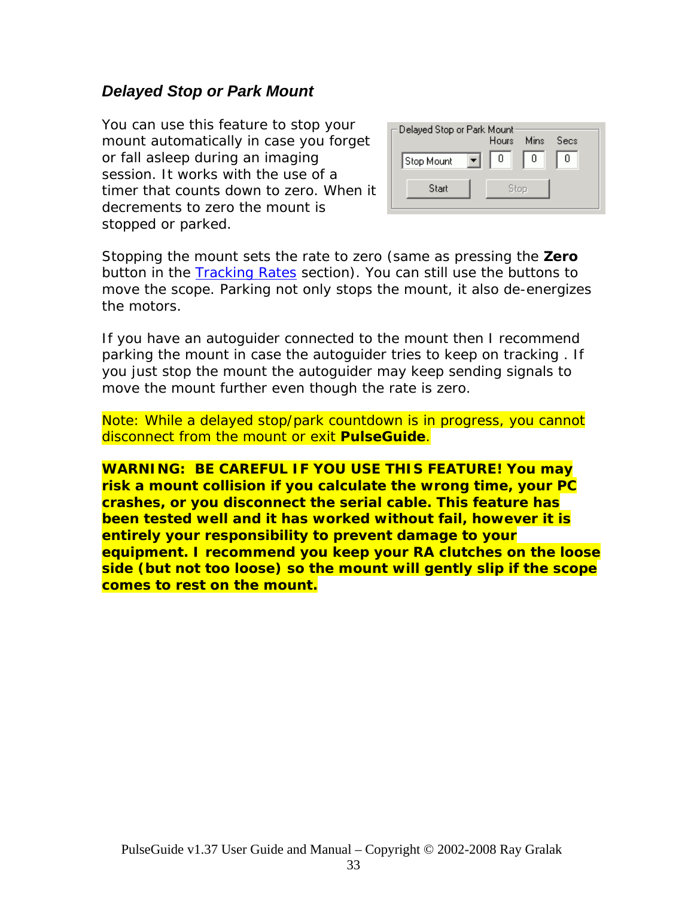### *Delayed Stop or Park Mount*

You can use this feature to stop your mount automatically in case you forget or fall asleep during an imaging session. It works with the use of a timer that counts down to zero. When it decrements to zero the mount is stopped or parked.



Stopping the mount sets the rate to zero (same as pressing the **Zero** button in the [Tracking Rates](#page-0-0) section). You can still use the buttons to move the scope. Parking not only stops the mount, it also de-energizes the motors.

If you have an autoguider connected to the mount then I recommend parking the mount in case the autoguider tries to keep on tracking . If you just stop the mount the autoguider may keep sending signals to move the mount further even though the rate is zero.

Note: While a delayed stop/park countdown is in progress, you cannot disconnect from the mount or exit *PulseGuide*.

**WARNING: BE CAREFUL IF YOU USE THIS FEATURE! You may risk a mount collision if you calculate the wrong time, your PC crashes, or you disconnect the serial cable. This feature has been tested well and it has worked without fail, however it is entirely your responsibility to prevent damage to your equipment. I recommend you keep your RA clutches on the loose side (but not too loose) so the mount will gently slip if the scope comes to rest on the mount.**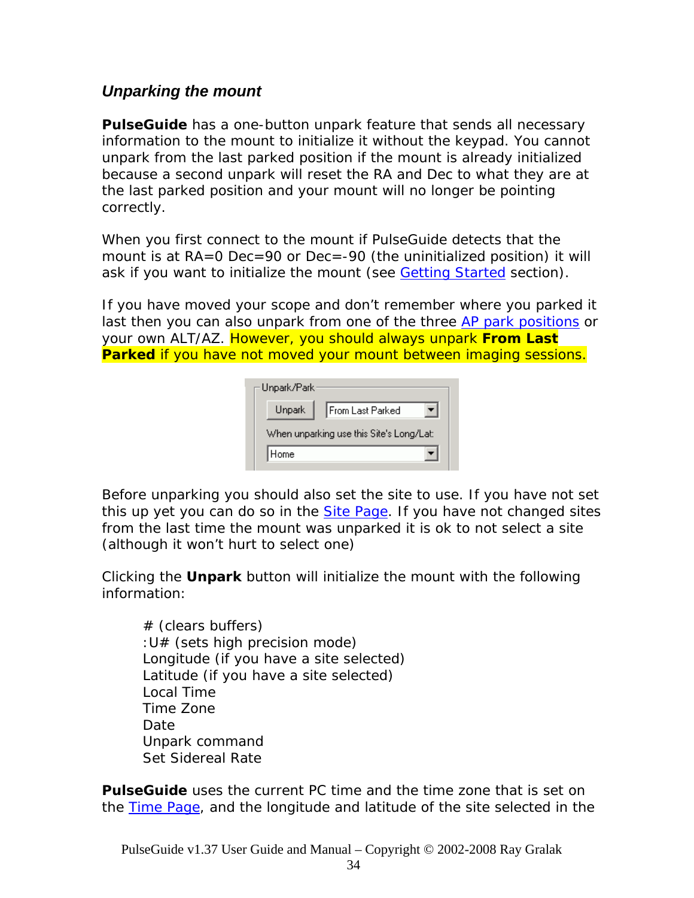### *Unparking the mount*

**PulseGuide** has a one-button unpark feature that sends all necessary information to the mount to initialize it without the keypad. You cannot unpark from the last parked position if the mount is already initialized because a second unpark will reset the RA and Dec to what they are at the last parked position and your mount will no longer be pointing correctly.

When you first connect to the mount if PulseGuide detects that the mount is at RA=0 Dec=90 or Dec=-90 (the uninitialized position) it will ask if you want to initialize the mount (see **Getting Started** section).

If you have moved your scope and don't remember where you parked it last then you can also unpark from one of the three [AP park positions](#page-0-0) or your own ALT/AZ. However, you should always unpark **From Last Parked** if you have not moved your mount between imaging sessions.

| Unpark/Park |                                          |
|-------------|------------------------------------------|
| Unpark      | From Last Parked                         |
|             | When unparking use this Site's Long/Lat: |
| Home        |                                          |

Before unparking you should also set the site to use. If you have not set this up yet you can do so in the **[Site Page](#page-0-0)**. If you have not changed sites from the last time the mount was unparked it is ok to not select a site (although it won't hurt to select one)

Clicking the **Unpark** button will initialize the mount with the following information:

# (clears buffers) :U# (sets high precision mode) Longitude (if you have a site selected) Latitude (if you have a site selected) Local Time Time Zone Date Unpark command Set Sidereal Rate

*PulseGuide* uses the current PC time and the time zone that is set on the [Time Page,](#page-0-0) and the longitude and latitude of the site selected in the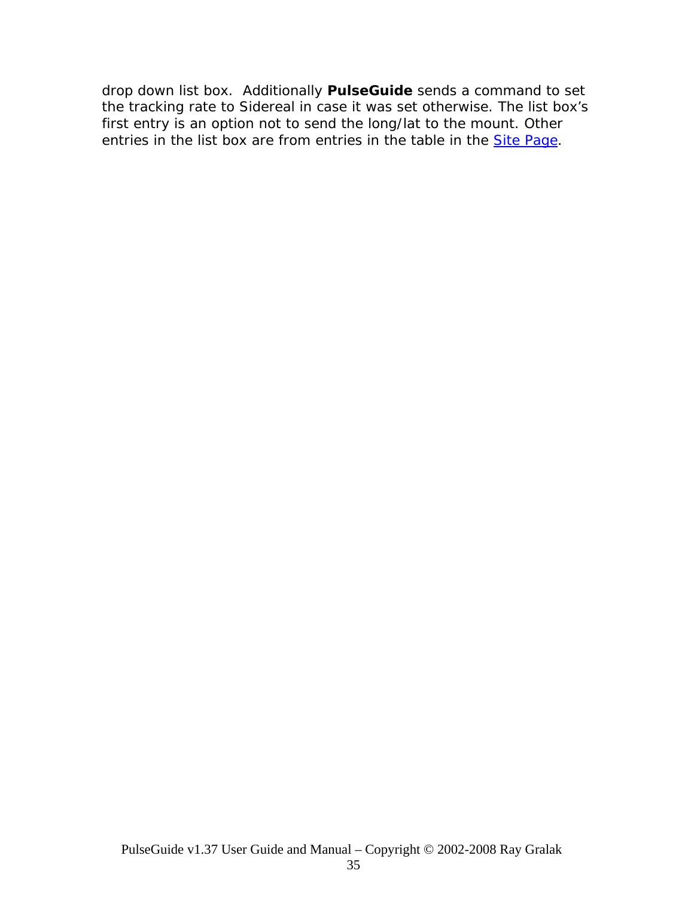drop down list box. Additionally *PulseGuide* sends a command to set the tracking rate to Sidereal in case it was set otherwise. The list box's first entry is an option not to send the long/lat to the mount. Other entries in the list box are from entries in the table in the **[Site Page](#page-0-0)**.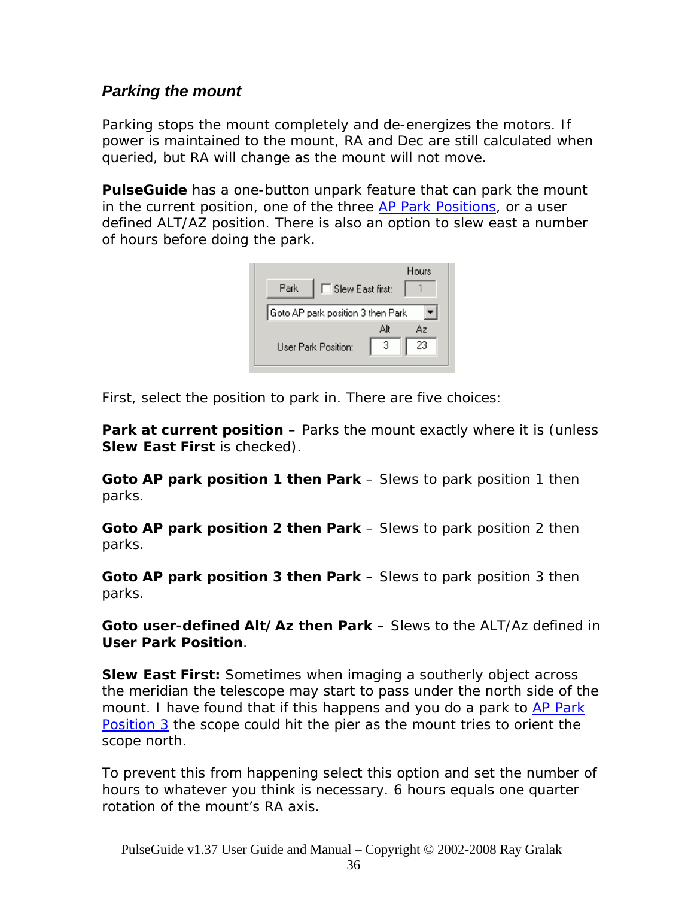### *Parking the mount*

Parking stops the mount completely and de-energizes the motors. If power is maintained to the mount, RA and Dec are still calculated when queried, but RA will change as the mount will not move.

*PulseGuide* has a one-button unpark feature that can park the mount in the current position, one of the three [AP Park Positions,](#page-0-0) or a user defined ALT/AZ position. There is also an option to slew east a number of hours before doing the park.

| Park | $\Box$ Slew East first:           |          | Hours    |
|------|-----------------------------------|----------|----------|
|      | Goto AP park position 3 then Park |          |          |
|      | <b>User Park Position:</b>        | Аlt<br>3 | Αz<br>23 |

First, select the position to park in. There are five choices:

**Park at current position** – Parks the mount exactly where it is (unless **Slew East First** is checked).

**Goto AP park position 1 then Park** – Slews to park position 1 then parks.

**Goto AP park position 2 then Park** – Slews to park position 2 then parks.

**Goto AP park position 3 then Park** – Slews to park position 3 then parks.

**Goto user-defined Alt/Az then Park** – Slews to the ALT/Az defined in **User Park Position**.

**Slew East First:** Sometimes when imaging a southerly object across the meridian the telescope may start to pass under the north side of the mount. I have found that if this happens and you do a park to AP Park [Position 3](#page-0-0) the scope could hit the pier as the mount tries to orient the scope north.

To prevent this from happening select this option and set the number of hours to whatever you think is necessary. 6 hours equals one quarter rotation of the mount's RA axis.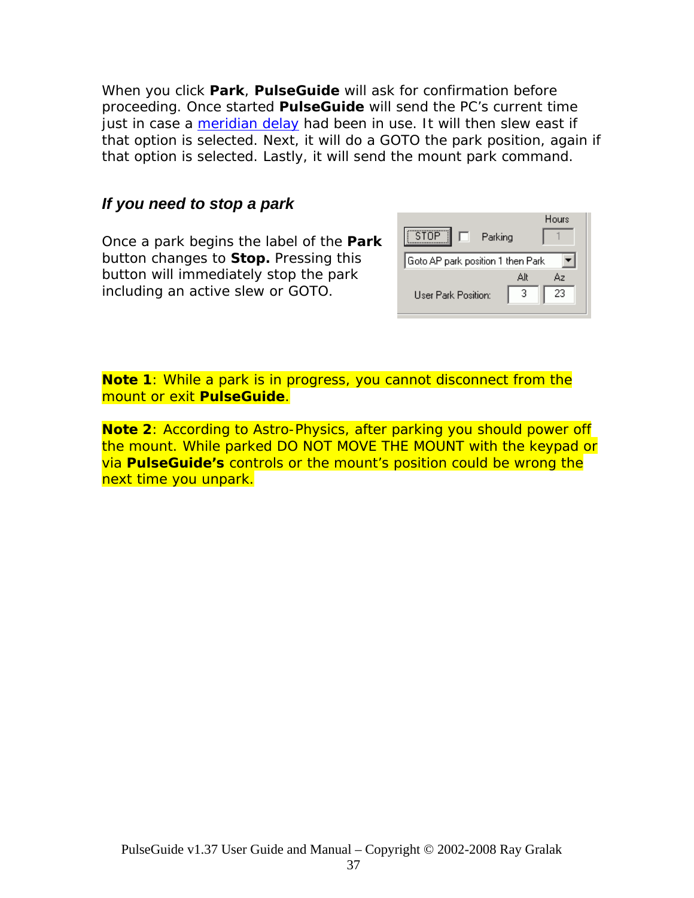When you click **Park**, *PulseGuide* will ask for confirmation before proceeding. Once started *PulseGuide* will send the PC's current time just in case a [meridian delay](#page-0-0) had been in use. It will then slew east if that option is selected. Next, it will do a GOTO the park position, again if that option is selected. Lastly, it will send the mount park command.

#### *If you need to stop a park*

Once a park begins the label of the **Park**  button changes to **Stop.** Pressing this button will immediately stop the park including an active slew or GOTO.

| STOP"<br>Parking<br>H.            | Hours     |
|-----------------------------------|-----------|
| Goto AP park position 1 then Park |           |
|                                   | Alt<br>Δэ |
| <b>User Park Position:</b>        | 23<br>З   |

**Note 1**: While a park is in progress, you cannot disconnect from the mount or exit *PulseGuide*.

**Note 2**: According to Astro-Physics, after parking you should power off the mount. While parked DO NOT MOVE THE MOUNT with the keypad or via **PulseGuide's** controls or the mount's position could be wrong the next time you unpark.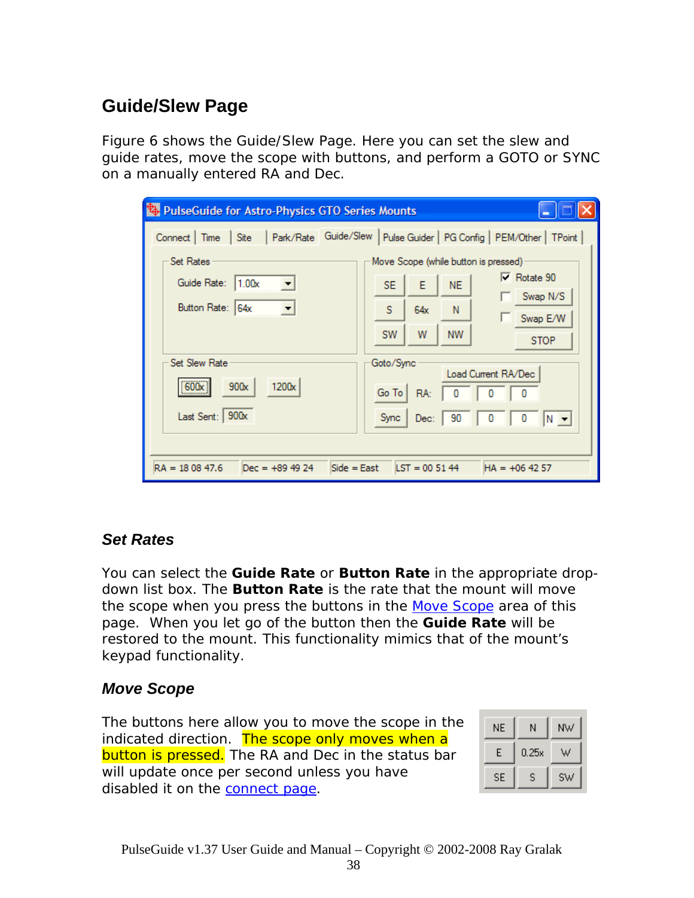# **Guide/Slew Page**

Figure 6 shows the Guide/Slew Page. Here you can set the slew and guide rates, move the scope with buttons, and perform a GOTO or SYNC on a manually entered RA and Dec.

| PulseGuide for Astro-Physics GTO Series Mounts                                                         |                                                                      |  |  |  |
|--------------------------------------------------------------------------------------------------------|----------------------------------------------------------------------|--|--|--|
| Connect   Time  <br>Site                                                                               | Park/Rate Guide/Slew   Pulse Guider   PG Config   PEM/Other   TPoint |  |  |  |
| <b>Set Rates</b>                                                                                       | Move Scope (while button is pressed)                                 |  |  |  |
| Guide Rate: 1.00x                                                                                      | $\nabla$ Rotate 90<br>E<br><b>SE</b><br><b>NE</b>                    |  |  |  |
| Button Rate: 64x                                                                                       | Swap N/S<br>s<br>64x<br>N<br>Swap E/W                                |  |  |  |
|                                                                                                        | W<br><b>NW</b><br><b>SW</b><br><b>STOP</b>                           |  |  |  |
| <b>Set Slew Rate</b><br>Goto/Sync<br>Load Current RA/Dec<br>600x<br>1200x<br>900x<br>Go To<br>0<br>RA: |                                                                      |  |  |  |
| Last Sent: 900x                                                                                        | 0<br>0<br><b>Sync</b><br>90<br>$ N -$<br>Dec:                        |  |  |  |
| $RA = 180847.6$<br>$Side = East$<br>$LST = 005144$<br>$Dec = +89.49.24$<br>$HA = +064257$              |                                                                      |  |  |  |

### *Set Rates*

You can select the **Guide Rate** or **Button Rate** in the appropriate dropdown list box. The **Button Rate** is the rate that the mount will move the scope when you press the buttons in the [Move Scope](#page-0-0) area of this page. When you let go of the button then the **Guide Rate** will be restored to the mount. This functionality mimics that of the mount's keypad functionality.

## *Move Scope*

The buttons here allow you to move the scope in the indicated direction. The scope only moves when a button is pressed. The RA and Dec in the status bar will update once per second unless you have disabled it on the [connect page](#page-0-0).

| NE. | Ν     | ΝW |
|-----|-------|----|
| Е   | 0.25x | W  |
| SE  | S     | sw |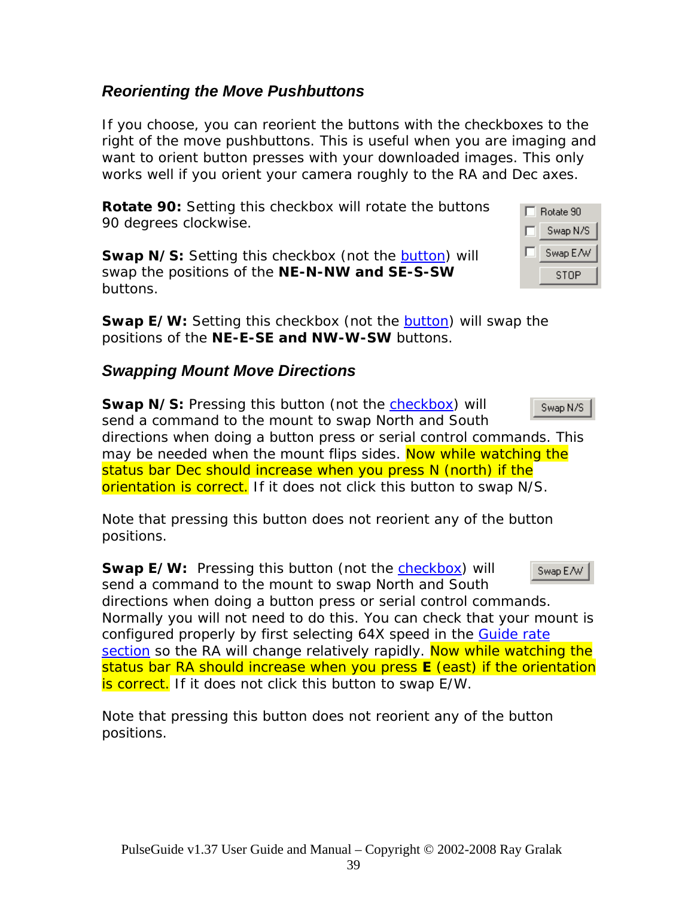### *Reorienting the Move Pushbuttons*

If you choose, you can reorient the buttons with the checkboxes to the right of the move pushbuttons. This is useful when you are imaging and want to orient button presses with your downloaded images. This only works well if you orient your camera roughly to the RA and Dec axes.

**Rotate 90:** Setting this checkbox will rotate the buttons 90 degrees clockwise.

**Swap N/S:** Setting this checkbox (not the **[button](#page-0-0)**) will swap the positions of the **NE-N-NW and SE-S-SW**  buttons.

**Swap E/W:** Setting this checkbox (not the **[button](#page-0-0)**) will swap the positions of the **NE-E-SE and NW-W-SW** buttons.

## *Swapping Mount Move Directions*

**Swap N/S:** Pressing this button (not the [checkbox](#page-0-0)) will Swap N/S send a command to the mount to swap North and South directions when doing a button press or serial control commands. This may be needed when the mount flips sides. Now while watching the status bar Dec should increase when you press N (north) if the orientation is correct. If it does not click this button to swap N/S.

Note that pressing this button does not reorient any of the button positions.

**Swap E/W:** Pressing this button (not the [checkbox](#page-0-0)) will Swap E/W send a command to the mount to swap North and South directions when doing a button press or serial control commands. Normally you will not need to do this. You can check that your mount is configured properly by first selecting 64X speed in the Guide rate [section](#page-0-0) so the RA will change relatively rapidly. Now while watching the status bar RA should increase when you press **E** (east) if the orientation is correct. If it does not click this button to swap E/W.

Note that pressing this button does not reorient any of the button positions.

| Rotate 90 |  |  |
|-----------|--|--|
| Swap N/S  |  |  |
| Swap E/W  |  |  |
| STOP      |  |  |

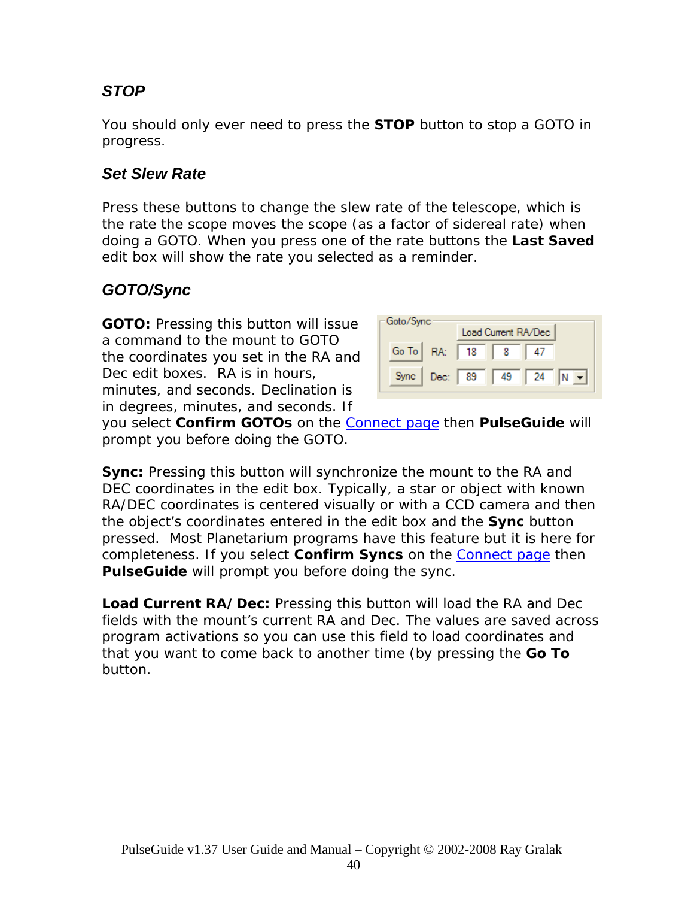# *STOP*

You should only ever need to press the **STOP** button to stop a GOTO in progress.

### *Set Slew Rate*

Press these buttons to change the slew rate of the telescope, which is the rate the scope moves the scope (as a factor of sidereal rate) when doing a GOTO. When you press one of the rate buttons the **Last Saved** edit box will show the rate you selected as a reminder.

### *GOTO/Sync*

**GOTO:** Pressing this button will issue a command to the mount to GOTO the coordinates you set in the RA and Dec edit boxes. RA is in hours, minutes, and seconds. Declination is in degrees, minutes, and seconds. If

| Goto/Sync<br>Load Current RA/Dec |           |                   |    |    |  |
|----------------------------------|-----------|-------------------|----|----|--|
| Go To   RA:                      |           | $\blacksquare$ 18 |    |    |  |
| Sync                             | Dec:   89 |                   | 49 | 24 |  |

you select **Confirm GOTOs** on the [Connect page](#page-0-0) then *PulseGuide* will prompt you before doing the GOTO.

**Sync:** Pressing this button will synchronize the mount to the RA and DEC coordinates in the edit box. Typically, a star or object with known RA/DEC coordinates is centered visually or with a CCD camera and then the object's coordinates entered in the edit box and the **Sync** button pressed. Most Planetarium programs have this feature but it is here for completeness. If you select **Confirm Syncs** on the [Connect page](#page-0-0) then **PulseGuide** will prompt you before doing the sync.

**Load Current RA/Dec:** Pressing this button will load the RA and Dec fields with the mount's current RA and Dec. The values are saved across program activations so you can use this field to load coordinates and that you want to come back to another time (by pressing the **Go To** button.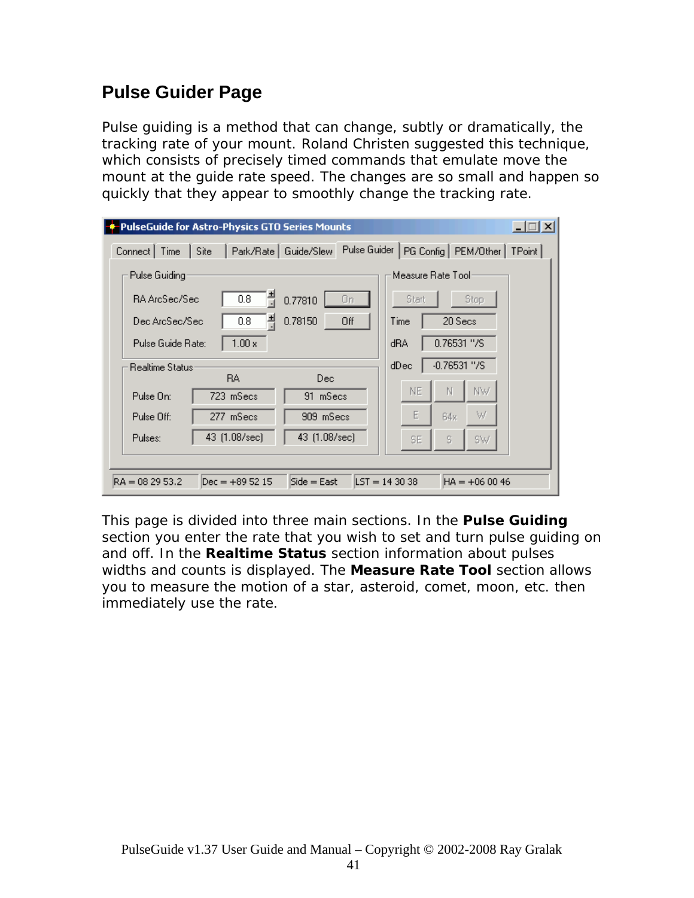# **Pulse Guider Page**

Pulse guiding is a method that can change, subtly or dramatically, the tracking rate of your mount. Roland Christen suggested this technique, which consists of precisely timed commands that emulate move the mount at the guide rate speed. The changes are so small and happen so quickly that they appear to smoothly change the tracking rate.

| PulseGuide for Astro-Physics GTO Series Mounts                   | $\Box$                                  |  |  |  |
|------------------------------------------------------------------|-----------------------------------------|--|--|--|
| Pulse Guider<br>Park/Rate   Guide/Slew<br>Connect   Time<br>Site | PG Config   PEM/Other  <br>TPoint       |  |  |  |
| Pulse Guiding                                                    | Measure Rate Tool:                      |  |  |  |
| 츾<br>0.8<br><b>RA ArcSec/Sec</b><br>0.77810<br>Οn                | Stop<br>Start                           |  |  |  |
| 츾<br>0.78150<br>0.8<br>Dec ArcSec/Sec<br>Off                     | 20 Secs<br>Time                         |  |  |  |
| $1.00 \times$<br>Pulse Guide Rate:                               | 0.76531 "/S<br>dRA                      |  |  |  |
| <b>Realtime Status:</b>                                          | $-0.76531$ "/S<br>dDec                  |  |  |  |
| <b>BA</b><br>Dec.<br>91 mSecs<br>Pulse On:<br>723 mSecs          | NW<br>NE.<br>Ν                          |  |  |  |
| 909 mSecs<br>Pulse Off:<br>277 mSecs                             | E<br>W<br>64x                           |  |  |  |
| 43 (1.08/sec)<br>43 (1.08/sec)<br>Pulses:                        | s<br>SW<br>SE.                          |  |  |  |
|                                                                  |                                         |  |  |  |
| $Dec = +895215$<br>$Side = East$<br>$RA = 082953.2$              | $\text{LST} = 143038$<br>$HA = +060046$ |  |  |  |

This page is divided into three main sections. In the **Pulse Guiding** section you enter the rate that you wish to set and turn pulse guiding on and off. In the **Realtime Status** section information about pulses widths and counts is displayed. The **Measure Rate Tool** section allows you to measure the motion of a star, asteroid, comet, moon, etc. then immediately use the rate.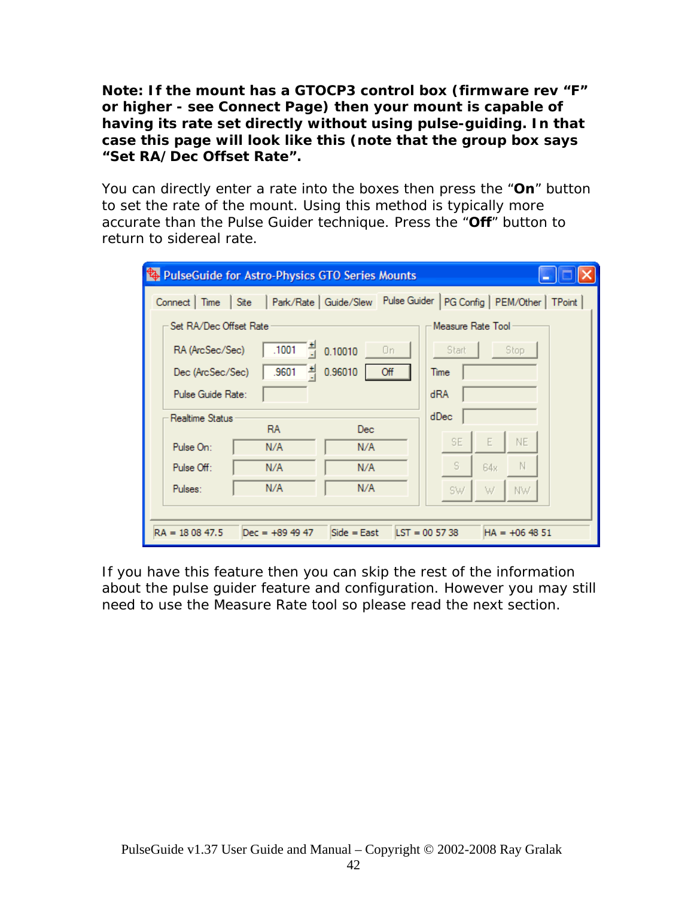**Note: If the mount has a GTOCP3 control box (firmware rev "F" or higher - see Connect Page) then your mount is capable of having its rate set directly without using pulse-guiding. In that case this page will look like this (note that the group box says "Set RA/Dec Offset Rate".** 

You can directly enter a rate into the boxes then press the "**On**" button to set the rate of the mount. Using this method is typically more accurate than the Pulse Guider technique. Press the "**Off**" button to return to sidereal rate.

| PulseGuide for Astro-Physics GTO Series Mounts                                               |                       |  |  |  |
|----------------------------------------------------------------------------------------------|-----------------------|--|--|--|
| Connect   Time   Site   Park/Rate   Guide/Slew Pulse Guider   PG Config   PEM/Other   TPoint |                       |  |  |  |
| Set RA/Dec Offset Rate                                                                       | Measure Rate Tool     |  |  |  |
| $\frac{4}{1001}$ $\frac{4}{11}$ 0.10010<br>RA (ArcSec/Sec)<br>Οn.                            | Stop<br>Start         |  |  |  |
| .9601 $\frac{1}{2}$<br>0.96010<br>Off<br>Dec (ArcSec/Sec)                                    | Time                  |  |  |  |
| Pulse Guide Rate:                                                                            | dRA                   |  |  |  |
| Realtime Status<br><b>RA</b><br><b>Dec</b>                                                   | dDec                  |  |  |  |
| Pulse On:<br>N/A<br>N/A                                                                      | NE.<br>SE.<br>E       |  |  |  |
| Pulse Off:<br>N/A<br>N/A                                                                     | S<br>-N<br>64x        |  |  |  |
| N/A<br>N/A<br>Pulses:                                                                        | NW.<br><b>SW</b><br>W |  |  |  |
|                                                                                              |                       |  |  |  |
| Side = East $\vert$ LST = 00 57 38<br>$RA = 180847.5$<br>$Dec = +89.49.47$                   | $HA = +064851$        |  |  |  |

If you have this feature then you can skip the rest of the information about the pulse guider feature and configuration. However you may still need to use the Measure Rate tool so please read the next section.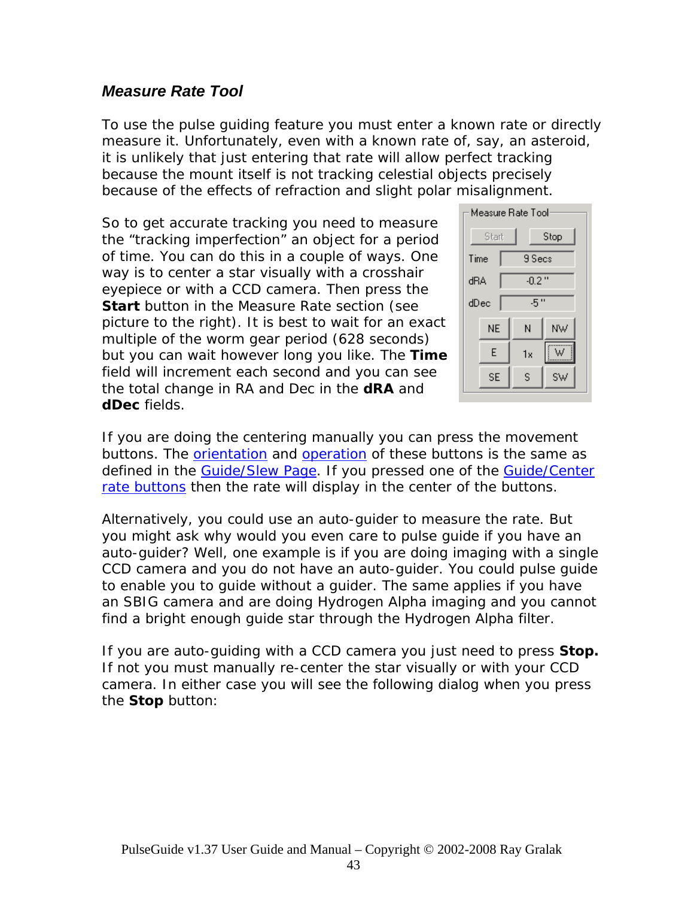### *Measure Rate Tool*

To use the pulse guiding feature you must enter a known rate or directly measure it. Unfortunately, even with a known rate of, say, an asteroid, it is unlikely that just entering that rate will allow perfect tracking because the mount itself is not tracking celestial objects precisely because of the effects of refraction and slight polar misalignment.

So to get accurate tracking you need to measure the "tracking imperfection" an object for a period of time. You can do this in a couple of ways. One way is to center a star visually with a crosshair eyepiece or with a CCD camera. Then press the **Start** button in the Measure Rate section (see picture to the right). It is best to wait for an exact multiple of the worm gear period (628 seconds) but you can wait however long you like. The **Time** field will increment each second and you can see the total change in RA and Dec in the **dRA** and **dDec** fields.



If you are doing the centering manually you can press the movement buttons. The **[orientation](#page-0-0)** and **operation** of these buttons is the same as defined in the [Guide/Slew Page](#page-0-0). If you pressed one of the Guide/Center [rate buttons](#page-0-0) then the rate will display in the center of the buttons.

Alternatively, you could use an auto-guider to measure the rate. But you might ask why would you even care to pulse guide if you have an auto-guider? Well, one example is if you are doing imaging with a single CCD camera and you do not have an auto-guider. You could pulse guide to enable you to guide without a guider. The same applies if you have an SBIG camera and are doing Hydrogen Alpha imaging and you cannot find a bright enough guide star through the Hydrogen Alpha filter.

If you are auto-guiding with a CCD camera you just need to press **Stop.** If not you must manually re-center the star visually or with your CCD camera. In either case you will see the following dialog when you press the **Stop** button: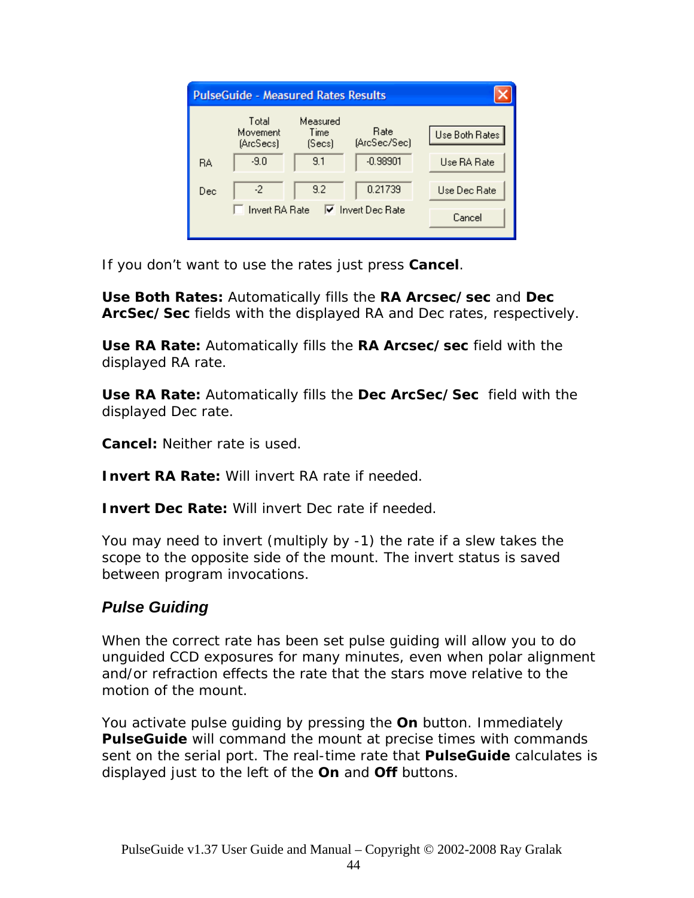| <b>PulseGuide - Measured Rates Results</b> |                                |                            |                          |                |
|--------------------------------------------|--------------------------------|----------------------------|--------------------------|----------------|
|                                            | Total<br>Movement<br>(ArcSecs) | Measured<br>Time<br>(Secs) | Rate<br>(ArcSec/Sec)     | Use Both Rates |
| <b>RA</b>                                  | $-9.0$                         | 9.1                        | $-0.98901$               | Use RA Rate    |
| Dec                                        | -2                             | 9.2                        | 0.21739                  | Use Dec Rate   |
|                                            | <b>Invert RA Rate</b>          |                            | $\nabla$ Invert Dec Rate | Cancel         |

If you don't want to use the rates just press **Cancel**.

**Use Both Rates:** Automatically fills the **RA Arcsec/sec** and **Dec ArcSec/Sec** fields with the displayed RA and Dec rates, respectively.

**Use RA Rate:** Automatically fills the **RA Arcsec/sec** field with the displayed RA rate.

**Use RA Rate:** Automatically fills the **Dec ArcSec/Sec** field with the displayed Dec rate.

**Cancel:** Neither rate is used.

**Invert RA Rate:** Will invert RA rate if needed.

**Invert Dec Rate: Will invert Dec rate if needed.** 

You may need to invert (multiply by -1) the rate if a slew takes the scope to the opposite side of the mount. The invert status is saved between program invocations.

## *Pulse Guiding*

When the correct rate has been set pulse guiding will allow you to do unguided CCD exposures for many minutes, even when polar alignment and/or refraction effects the rate that the stars move relative to the motion of the mount.

You activate pulse guiding by pressing the **On** button. Immediately *PulseGuide* will command the mount at precise times with commands sent on the serial port. The real-time rate that *PulseGuide* calculates is displayed just to the left of the **On** and **Off** buttons.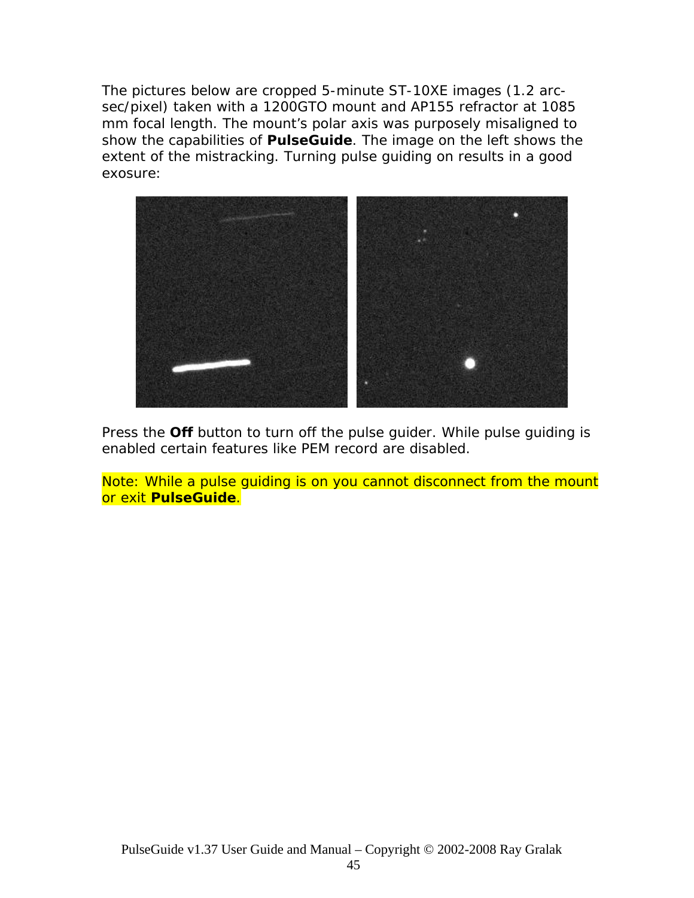The pictures below are cropped 5-minute ST-10XE images (1.2 arcsec/pixel) taken with a 1200GTO mount and AP155 refractor at 1085 mm focal length. The mount's polar axis was purposely misaligned to show the capabilities of *PulseGuide*. The image on the left shows the extent of the mistracking. Turning pulse guiding on results in a good exosure:



Press the **Off** button to turn off the pulse guider. While pulse guiding is enabled certain features like PEM record are disabled.

Note: While a pulse guiding is on you cannot disconnect from the mount or exit *PulseGuide*.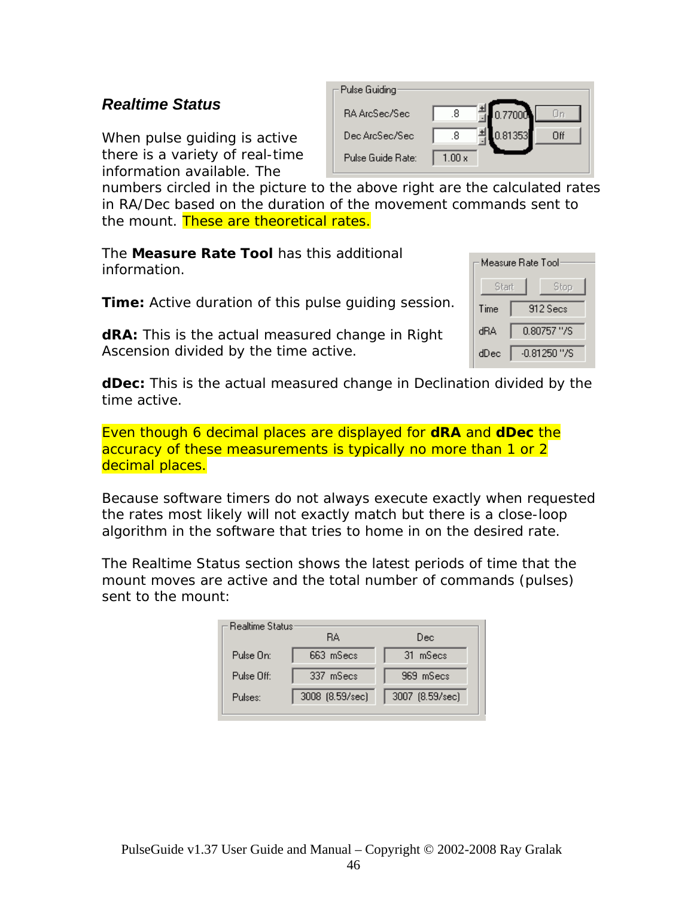### *Realtime Status*

When pulse guiding is active there is a variety of real-time information available. The

| Pulse Guiding     |                      |
|-------------------|----------------------|
| RA ArcSec/Sec     | 10.77000<br>.8       |
| Dec ArcSec/Sec    | 0.81353<br>Пff<br>.8 |
| Pulse Guide Rate: | $1.00 \, \mathrm{x}$ |

numbers circled in the picture to the above right are the calculated rates in RA/Dec based on the duration of the movement commands sent to the mount. These are *theoretical* rates.

The **Measure Rate Tool** has this additional information.

**Time:** Active duration of this pulse guiding session.

**dRA:** This is the actual measured change in Right Ascension divided by the time active.

| Measure Bate Tool |                |  |
|-------------------|----------------|--|
| Start<br>Stop     |                |  |
| Time              | 912 Secs       |  |
| dBA               | 0.80757 "/S    |  |
| dDec              | $-0.81250$ "/S |  |

**dDec:** This is the actual measured change in Declination divided by the time active.

Even though 6 decimal places are displayed for **dRA** and **dDec** the accuracy of these measurements is typically no more than 1 or 2 decimal places.

Because software timers do not always execute exactly when requested the rates most likely will not exactly match but there is a close-loop algorithm in the software that tries to home in on the desired rate.

The Realtime Status section shows the latest periods of time that the mount moves are active and the total number of commands (pulses) sent to the mount:

| <b>Realtime Status</b> | RА              | Dec             |
|------------------------|-----------------|-----------------|
| Pulse On:              | 663 mSecs       | 31 mSecs        |
| Pulse Off:             | 337 mSecs       | 969 mSecs       |
| Pulses:                | 3008 (8.59/sec) | 3007 (8.59/sec) |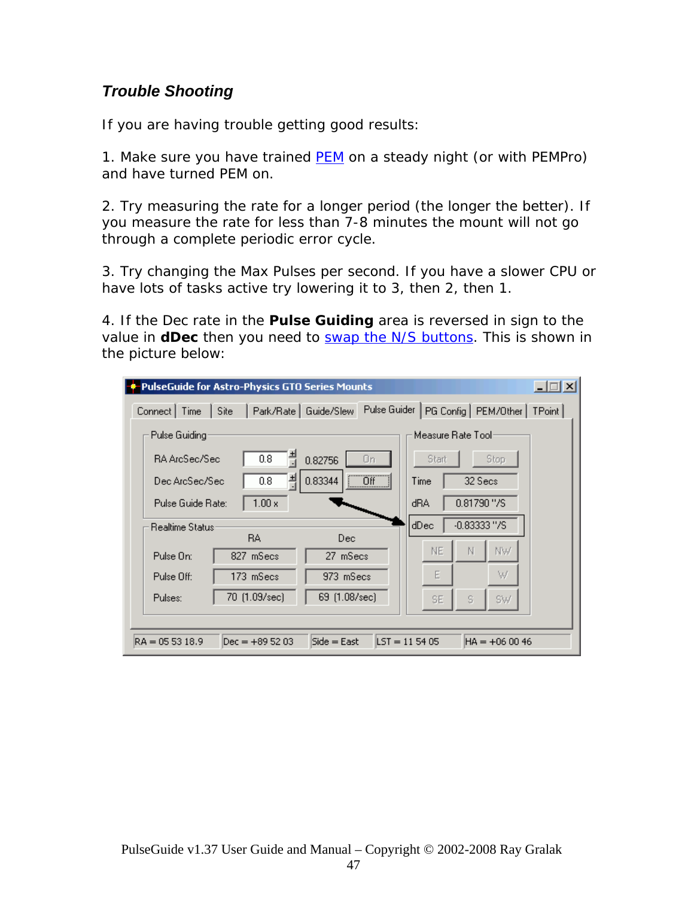### *Trouble Shooting*

If you are having trouble getting good results:

1. Make sure you have trained [PEM](#page-0-0) on a steady night (or with PEMPro) and have turned PEM on.

2. Try measuring the rate for a longer period (the longer the better). If you measure the rate for less than 7-8 minutes the mount will not go through a complete periodic error cycle.

3. Try changing the Max Pulses per second. If you have a slower CPU or have lots of tasks active try lowering it to 3, then 2, then 1.

4. If the Dec rate in the **Pulse Guiding** area is reversed in sign to the value in **dDec** then you need to [swap the N/S buttons.](#page-0-0) This is shown in the picture below:

| PulseGuide for Astro-Physics GTO Series Mounts   | $ \Box$ $\times$                                         |
|--------------------------------------------------|----------------------------------------------------------|
| Park/Rate   Guide/Slew<br>Connect   Time<br>Site | Pulse Guider<br>PG Config   PEM/Other  <br>TPoint        |
| Pulse Guiding                                    | Measure Rate Tool                                        |
| 0.8<br>RA ArcSec/Sec                             | Start<br>Stop<br>0.82756<br>Οn                           |
| 츾<br>0.8<br>Dec ArcSec/Sec                       | $\Box$ Off<br>0.83344<br>32 Secs<br>Time                 |
| $1.00 \times$<br>Pulse Guide Rate:               | $0.81790$ "/S<br>dRA                                     |
| <b>Realtime Status:</b><br><b>BA</b>             | $-0.83333''/S$<br>dDec<br>Dec                            |
| 827 mSecs<br>Pulse On:                           | NW<br>NE<br>N<br>27 mSecs                                |
| Pulse Off:<br>173 mSecs                          | Е<br>W<br>973 mSecs                                      |
| 70 (1.09/sec)<br>Pulses:                         | 69 (1.08/sec)<br>S<br>SW<br>SE.                          |
|                                                  |                                                          |
| $RA = 055318.9$<br>$Dec = +895203$               | $Side = East$<br>$\text{LST} = 115405$<br>$HA = +060046$ |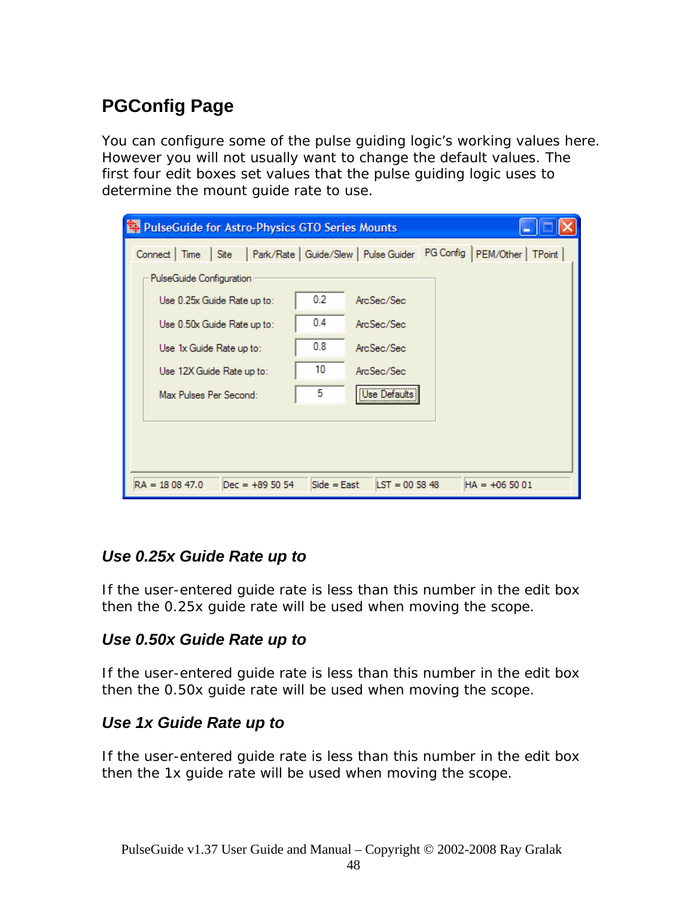# **PGConfig Page**

You can configure some of the pulse guiding logic's working values here. However you will not usually want to change the default values. The first four edit boxes set values that the pulse guiding logic uses to determine the mount guide rate to use.

| PulseGuide for Astro-Physics GTO Series Mounts                                                                                                                                                      |                              |                                                                      |                                                                      |
|-----------------------------------------------------------------------------------------------------------------------------------------------------------------------------------------------------|------------------------------|----------------------------------------------------------------------|----------------------------------------------------------------------|
| Site<br>Connect   Time<br>PulseGuide Configuration<br>Use 0.25x Guide Rate up to:<br>Use 0.50x Guide Rate up to:<br>Use 1x Guide Rate up to:<br>Use 12X Guide Rate up to:<br>Max Pulses Per Second: | 0.2<br>0.4<br>0.8<br>10<br>5 | ArcSec/Sec<br>ArcSec/Sec<br>ArcSec/Sec<br>ArcSec/Sec<br>Use Defaults | Park/Rate   Guide/Slew   Pulse Guider PG Config   PEM/Other   TPoint |
| $RA = 180847.0$<br>$Dec = +895054$                                                                                                                                                                  | $Side = East$                | $LST = 005848$                                                       | $HA = +065001$                                                       |

## *Use 0.25x Guide Rate up to*

If the user-entered guide rate is less than this number in the edit box then the 0.25x guide rate will be used when moving the scope.

## *Use 0.50x Guide Rate up to*

If the user-entered guide rate is less than this number in the edit box then the 0.50x guide rate will be used when moving the scope.

## *Use 1x Guide Rate up to*

If the user-entered guide rate is less than this number in the edit box then the 1x guide rate will be used when moving the scope.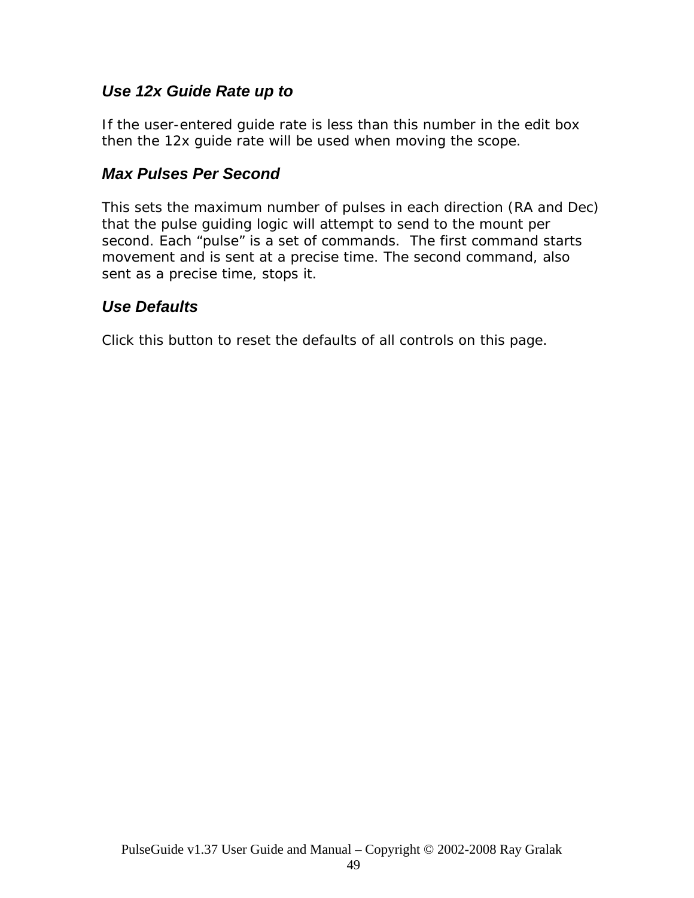### *Use 12x Guide Rate up to*

If the user-entered guide rate is less than this number in the edit box then the 12x guide rate will be used when moving the scope.

### *Max Pulses Per Second*

This sets the maximum number of pulses in each direction (RA and Dec) that the pulse guiding logic will attempt to send to the mount per second. Each "pulse" is a set of commands. The first command starts movement and is sent at a precise time. The second command, also sent as a precise time, stops it.

## *Use Defaults*

Click this button to reset the defaults of all controls on this page.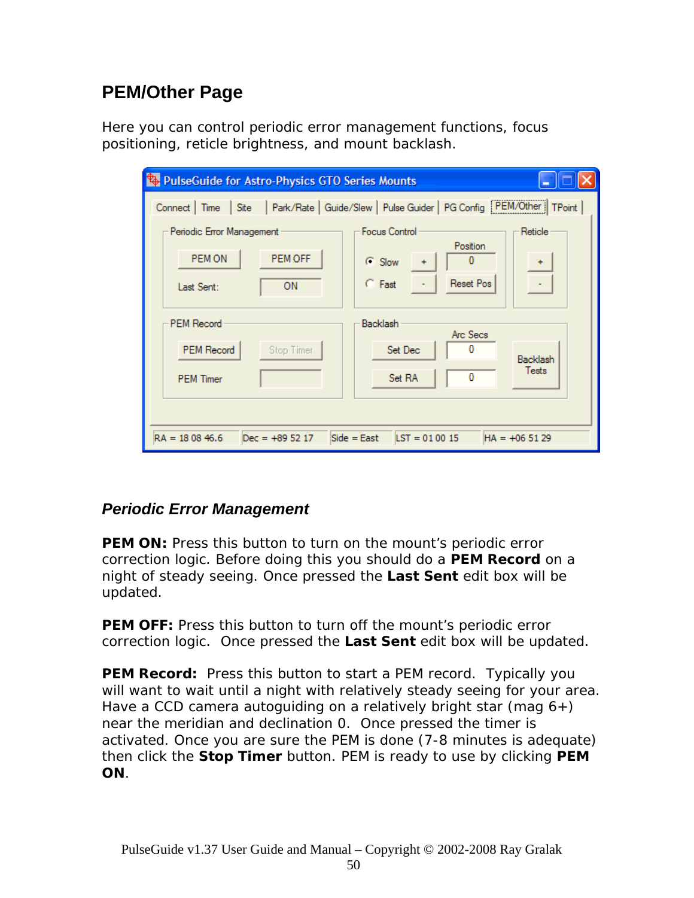# **PEM/Other Page**

Here you can control periodic error management functions, focus positioning, reticle brightness, and mount backlash.

| PulseGuide for Astro-Physics GTO Series Mounts |                                                                                                |
|------------------------------------------------|------------------------------------------------------------------------------------------------|
|                                                | Connect   Time   Site   Park/Rate   Guide/Slew   Pulse Guider   PG Config   PEM/Other   TPoint |
| Periodic Error Management                      | <b>Focus Control</b><br>Reticle                                                                |
| PEM OFF<br>PEM ON                              | Position<br>$C$ Slow                                                                           |
| 0N<br>Last Sent:                               | <b>Reset Pos</b><br>$C$ Fast                                                                   |
| <b>PEM Record</b>                              | <b>Backlash</b><br>Arc Secs                                                                    |
| <b>PEM Record</b><br>Stop Timer                | n<br>Set Dec<br>Backlash                                                                       |
| <b>PEM Timer</b>                               | <b>Tests</b><br>Set RA                                                                         |
|                                                |                                                                                                |
| $RA = 180846.6$<br>$Dec = +895217$             | $LST = 010015$<br>$Side = East$<br>$HA = +065129$                                              |

## *Periodic Error Management*

**PEM ON:** Press this button to turn on the mount's periodic error correction logic. Before doing this you should do a **PEM Record** on a night of steady seeing. Once pressed the **Last Sent** edit box will be updated.

**PEM OFF:** Press this button to turn off the mount's periodic error correction logic. Once pressed the **Last Sent** edit box will be updated.

**PEM Record:** Press this button to start a PEM record. Typically you will want to wait until a night with relatively steady seeing for your area. Have a CCD camera autoguiding on a relatively bright star (mag  $6+$ ) near the meridian and declination 0. Once pressed the timer is activated. Once you are sure the PEM is done (7-8 minutes is adequate) then click the **Stop Timer** button. PEM is ready to use by clicking **PEM ON**.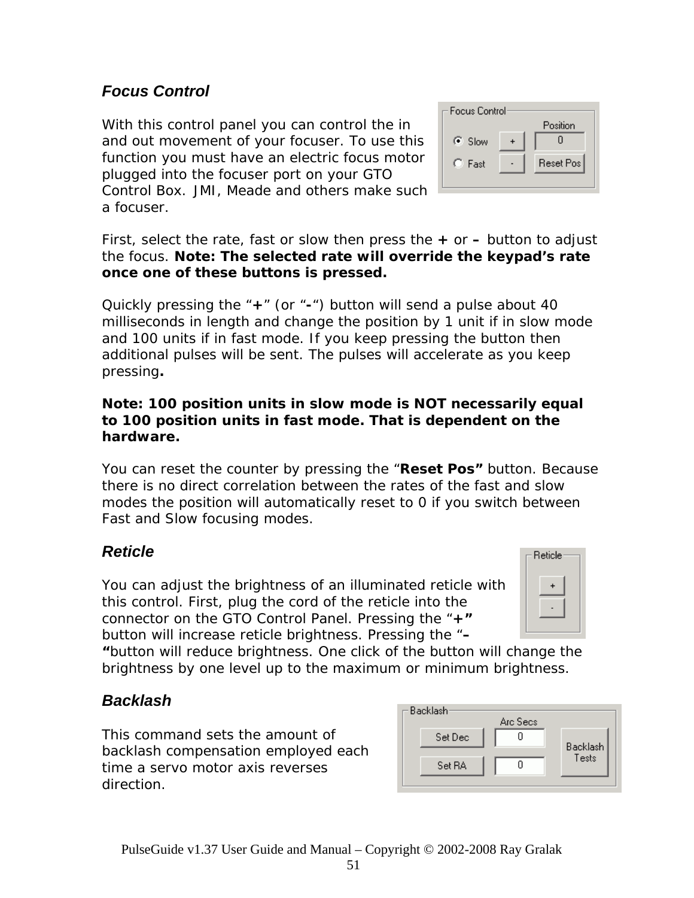## *Focus Control*

With this control panel you can control the in and out movement of your focuser. To use this function you must have an electric focus motor plugged into the focuser port on your GTO Control Box. JMI, Meade and others make s uch a focuser.



First, select the rate, fast or slow then press the **+** or **–** button to adjust the focus. **Note: The selected rate will override the keypad's rate once one of these buttons is pressed.** 

Quickly pressing the "**+**" (or "**-**") button will send a pulse about 40 milliseconds in length and change the position by 1 unit if in slow mode and 100 units if in fast mode. If you keep pressing the button then additional pulses will be sent. The pulses will accelerate as you keep pressing**.** 

#### **Note: 100 position units in slow mode is NOT necessarily equal to 100 position units in fast mode. That is dependent on the hardware.**

You can reset the counter by pressing the "**Reset Pos"** button. Because there is no direct correlation between the rates of the fast and slow modes the position will automatically reset to 0 if you switch between Fast and Slow focusing modes.

## *Reticle*

You can adjust the brightness of an illuminated reticle with this control. First, plug the cord of the reticle into the connector on the GTO Control Panel. Pressing the "**+"**  button will increase reticle brightness. Pressing the "**–**



**"**button will reduce brightness. One click of the button will change the brightness by one level up to the maximum or minimum brightness.

## *Backlash*

This command sets the amount of backlash compensation employed each time a servo motor axis reverses direction.

| Backlash- | Arc Secs |          |
|-----------|----------|----------|
| Set Dec   |          | Backlash |
| Set RA    |          | Tests    |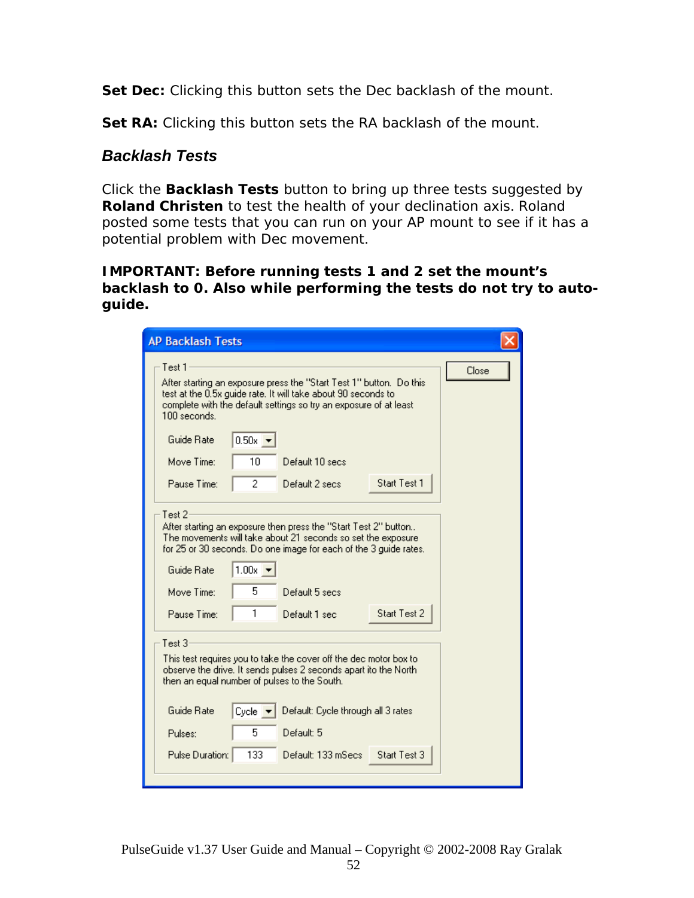**Set Dec:** Clicking this button sets the Dec backlash of the mount.

**Set RA:** Clicking this button sets the RA backlash of the mount.

#### *Backlash Tests*

Click the *Backlash Tests* button to bring up three tests suggested by *Roland Christen* to test the health of your declination axis. Roland posted some tests that you can run on your AP mount to see if it has a potential problem with Dec movement.

**IMPORTANT: Before running tests 1 and 2 set the mount's backlash to 0. Also while performing the tests do not try to autoguide.** 

| <b>AP Backlash Tests</b>                     |                              |                                                                                                                                                                                                           |              |       |
|----------------------------------------------|------------------------------|-----------------------------------------------------------------------------------------------------------------------------------------------------------------------------------------------------------|--------------|-------|
| Test 1<br>100 seconds.                       |                              | After starting an exposure press the "Start Test 1" button. Do this<br>test at the 0.5x guide rate. It will take about 90 seconds to<br>complete with the default settings so try an exposure of at least |              | Close |
| Guide Rate                                   | $0.50x$ $\rightarrow$        |                                                                                                                                                                                                           |              |       |
| Move Time:                                   | 10                           | Default 10 secs                                                                                                                                                                                           |              |       |
| Pause Time:                                  | 2                            | Default 2 secs                                                                                                                                                                                            | Start Test 1 |       |
| Guide Rate                                   | $1.00x$ $\rightarrow$        | After starting an exposure then press the "Start Test 2" button<br>The movements will take about 21 seconds so set the exposure<br>for 25 or 30 seconds. Do one image for each of the 3 quide rates.      |              |       |
| Move Time:                                   | 5                            | Default 5 secs.                                                                                                                                                                                           |              |       |
| Pause Time:                                  | 1                            | Default 1 sec                                                                                                                                                                                             | Start Test 2 |       |
| Test $31$                                    |                              |                                                                                                                                                                                                           |              |       |
| then an equal number of pulses to the South. |                              | This test requires you to take the cover off the dec motor box to<br>observe the drive. It sends pulses 2 seconds apart ito the North                                                                     |              |       |
| Guide Rate                                   | $Cycle$ $\blacktriangledown$ | Default: Cycle through all 3 rates                                                                                                                                                                        |              |       |
| Pulses:                                      | 5                            | Default: 5                                                                                                                                                                                                |              |       |
| Pulse Duration:                              | 133                          | Default: 133 mSecs                                                                                                                                                                                        | Start Test 3 |       |
|                                              |                              |                                                                                                                                                                                                           |              |       |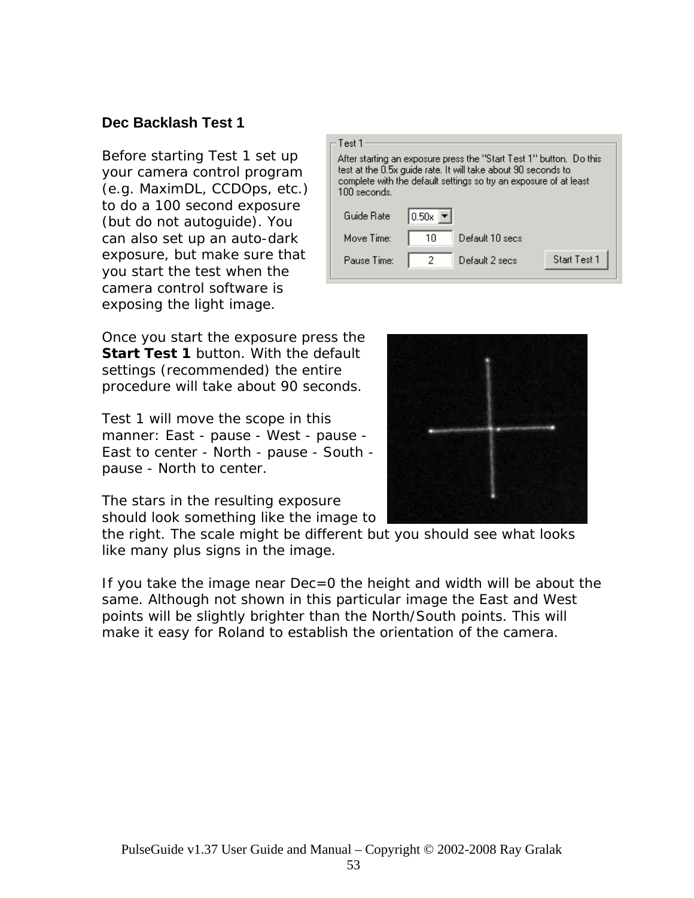#### **Dec Backlash Test 1**

Before starting Test 1 set up your camera control program (e.g. MaximDL, CCDOps, etc.) to do a 100 second exposure (but do not autoguide). You can also set up an auto-dark exposure, but make sure that you start the test when the camera control software is exposing the light image.

| — Test 1<br>100 seconds. |                              | After starting an exposure press the ''Start Test 1'' button. Do this<br>test at the 0.5x guide rate. It will take about 90 seconds to<br>complete with the default settings so try an exposure of at least |              |
|--------------------------|------------------------------|-------------------------------------------------------------------------------------------------------------------------------------------------------------------------------------------------------------|--------------|
| Guide Rate               | $0.50x$ $\blacktriangledown$ |                                                                                                                                                                                                             |              |
| Move Time:               | 10                           | Default 10 secs                                                                                                                                                                                             |              |
| Pause Time:              | 2                            | Default 2 secs                                                                                                                                                                                              | Start Test 1 |

Once you start the exposure press the **Start Test 1** button. With the default settings (recommended) the entire procedure will take about 90 seconds.

Test 1 will move the scope in this manner: East - pause - West - pause - East to center - North - pause - South pause - North to center.

The stars in the resulting exposure should look something like the image to

the right. The scale might be different but you should see what looks like many plus signs in the image.

If you take the image near Dec=0 the height and width will be about the same. Although not shown in this particular image the East and West points will be slightly brighter than the North/South points. This will make it easy for Roland to establish the orientation of the camera.

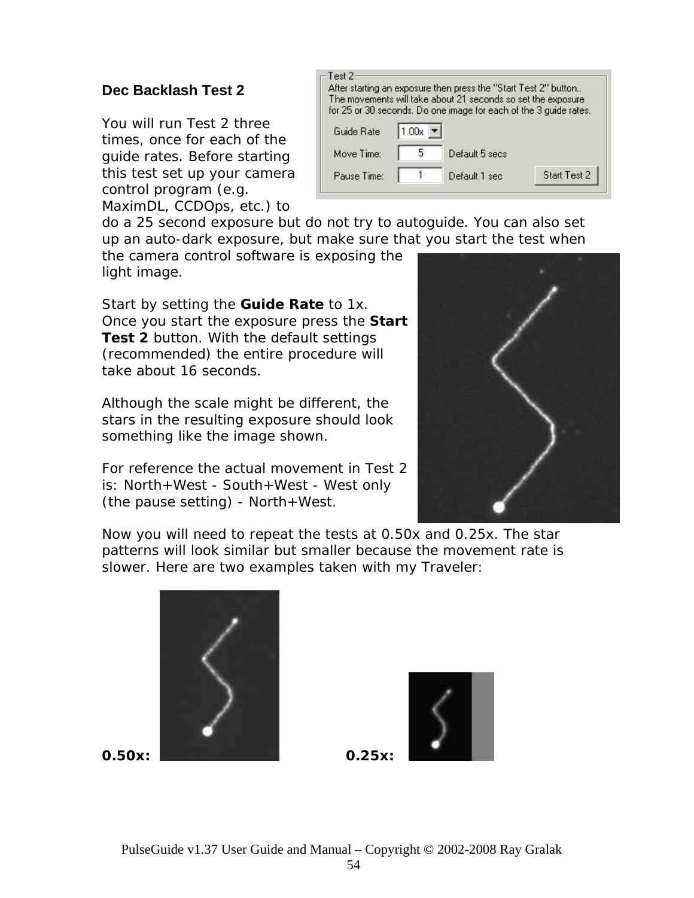### **Dec Backlash Test 2**

You will run Test 2 three times, once for each of the guide rates. Before starting this test set up your camera control program (e.g. MaximDL, CCDOps, etc.) to

| Test 2:     |       | After starting an exposure then press the "Start Test 2" button<br>The movements will take about 21 seconds so set the exposure<br>for 25 or 30 seconds. Do one image for each of the 3 guide rates. |              |
|-------------|-------|------------------------------------------------------------------------------------------------------------------------------------------------------------------------------------------------------|--------------|
| Guide Rate  | 1.00x |                                                                                                                                                                                                      |              |
| Move Time:  | 5     | Default 5 secs.                                                                                                                                                                                      |              |
| Pause Time: |       | Default 1 sec                                                                                                                                                                                        | Start Test 2 |

do a 25 second exposure but do not try to autoguide. You can also set up an auto-dark exposure, but make sure that you start the test when

the camera control software is exposing the light image.

**Test 2** button. With the default settings (recommended) the entire procedure will Start by setting the **Guide Rate** to 1x. Once you start the exposure press the **Start**  take about 16 seconds.

Although the scale might be different, the stars in the resulting exposure should look something like the image shown.

For reference the actual movement in Test 2 is: North+West - South+West - West only (the pause setting) - North+West.



Now you will need to repeat the tests at 0.50x and 0.25x. The star patterns will look similar but smaller because the movement rate is slower. Here are two examples taken with my Traveler:



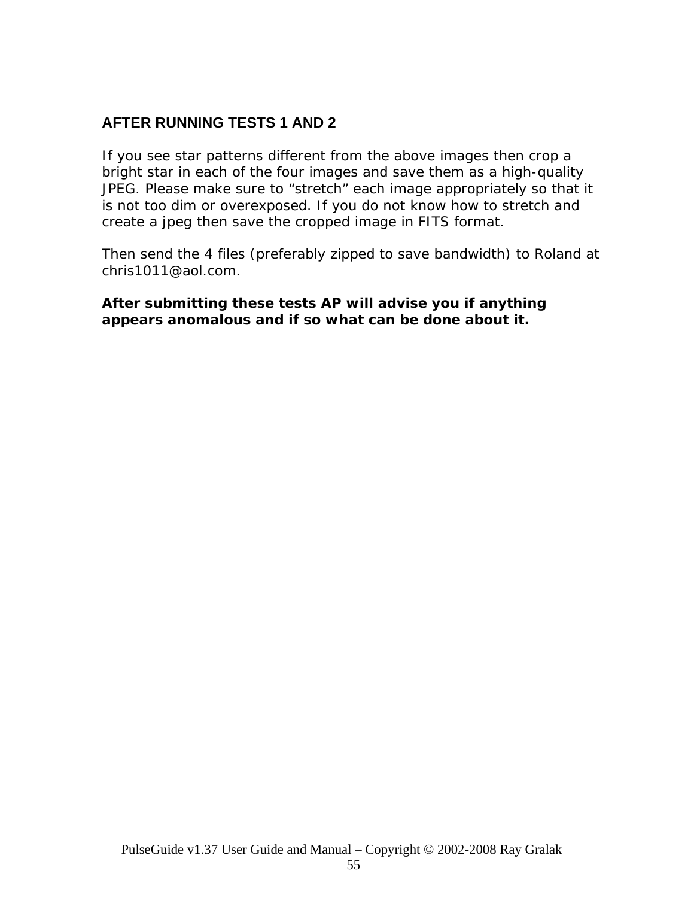### **AFTER RUNNING TESTS 1 AND 2**

If you see star patterns different from the above images then crop a bright star in each of the four images and save them as a high-quality JPEG. Please make sure to "stretch" each image appropriately so that it is not too dim or overexposed. If you do not know how to stretch and create a jpeg then save the cropped image in FITS format.

Then send the 4 files (preferably zipped to save bandwidth) to Roland at chris1011@aol.com.

#### *After submitting these tests AP will advise you if anything appears anomalous and if so what can be done about it.*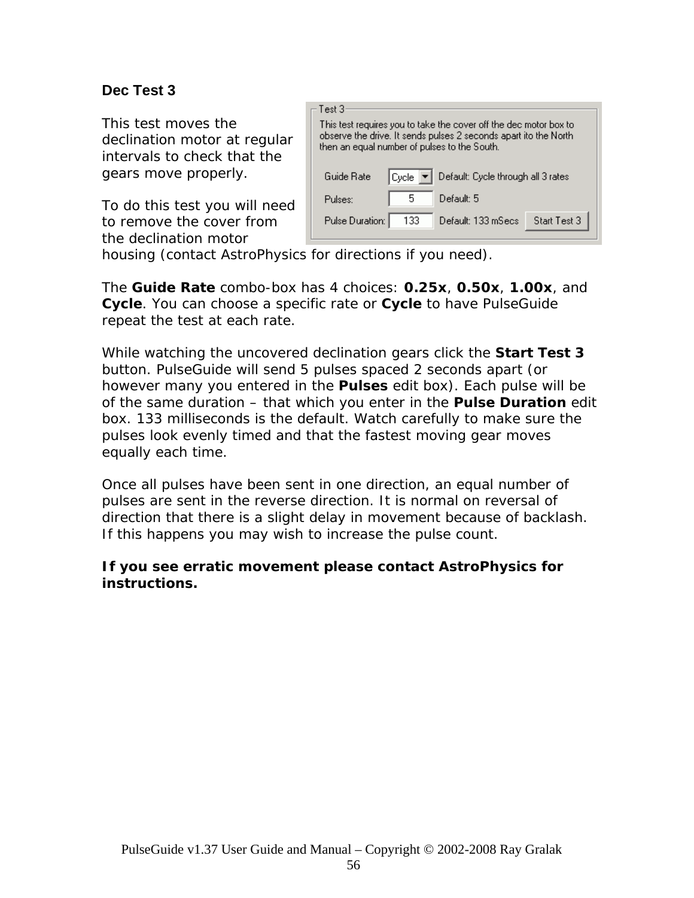### **Dec Test 3**

This test moves the declination motor at regular intervals to check that the gears move properly.

To do this test you will need to remove the cover from the declination motor



housing (contact AstroPhysics for directions if you need).

The **Guide Rate** combo-box has 4 choices: *0.25x*, *0.50x*, *1.00x*, and *Cycle*. You can choose a specific rate or *Cycle* to have PulseGuide repeat the test at each rate.

While watching the uncovered declination gears click the *Start Test 3* however many you entered in the **Pulses** edit box). Each pulse will be button. PulseGuide will send 5 pulses spaced 2 seconds apart (or of the same duration – that which you enter in the **Pulse Duration** edit box. 133 milliseconds is the default. Watch carefully to make sure the pulses look evenly timed and that the fastest moving gear moves equally each time.

Once all pulses have been sent in one direction, an equal number of direction that there is a slight delay in movement because of backlash. pulses are sent in the reverse direction. It is normal on reversal of If this happens you may wish to increase the pulse count.

#### *If you see erratic movement please contact AstroPhysics for instructions.*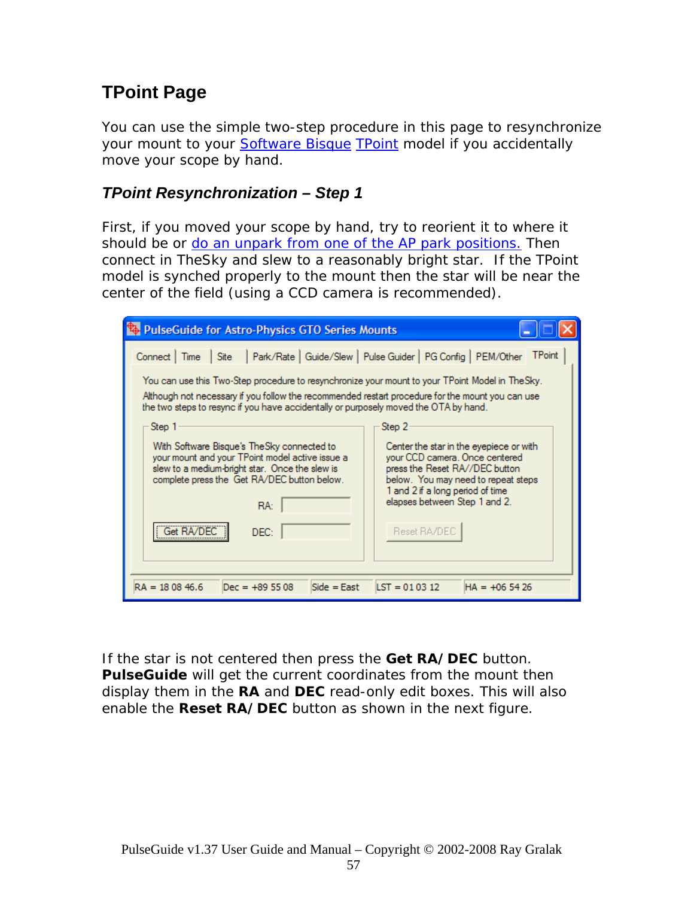# **TPoint Page**

You can use the simple two-step procedure in this page to resynchronize your mount to your **[Software Bisque](http://www.bisque.com/) TPoint** model if you accidentally move your scope by hand.

### *TPoint Resynchronization – Step 1*

First, if you moved your scope by hand, try to reorient it to where it should be or [do an unpark from one of the AP park positions.](#page-0-0) Then connect in TheSky and slew to a reasonably bright star. If the TPoint model is synched properly to the mount then the star will be near the center of the field (using a CCD camera is recommended).

| PulseGuide for Astro-Physics GTO Series Mounts                                                                                                                                                                                                                                                                                                                                                                                                                                                                                                                                                                                                                                                                                                                                                                                                                                                         |
|--------------------------------------------------------------------------------------------------------------------------------------------------------------------------------------------------------------------------------------------------------------------------------------------------------------------------------------------------------------------------------------------------------------------------------------------------------------------------------------------------------------------------------------------------------------------------------------------------------------------------------------------------------------------------------------------------------------------------------------------------------------------------------------------------------------------------------------------------------------------------------------------------------|
| Park/Rate   Guide/Slew   Pulse Guider   PG Config   PEM/Other<br><b>TPoint</b><br>Connect   Time<br>Site<br>. You can use this Two-Step procedure to resynchronize your mount to your TPoint Model in TheSky<br>Although not necessary if you follow the recommended restart procedure for the mount you can use<br>the two steps to resync if you have accidentally or purposely moved the OTA by hand.<br>Step 1<br>Step 2<br>With Software Bisque's TheSky connected to<br>Center the star in the eyepiece or with<br>your mount and your TPoint model active issue a<br>your CCD camera. Once centered<br>slew to a medium-bright star. Once the slew is<br>press the Reset RA//DEC button<br>complete press the Get RA/DEC button below.<br>below. You may need to repeat steps<br>1 and 2 if a long period of time<br>elapses between Step 1 and 2.<br>RA:<br>Get RA/DEC<br>Reset RA/DEC<br>DEC: |
| $LST = 010312$<br>$RA = 180846.6$<br>$Side = East$<br>$Dec = +895508$<br>$HA = +065426$                                                                                                                                                                                                                                                                                                                                                                                                                                                                                                                                                                                                                                                                                                                                                                                                                |

If the star is not centered then press the **Get RA/DEC** button. *PulseGuide* will get the current coordinates from the mount then display them in the **RA** and **DEC** read-only edit boxes. This will also enable the **Reset RA/DEC** button as shown in the next figure.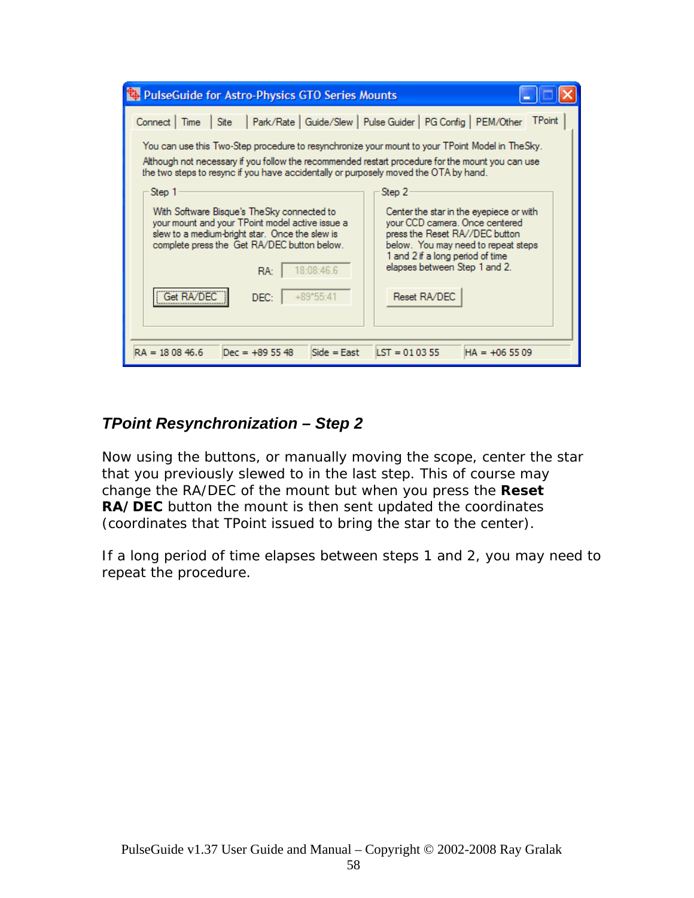| <b>E</b> PulseGuide for Astro-Physics GTO Series Mounts                                                                                                                                                                                                                                                                                                                                                                                                                                                                                                                                                                                                                                                                                                                                                                                                                                                                              |
|--------------------------------------------------------------------------------------------------------------------------------------------------------------------------------------------------------------------------------------------------------------------------------------------------------------------------------------------------------------------------------------------------------------------------------------------------------------------------------------------------------------------------------------------------------------------------------------------------------------------------------------------------------------------------------------------------------------------------------------------------------------------------------------------------------------------------------------------------------------------------------------------------------------------------------------|
| Park/Rate   Guide/Slew   Pulse Guider   PG Config   PEM/Other<br><b>TPoint</b><br>Connect  <br>Site<br>Time<br>. You can use this Two-Step procedure to resynchronize your mount to your TPoint Model in TheSky<br>Although not necessary if you follow the recommended restart procedure for the mount you can use<br>the two steps to resync if you have accidentally or purposely moved the OTA by hand.<br>Step 2<br>Step 1<br>With Software Bisque's TheSky connected to<br>Center the star in the eyepiece or with<br>your mount and your TPoint model active issue a<br>your CCD camera. Once centered<br>slew to a medium-bright star. Once the slew is<br>press the Reset RA//DEC button<br>complete press the Get RA/DEC button below.<br>below. You may need to repeat steps<br>1 and 2 if a long period of time<br>elapses between Step 1 and 2.<br>18:08:46.6<br>RA:<br>Get RA/D<br>Reset RA/DEC<br>$+89*55:41$<br>DEC: |
| $LST = 010355$<br>$Side = East$<br>$RA = 180846.6$<br>$Dec = +895548$<br>$HA = +065509$                                                                                                                                                                                                                                                                                                                                                                                                                                                                                                                                                                                                                                                                                                                                                                                                                                              |

### *TPoint Resynchronization – Step 2*

Now using the buttons, or manually moving the scope, center the star that you previously slewed to in the last step. This of course may change the RA/DEC of the mount but when you press the **Reset RA/DEC** button the mount is then sent updated the coordinates (coordinates that TPoint issued to bring the star to the center).

If a long period of time elapses between steps 1 and 2, you may need to repeat the procedure.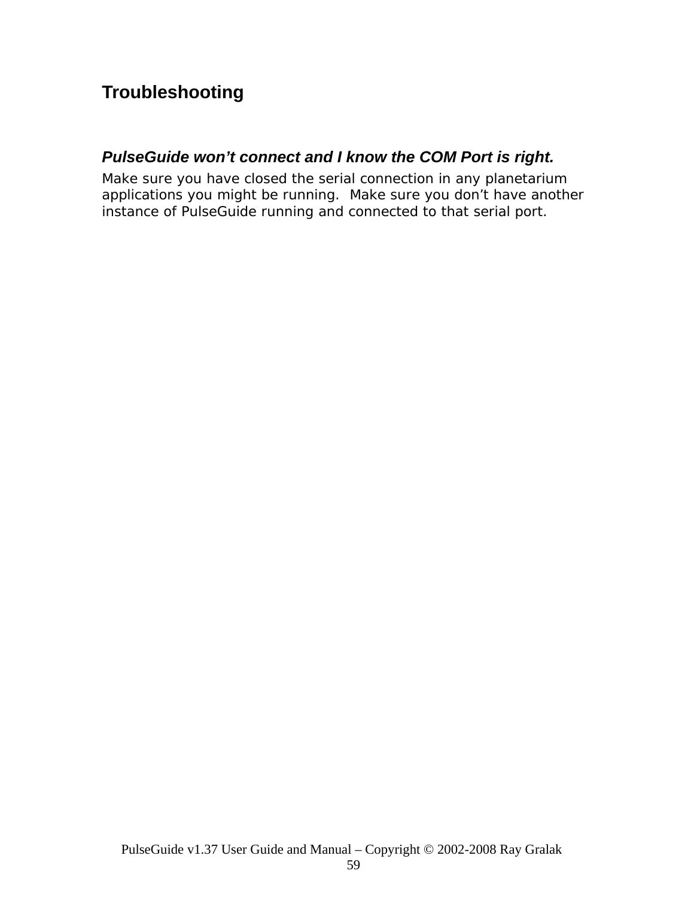# **Troubleshooting**

### *PulseGuide won't connect and I know the COM Port is right.*

Make sure you have closed the serial connection in any planetarium applications you might be running. Make sure you don't have another instance of PulseGuide running and connected to that serial port.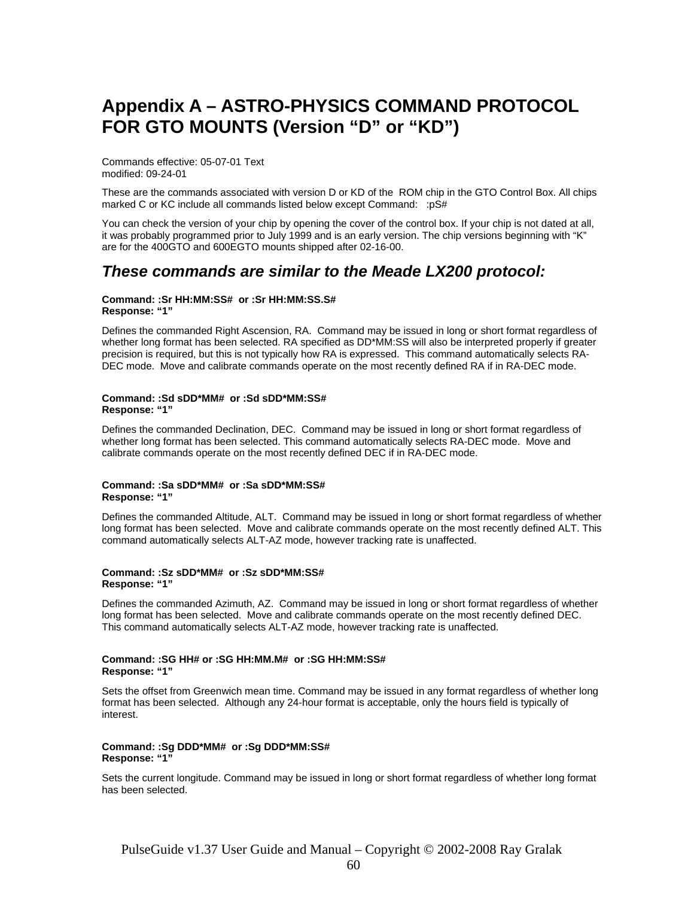# **Appendix A – ASTRO-PHYSICS COMMAND PROTOCOL FOR GTO MOUNTS (Version "D" or "KD")**

Commands effective: 05-07-01 Text modified: 09-24-01

These are the commands associated with version D or KD of the ROM chip in the GTO Control Box. All chips marked C or KC include all commands listed below except Command: : pS#

You can check the version of your chip by opening the cover of the control box. If your chip is not dated at all, it was probably programmed prior to July 1999 and is an early version. The chip versions beginning with "K" are for the 400GTO and 600EGTO mounts shipped after 02-16-00.

#### *These commands are similar to the Meade LX200 protocol:*

#### **Command: :Sr HH:MM:SS# or :Sr HH:MM:SS.S# Response: "1"**

Defines the commanded Right Ascension, RA. Command may be issued in long or short format regardless of whether long format has been selected. RA specified as DD\*MM:SS will also be interpreted properly if greater precision is required, but this is not typically how RA is expressed. This command automatically selects RA-DEC mode. Move and calibrate commands operate on the most recently defined RA if in RA-DEC mode.

#### **Command: :Sd sDD\*MM# or :Sd sDD\*MM:SS# Response: "1"**

Defines the commanded Declination, DEC. Command may be issued in long or short format regardless of whether long format has been selected. This command automatically selects RA-DEC mode. Move and calibrate commands operate on the most recently defined DEC if in RA-DEC mode.

#### **Command: :Sa sDD\*MM# or :Sa sDD\*MM:SS# Response: "1"**

Defines the commanded Altitude, ALT. Command may be issued in long or short format regardless of whether long format has been selected. Move and calibrate commands operate on the most recently defined ALT. This command automatically selects ALT-AZ mode, however tracking rate is unaffected.

#### **Command: :Sz sDD\*MM# or :Sz sDD\*MM:SS# Response: "1"**

Defines the commanded Azimuth, AZ. Command may be issued in long or short format regardless of whether long format has been selected. Move and calibrate commands operate on the most recently defined DEC. This command automatically selects ALT-AZ mode, however tracking rate is unaffected.

#### **Command: :SG HH# or :SG HH:MM.M# or :SG HH:MM:SS# Response: "1"**

Sets the offset from Greenwich mean time. Command may be issued in any format regardless of whether long format has been selected. Although any 24-hour format is acceptable, only the hours field is typically of interest.

#### **Command: :Sg DDD\*MM# or :Sg DDD\*MM:SS# Response: "1"**

Sets the current longitude. Command may be issued in long or short format regardless of whether long format has been selected.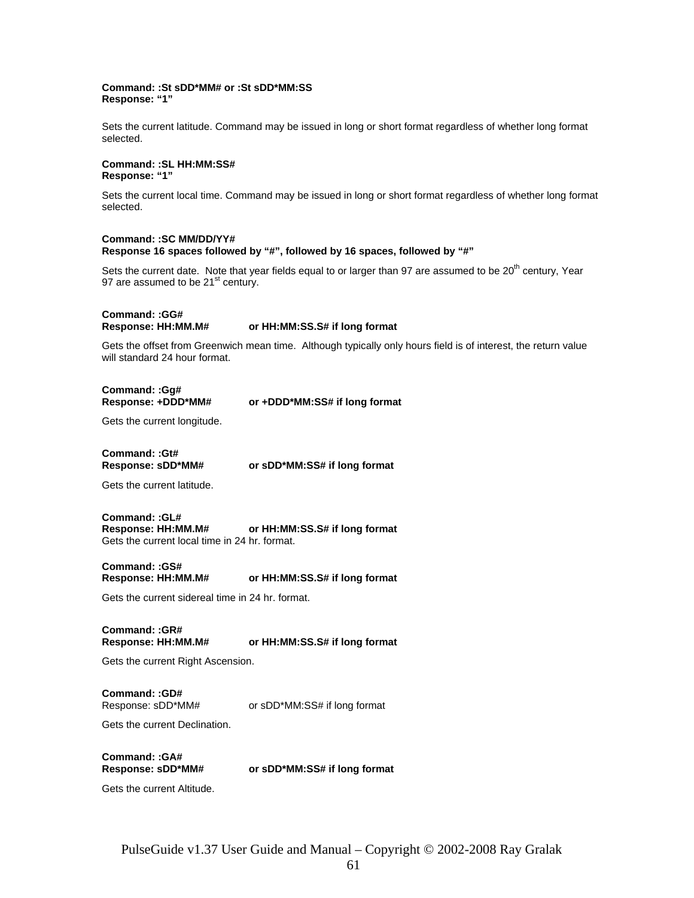#### **Command: :St sDD\*MM# or :St sDD\*MM:SS Response: "1"**

Sets the current latitude. Command may be issued in long or short format regardless of whether long format selected.

#### **Command: :SL HH:MM:SS# Response: "1"**

Sets the current local time. Command may be issued in long or short format regardless of whether long format selected.

#### **Command: :SC MM/DD/YY# Response 16 spaces followed by "#", followed by 16 spaces, followed by "#"**

Sets the current date. Note that year fields equal to or larger than 97 are assumed to be  $20<sup>th</sup>$  century, Year 97 are assumed to be 21<sup>st</sup> century.

**Command: :GG#** 

#### **Response: HH:MM.M# or HH:MM:SS.S# if long format**

Gets the offset from Greenwich mean time. Although typically only hours field is of interest, the return value will standard 24 hour format.

**Command: :Gg#** 

or +DDD\*MM:SS# if long format

Gets the current longitude.

**Command: :Gt#** 

**Response: sDD\*MM# or sDD\*MM:SS# if long format**

Gets the current latitude.

**Command: :GL#**  or HH:MM:SS.S# if long format Gets the current local time in 24 hr. format.

**Command: :GS# Response: HH:MM.M# or HH:MM:SS.S# if long format**

Gets the current sidereal time in 24 hr. format.

**Command: :GR#**  or HH:MM:SS.S# if long format

Gets the current Right Ascension.

**Command: :GD#** 

Response: sDD\*MM# or sDD\*MM:SS# if long format

Gets the current Declination.

**Command: :GA#** 

or sDD\*MM:SS# if long format

Gets the current Altitude.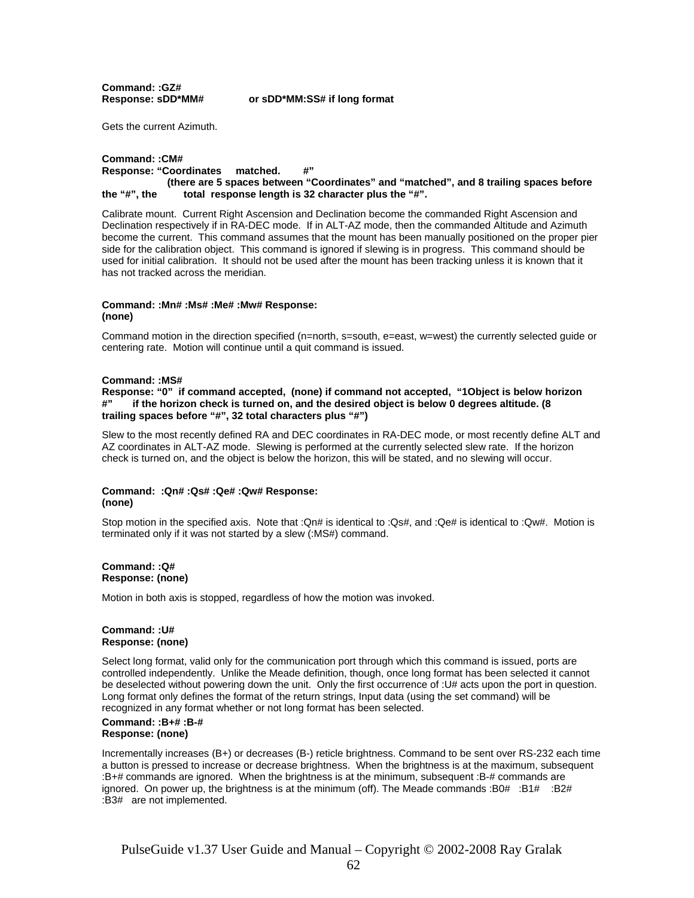**Command: :GZ#** 

**Response: sDD\*MM# or sDD\*MM:SS# if long format**

Gets the current Azimuth.

#### **Command: :CM# Response: "Coordinates matched. #" (there are 5 spaces between "Coordinates" and "matched", and 8 trailing spaces before the "#", the total response length is 32 character plus the "#".**

Calibrate mount. Current Right Ascension and Declination become the commanded Right Ascension and Declination respectively if in RA-DEC mode. If in ALT-AZ mode, then the commanded Altitude and Azimuth become the current. This command assumes that the mount has been manually positioned on the proper pier side for the calibration object. This command is ignored if slewing is in progress. This command should be used for initial calibration. It should not be used after the mount has been tracking unless it is known that it has not tracked across the meridian.

#### **Command: :Mn# :Ms# :Me# :Mw# Response: (none)**

Command motion in the direction specified (n=north, s=south, e=east, w=west) the currently selected guide or centering rate. Motion will continue until a quit command is issued.

#### **Command: :MS#**

**Response: "0" if command accepted, (none) if command not accepted, "1Object is below horizon #" if the horizon check is turned on, and the desired object is below 0 degrees altitude. (8 trailing spaces before "#", 32 total characters plus "#")** 

Slew to the most recently defined RA and DEC coordinates in RA-DEC mode, or most recently define ALT and AZ coordinates in ALT-AZ mode. Slewing is performed at the currently selected slew rate. If the horizon check is turned on, and the object is below the horizon, this will be stated, and no slewing will occur.

#### **Command: :Qn# :Qs# :Qe# :Qw# Response: (none)**

Stop motion in the specified axis. Note that :Qn# is identical to :Qs#, and :Qe# is identical to :Qw#. Motion is terminated only if it was not started by a slew (:MS#) command.

#### **Command: :Q# Response: (none)**

Motion in both axis is stopped, regardless of how the motion was invoked.

#### **Command: :U# Response: (none)**

Select long format, valid only for the communication port through which this command is issued, ports are controlled independently. Unlike the Meade definition, though, once long format has been selected it cannot be deselected without powering down the unit. Only the first occurrence of :U# acts upon the port in question. Long format only defines the format of the return strings, Input data (using the set command) will be recognized in any format whether or not long format has been selected.

#### **Command: :B+# :B-# Response: (none)**

Incrementally increases (B+) or decreases (B-) reticle brightness. Command to be sent over RS-232 each time a button is pressed to increase or decrease brightness. When the brightness is at the maximum, subsequent :B+# commands are ignored. When the brightness is at the minimum, subsequent :B-# commands are ignored. On power up, the brightness is at the minimum (off). The Meade commands :B0# :B1# :B2# :B3# are not implemented.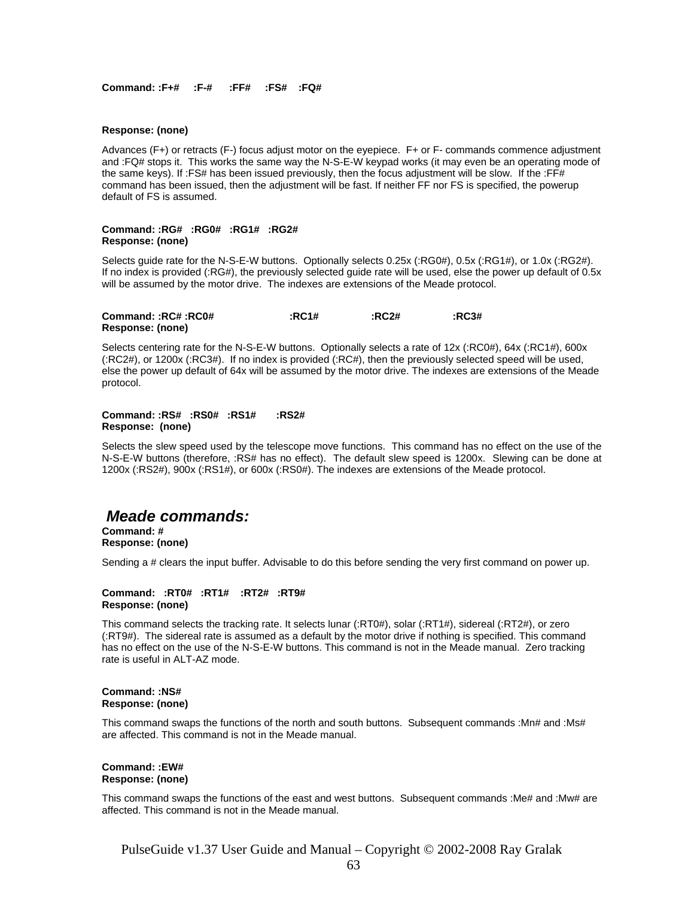**Command: :F+# :F-# :FF# :FS# :FQ#** 

#### **Response: (none)**

Advances (F+) or retracts (F-) focus adjust motor on the eyepiece. F+ or F- commands commence adjustment and :FQ# stops it. This works the same way the N-S-E-W keypad works (it may even be an operating mode of the same keys). If :FS# has been issued previously, then the focus adjustment will be slow. If the :FF# command has been issued, then the adjustment will be fast. If neither FF nor FS is specified, the powerup default of FS is assumed.

#### **Command: :RG# :RG0# :RG1# :RG2# Response: (none)**

Selects guide rate for the N-S-E-W buttons. Optionally selects 0.25x (:RG0#), 0.5x (:RG1#), or 1.0x (:RG2#). If no index is provided (:RG#), the previously selected guide rate will be used, else the power up default of 0.5x will be assumed by the motor drive. The indexes are extensions of the Meade protocol.

| Command: :RC# :RC0# | :RC1# | :RC2# | :RC3# |
|---------------------|-------|-------|-------|
| Response: (none)    |       |       |       |

Selects centering rate for the N-S-E-W buttons. Optionally selects a rate of 12x (:RC0#), 64x (:RC1#), 600x (:RC2#), or 1200x (:RC3#). If no index is provided (:RC#), then the previously selected speed will be used, else the power up default of 64x will be assumed by the motor drive. The indexes are extensions of the Meade protocol.

#### **Command: :RS# :RS0# :RS1# :RS2# Response: (none)**

Selects the slew speed used by the telescope move functions. This command has no effect on the use of the N-S-E-W buttons (therefore, :RS# has no effect). The default slew speed is 1200x. Slewing can be done at 1200x (:RS2#), 900x (:RS1#), or 600x (:RS0#). The indexes are extensions of the Meade protocol.

#### *Meade commands:*

**Command: # Response: (none)** 

Sending a # clears the input buffer. Advisable to do this before sending the very first command on power up.

#### **Command: :RT0# :RT1# :RT2# :RT9# Response: (none)**

This command selects the tracking rate. It selects lunar (:RT0#), solar (:RT1#), sidereal (:RT2#), or zero (:RT9#). The sidereal rate is assumed as a default by the motor drive if nothing is specified. This command has no effect on the use of the N-S-E-W buttons. This command is not in the Meade manual. Zero tracking rate is useful in ALT-AZ mode.

#### **Command: :NS# Response: (none)**

This command swaps the functions of the north and south buttons. Subsequent commands :Mn# and :Ms# are affected. This command is not in the Meade manual.

#### **Command: :EW# Response: (none)**

This command swaps the functions of the east and west buttons. Subsequent commands :Me# and :Mw# are affected. This command is not in the Meade manual.

PulseGuide v1.37 User Guide and Manual – Copyright © 2002-2008 Ray Gralak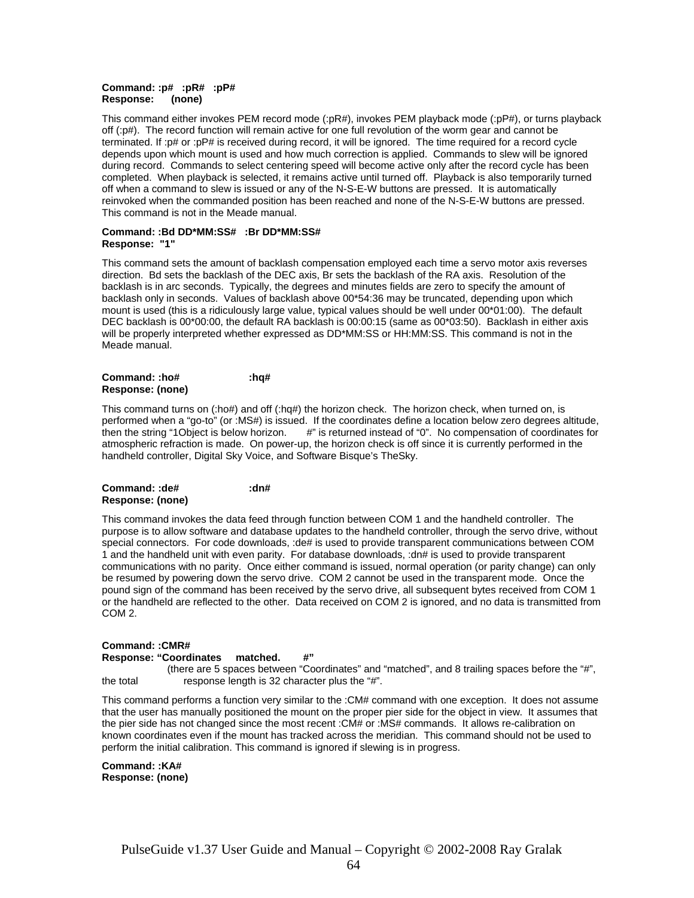#### **Command: :p# :pR# :pP# Response: (none)**

This command either invokes PEM record mode (:pR#), invokes PEM playback mode (:pP#), or turns playback off (:p#). The record function will remain active for one full revolution of the worm gear and cannot be terminated. If :p# or :pP# is received during record, it will be ignored. The time required for a record cycle depends upon which mount is used and how much correction is applied. Commands to slew will be ignored during record. Commands to select centering speed will become active only after the record cycle has been completed. When playback is selected, it remains active until turned off. Playback is also temporarily turned off when a command to slew is issued or any of the N-S-E-W buttons are pressed. It is automatically reinvoked when the commanded position has been reached and none of the N-S-E-W buttons are pressed. This command is not in the Meade manual.

#### **Command: :Bd DD\*MM:SS# :Br DD\*MM:SS# Response: "1"**

This command sets the amount of backlash compensation employed each time a servo motor axis reverses direction. Bd sets the backlash of the DEC axis, Br sets the backlash of the RA axis. Resolution of the backlash is in arc seconds. Typically, the degrees and minutes fields are zero to specify the amount of backlash only in seconds. Values of backlash above 00\*54:36 may be truncated, depending upon which mount is used (this is a ridiculously large value, typical values should be well under 00\*01:00). The default DEC backlash is 00\*00:00, the default RA backlash is 00:00:15 (same as 00\*03:50). Backlash in either axis will be properly interpreted whether expressed as DD\*MM:SS or HH:MM:SS. This command is not in the Meade manual.

#### **Command: :ho# :hq# Response: (none)**

This command turns on (:ho#) and off (:hq#) the horizon check. The horizon check, when turned on, is performed when a "go-to" (or :MS#) is issued. If the coordinates define a location below zero degrees altitude, then the string "1Object is below horizon. #" is returned instead of "0". No compensation of coordinates for atmospheric refraction is made. On power-up, the horizon check is off since it is currently performed in the handheld controller, Digital Sky Voice, and Software Bisque's TheSky.

#### **Command: :de# :dn# Response: (none)**

This command invokes the data feed through function between COM 1 and the handheld controller. The purpose is to allow software and database updates to the handheld controller, through the servo drive, without special connectors. For code downloads, :de# is used to provide transparent communications between COM 1 and the handheld unit with even parity. For database downloads, :dn# is used to provide transparent communications with no parity. Once either command is issued, normal operation (or parity change) can only be resumed by powering down the servo drive. COM 2 cannot be used in the transparent mode. Once the pound sign of the command has been received by the servo drive, all subsequent bytes received from COM 1 or the handheld are reflected to the other. Data received on COM 2 is ignored, and no data is transmitted from COM 2.

#### **Command: :CMR#**

**Response: "Coordinates matched. #"** 

 (there are 5 spaces between "Coordinates" and "matched", and 8 trailing spaces before the "#", the total response length is 32 character plus the "#".

This command performs a function very similar to the :CM# command with one exception. It does not assume that the user has manually positioned the mount on the proper pier side for the object in view. It assumes that the pier side has not changed since the most recent :CM# or :MS# commands. It allows re-calibration on known coordinates even if the mount has tracked across the meridian. This command should not be used to perform the initial calibration. This command is ignored if slewing is in progress.

**Command: :KA# Response: (none)**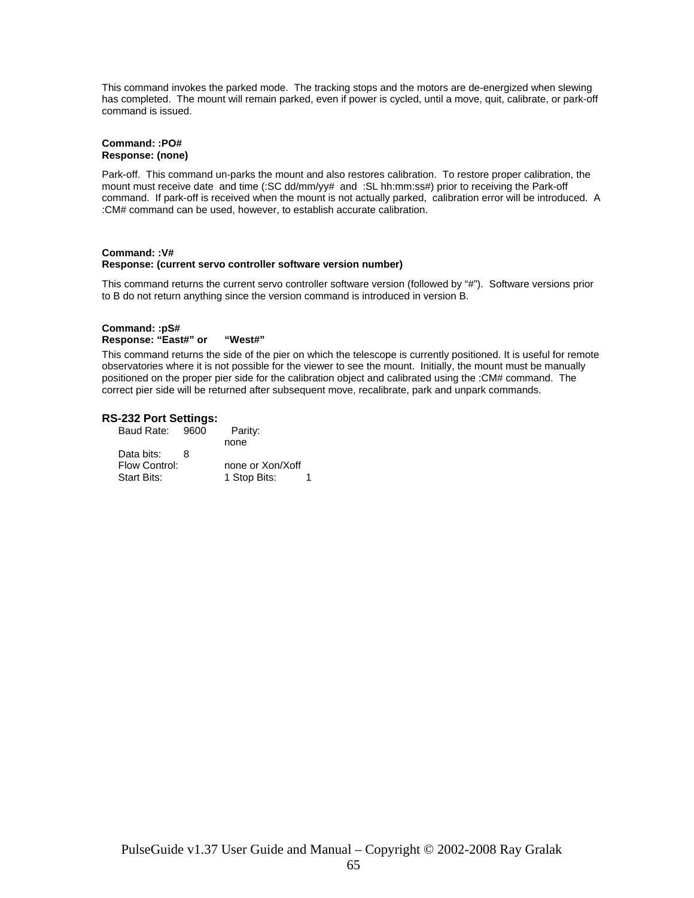This command invokes the parked mode. The tracking stops and the motors are de-energized when slewing has completed. The mount will remain parked, even if power is cycled, until a move, quit, calibrate, or park-off command is issued.

#### **Command: :PO# Response: (none)**

Park-off. This command un-parks the mount and also restores calibration. To restore proper calibration, the mount must receive date and time (:SC dd/mm/yy# and :SL hh:mm:ss#) prior to receiving the Park-off command. If park-off is received when the mount is not actually parked, calibration error will be introduced. A :CM# command can be used, however, to establish accurate calibration.

#### **Command: :V# Response: (current servo controller software version number)**

This command returns the current servo controller software version (followed by "#"). Software versions prior to B do not return anything since the version command is introduced in version B.

#### **Command: :pS# Response: "East#" or "West#"**

This command returns the side of the pier on which the telescope is currently positioned. It is useful for remote observatories where it is not possible for the viewer to see the mount. Initially, the mount must be manually positioned on the proper pier side for the calibration object and calibrated using the :CM# command. The correct pier side will be returned after subsequent move, recalibrate, park and unpark commands.

#### **RS-232 Port Settings:**

| Baud Rate: 9600    |   | Parity:          |  |
|--------------------|---|------------------|--|
|                    |   | none             |  |
| Data bits:         | 8 |                  |  |
| Flow Control:      |   | none or Xon/Xoff |  |
| <b>Start Bits:</b> |   | 1 Stop Bits:     |  |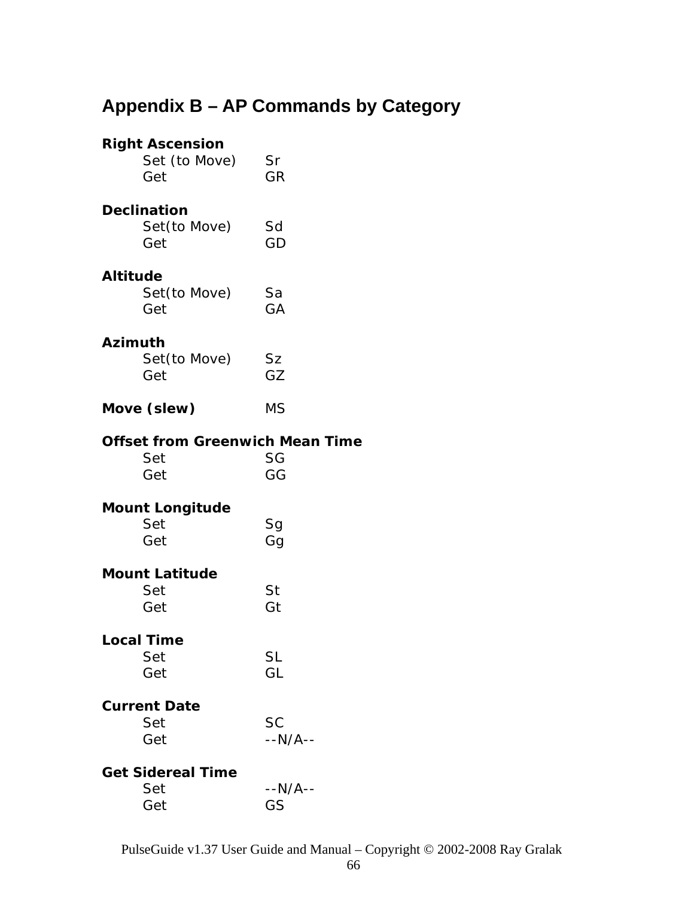# **Appendix B – AP Commands by Category**

|                 | <b>Right Ascension</b><br>Set (to Move)<br>Get       | Sr<br>GR             |
|-----------------|------------------------------------------------------|----------------------|
|                 | <b>Declination</b><br>Set(to Move)<br>Get            | Sd<br>GD             |
| <b>Altitude</b> | Set(to Move)<br>Get                                  | Sa<br>GA             |
| <b>Azimuth</b>  | Set(to Move)<br>Get                                  | <b>Sz</b><br>GZ      |
|                 | Move (slew)                                          | <b>MS</b>            |
|                 | <b>Offset from Greenwich Mean Time</b><br>Set<br>Get | SG<br>GG             |
|                 | <b>Mount Longitude</b><br>Set<br>Get                 | Sg<br>Gg             |
|                 | <b>Mount Latitude</b><br>Set<br>Get                  | St<br>Gt             |
|                 | <b>Local Time</b><br>Set<br>Get                      | <b>SL</b><br>GL      |
|                 | <b>Current Date</b><br>Set<br>Get                    | <b>SC</b><br>--N/A-- |
|                 | <b>Get Sidereal Time</b><br>Set<br>Get               | --N/A--<br>GS        |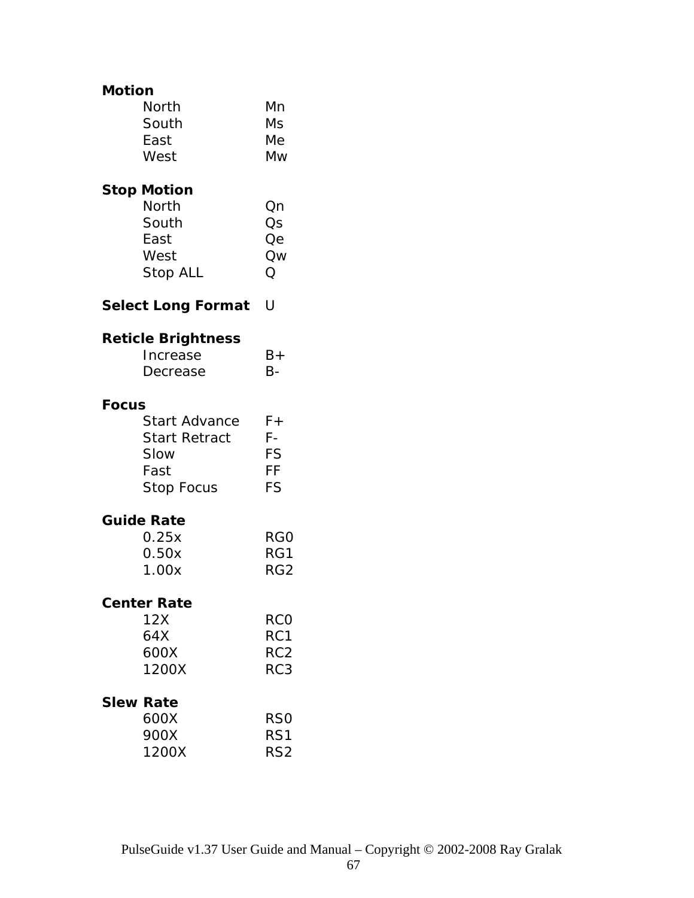#### **Motion**

| <b>North</b> | Mn |
|--------------|----|
| South        | Ms |
| East         | Мe |
| West         | Mw |

### **Stop Motion**

| North    | Qn |
|----------|----|
| South    | Os |
| East     | Оe |
| West     | Qw |
| Stop ALL | () |

**Select Long Format** U

### **Reticle Brightness**

| Increase | $B+$      |
|----------|-----------|
| Decrease | <b>B-</b> |

#### **Focus**

| <b>Start Advance</b> | F+ |
|----------------------|----|
| <b>Start Retract</b> | F- |
| Slow                 | FS |
| Fast                 | FF |
| <b>Stop Focus</b>    | FS |

#### **Guide Rate**

| 0.25x | RG0             |
|-------|-----------------|
| 0.50x | RG1             |
| 1.00x | RG <sub>2</sub> |

#### **Center Rate**

| 12X   | RCO             |
|-------|-----------------|
| 64X   | RC <sub>1</sub> |
| 600X  | RC <sub>2</sub> |
| 1200X | RC <sub>3</sub> |
|       |                 |

#### **Slew Rate**

| 600X  | R <sub>SO</sub> |
|-------|-----------------|
| 900X  | RS1             |
| 1200X | RS <sub>2</sub> |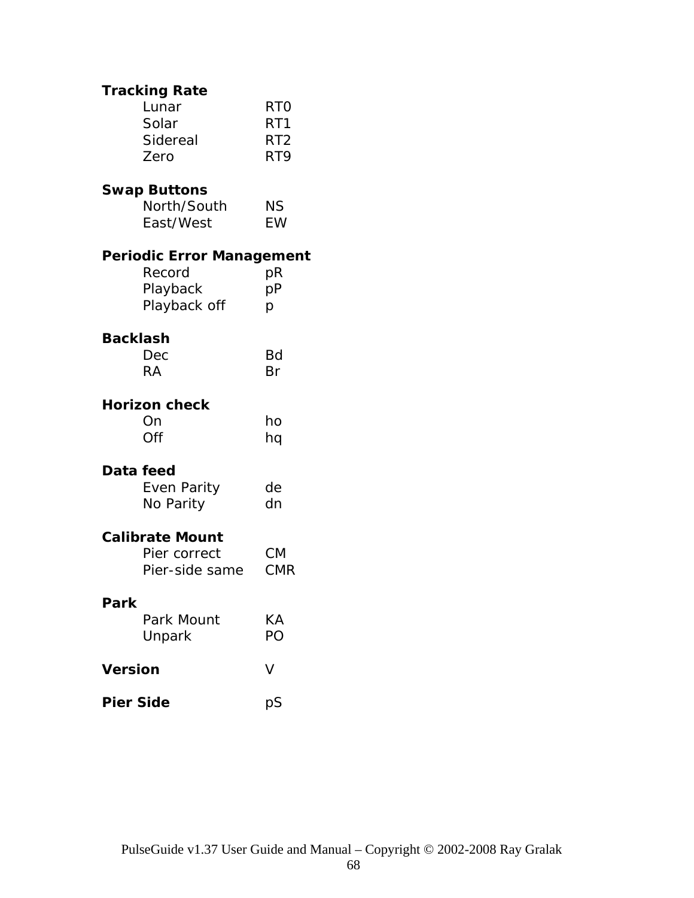|                        | <b>Tracking Rate</b>               |                                                         |  |  |
|------------------------|------------------------------------|---------------------------------------------------------|--|--|
|                        | Lunar<br>Solar<br>Sidereal<br>Zero | <b>RTO</b><br>RT <sub>1</sub><br>RT <sub>2</sub><br>RT9 |  |  |
|                        |                                    |                                                         |  |  |
|                        | <b>Swap Buttons</b><br>North/South |                                                         |  |  |
|                        | East/West                          | ΝS<br>EW                                                |  |  |
|                        | <b>Periodic Error Management</b>   |                                                         |  |  |
|                        | Record                             | pR                                                      |  |  |
|                        | Playback<br>Playback off           | рP<br>p                                                 |  |  |
| <b>Backlash</b>        |                                    |                                                         |  |  |
|                        | Dec                                | Bd                                                      |  |  |
|                        | <b>RA</b>                          | Br                                                      |  |  |
|                        | <b>Horizon check</b>               |                                                         |  |  |
|                        | On                                 | ho                                                      |  |  |
|                        | Off                                | hq                                                      |  |  |
| Data feed              |                                    |                                                         |  |  |
|                        | Even Parity                        | de                                                      |  |  |
|                        | No Parity                          | dn                                                      |  |  |
| <b>Calibrate Mount</b> |                                    |                                                         |  |  |
|                        | Pier correct                       | <b>CM</b>                                               |  |  |
|                        | Pier-side same                     | <b>CMR</b>                                              |  |  |
| Park                   |                                    |                                                         |  |  |
|                        | Park Mount                         | KА                                                      |  |  |
|                        | Unpark                             | PO                                                      |  |  |
| <b>Version</b>         |                                    | v                                                       |  |  |
| <b>Pier Side</b>       |                                    | pS                                                      |  |  |